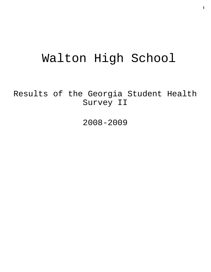# Walton High School

Results of the Georgia Student Health Survey II

2008-2009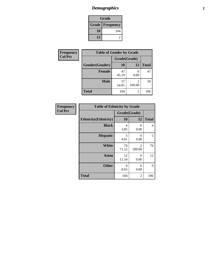## *Demographics* **2**

| Grade                    |     |  |  |
|--------------------------|-----|--|--|
| <b>Grade   Frequency</b> |     |  |  |
| 10                       | 104 |  |  |
| 12                       |     |  |  |

| <b>Frequency</b> | <b>Table of Gender by Grade</b> |              |                |              |  |
|------------------|---------------------------------|--------------|----------------|--------------|--|
| <b>Col Pct</b>   |                                 | Grade(Grade) |                |              |  |
|                  | Gender(Gender)                  | <b>10</b>    | 12             | <b>Total</b> |  |
|                  | Female                          | 47<br>45.19  | 0.00           | 47           |  |
|                  | <b>Male</b>                     | 57<br>54.81  | 100.00         | 59           |  |
|                  | <b>Total</b>                    | 104          | $\overline{c}$ | 106          |  |

| <b>Frequency</b><br>Col Pct |
|-----------------------------|
|                             |

| <b>Table of Ethnicity by Grade</b> |              |             |              |  |  |  |
|------------------------------------|--------------|-------------|--------------|--|--|--|
|                                    | Grade(Grade) |             |              |  |  |  |
| <b>Ethnicity</b> (Ethnicity)       | 10           | 12          | <b>Total</b> |  |  |  |
| <b>Black</b>                       | 4<br>3.85    | 0<br>0.00   | 4            |  |  |  |
| <b>Hispanic</b>                    | 5<br>4.81    | 0<br>0.00   | 5            |  |  |  |
| White                              | 74<br>71.15  | 2<br>100.00 | 76           |  |  |  |
| <b>Asian</b>                       | 12<br>11.54  | 0<br>0.00   | 12           |  |  |  |
| <b>Other</b>                       | 9<br>8.65    | 0<br>0.00   | 9            |  |  |  |
| <b>Total</b>                       | 104          | 2           | 106          |  |  |  |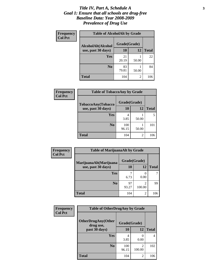#### *Title IV, Part A, Schedule A* **3** *Goal 1: Ensure that all schools are drug-free Baseline Data: Year 2008-2009 Prevalence of Drug Use*

| Frequency<br><b>Col Pct</b> | <b>Table of AlcoholAlt by Grade</b> |              |       |              |  |  |
|-----------------------------|-------------------------------------|--------------|-------|--------------|--|--|
|                             | AlcoholAlt(Alcohol                  | Grade(Grade) |       |              |  |  |
|                             | use, past 30 days)                  | 10           | 12    | <b>Total</b> |  |  |
|                             | Yes                                 | 21<br>20.19  | 50.00 | 22           |  |  |
|                             | N <sub>0</sub>                      | 83<br>79.81  | 50.00 | 84           |  |  |
|                             | <b>Total</b>                        | 104          | 2     | 106          |  |  |

| Frequency<br><b>Col Pct</b>              | <b>Table of TobaccoAny by Grade</b> |              |           |              |  |
|------------------------------------------|-------------------------------------|--------------|-----------|--------------|--|
| TobaccoAny(Tobacco<br>use, past 30 days) | Grade(Grade)                        |              |           |              |  |
|                                          |                                     | <b>10</b>    | <b>12</b> | <b>Total</b> |  |
|                                          | Yes                                 | 4<br>3.85    | 50.00     |              |  |
|                                          | N <sub>0</sub>                      | 100<br>96.15 | 50.00     | 101          |  |
|                                          | <b>Total</b>                        | 104          | 2         | 106          |  |

| Frequency<br><b>Col Pct</b> | <b>Table of MarijuanaAlt by Grade</b> |              |                          |              |  |  |
|-----------------------------|---------------------------------------|--------------|--------------------------|--------------|--|--|
|                             | MarijuanaAlt(Marijuana                | Grade(Grade) |                          |              |  |  |
|                             | use, past 30 days)                    | 10           | 12                       | <b>Total</b> |  |  |
|                             | <b>Yes</b>                            | 6.73         | 0<br>0.00                |              |  |  |
|                             | N <sub>0</sub>                        | 97<br>93.27  | $\mathfrak{D}$<br>100.00 | 99           |  |  |
|                             | <b>Total</b>                          | 104          | $\overline{c}$           | 106          |  |  |

| Frequency<br><b>Col Pct</b> | <b>Table of OtherDrugAny by Grade</b>  |              |                           |              |  |
|-----------------------------|----------------------------------------|--------------|---------------------------|--------------|--|
|                             | <b>OtherDrugAny(Other</b><br>drug use, | Grade(Grade) |                           |              |  |
|                             | past 30 days)                          | 10           | 12                        | <b>Total</b> |  |
|                             | Yes                                    | 4<br>3.85    | $\mathbf{\Omega}$<br>0.00 | 4            |  |
|                             | N <sub>0</sub>                         | 100<br>96.15 | 2<br>100.00               | 102          |  |
|                             | <b>Total</b>                           | 104          | 2                         | 106          |  |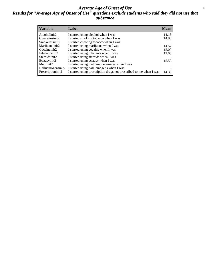#### *Average Age of Onset of Use* **4** *Results for "Average Age of Onset of Use" questions exclude students who said they did not use that substance*

| <b>Variable</b>    | Label                                                              | <b>Mean</b> |
|--------------------|--------------------------------------------------------------------|-------------|
| Alcoholinit2       | I started using alcohol when I was                                 | 14.15       |
| Cigarettesinit2    | I started smoking tobacco when I was                               | 14.90       |
| Smokelessinit2     | I started chewing tobacco when I was                               |             |
| Marijuanainit2     | I started using marijuana when I was                               | 14.57       |
| Cocaineinit2       | I started using cocaine when I was                                 | 15.00       |
| Inhalantsinit2     | I started using inhalants when I was                               | 12.00       |
| Steroidsinit2      | I started using steroids when I was                                |             |
| Ecstasyinit2       | I started using ecstasy when I was                                 | 15.50       |
| Methinit2          | I started using methamphetamines when I was                        |             |
| Hallucinogensinit2 | I started using hallucinogens when I was                           |             |
| Prescriptioninit2  | I started using prescription drugs not prescribed to me when I was | 14.33       |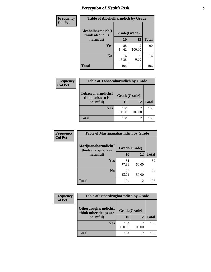### *Perception of Health Risk* **5**

| Frequency      | <b>Table of Alcoholharmdich by Grade</b> |              |                |              |  |
|----------------|------------------------------------------|--------------|----------------|--------------|--|
| <b>Col Pct</b> | Alcoholharmdich(I<br>think alcohol is    | Grade(Grade) |                |              |  |
|                | harmful)                                 | 10           | 12             | <b>Total</b> |  |
|                | <b>Yes</b>                               | 88           | $\mathfrak{D}$ | 90           |  |
|                |                                          | 84.62        | 100.00         |              |  |
|                | N <sub>0</sub>                           | 16<br>15.38  | 0.00           | 16           |  |
|                |                                          |              |                |              |  |
|                | <b>Total</b>                             | 104          | 2              | 106          |  |

| <b>Frequency</b> | <b>Table of Tobaccoharmdich by Grade</b>          |               |                          |              |  |
|------------------|---------------------------------------------------|---------------|--------------------------|--------------|--|
| <b>Col Pct</b>   | Tobaccoharmdich(I<br>think tobacco is<br>harmful) | Grade(Grade)  |                          |              |  |
|                  |                                                   | 10            | 12                       | <b>Total</b> |  |
|                  | Yes                                               | 104<br>100.00 | $\mathfrak{D}$<br>100.00 | 106          |  |
|                  | Total                                             | 104           | 2                        | 106          |  |

| <b>Frequency</b> | <b>Table of Marijuanaharmdich by Grade</b> |              |                |              |  |  |
|------------------|--------------------------------------------|--------------|----------------|--------------|--|--|
| <b>Col Pct</b>   | Marijuanaharmdich(I<br>think marijuana is  | Grade(Grade) |                |              |  |  |
|                  | harmful)                                   | 10           | 12             | <b>Total</b> |  |  |
|                  | <b>Yes</b>                                 | 81<br>77.88  | 50.00          | 82           |  |  |
|                  | N <sub>0</sub>                             | 23<br>22.12  | 50.00          | 24           |  |  |
|                  | <b>Total</b>                               | 104          | $\overline{2}$ | 106          |  |  |

| <b>Frequency</b> | <b>Table of Otherdrugharmdich by Grade</b>   |               |        |              |  |
|------------------|----------------------------------------------|---------------|--------|--------------|--|
| <b>Col Pct</b>   | Otherdrugharmdich(I<br>think other drugs are | Grade(Grade)  |        |              |  |
|                  | harmful)                                     | 10            | 12     | <b>Total</b> |  |
|                  | <b>Yes</b>                                   | 104<br>100.00 | 100.00 | 106          |  |
|                  | <b>Total</b>                                 | 104           | 2      | 106          |  |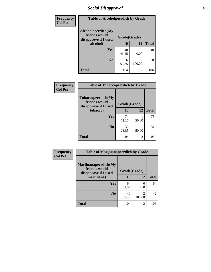### *Social Disapproval* **6**

| <b>Frequency</b> | <b>Table of Alcoholpeerdich by Grade</b>                    |              |                                    |              |  |  |
|------------------|-------------------------------------------------------------|--------------|------------------------------------|--------------|--|--|
| <b>Col Pct</b>   | Alcoholpeerdich(My<br>friends would<br>disapprove if I used | Grade(Grade) |                                    |              |  |  |
|                  | alcohol)                                                    | 10           | 12                                 | <b>Total</b> |  |  |
|                  | <b>Yes</b>                                                  | 48<br>46.15  | $\mathbf{0}$<br>0.00               | 48           |  |  |
|                  | N <sub>0</sub>                                              | 56<br>53.85  | $\overline{\mathcal{L}}$<br>100.00 | 58           |  |  |
|                  | <b>Total</b>                                                | 104          | 2                                  | 106          |  |  |

| <b>Frequency</b> |
|------------------|
| <b>Col Pct</b>   |

| <b>Table of Tobaccopeerdich by Grade</b>                            |              |       |              |  |  |
|---------------------------------------------------------------------|--------------|-------|--------------|--|--|
| <b>Tobaccopeerdich</b> (My<br>friends would<br>disapprove if I used | Grade(Grade) |       |              |  |  |
| tobacco)                                                            | 10           | 12    | <b>Total</b> |  |  |
| Yes                                                                 | 74<br>71.15  | 50.00 | 75           |  |  |
| N <sub>0</sub>                                                      | 30<br>28.85  | 50.00 | 31           |  |  |
| <b>Total</b>                                                        | 104          | 2     | 106          |  |  |

| Frequency      | <b>Table of Marijuanapeerdich by Grade</b>                    |              |                          |              |  |
|----------------|---------------------------------------------------------------|--------------|--------------------------|--------------|--|
| <b>Col Pct</b> | Marijuanapeerdich(My<br>friends would<br>disapprove if I used | Grade(Grade) |                          |              |  |
|                | marijuana)                                                    | 10           | 12                       | <b>Total</b> |  |
|                | <b>Yes</b>                                                    | 64<br>61.54  | 0<br>0.00                | 64           |  |
|                | N <sub>0</sub>                                                | 40<br>38.46  | $\mathfrak{D}$<br>100.00 | 42           |  |
|                | <b>Total</b>                                                  | 104          | 2                        | 106          |  |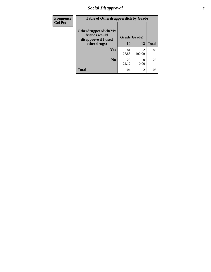### *Social Disapproval* **7**

| Frequency      | <b>Table of Otherdrugpeerdich by Grade</b>                    |              |                |              |  |
|----------------|---------------------------------------------------------------|--------------|----------------|--------------|--|
| <b>Col Pct</b> | Otherdrugpeerdich(My<br>friends would<br>disapprove if I used | Grade(Grade) |                |              |  |
|                | other drugs)                                                  | 10           | 12             | <b>Total</b> |  |
|                | Yes                                                           | 81<br>77.88  | 2<br>100.00    | 83           |  |
|                | N <sub>0</sub>                                                | 23<br>22.12  | 0.00           | 23           |  |
|                | <b>Total</b>                                                  | 104          | $\overline{2}$ | 106          |  |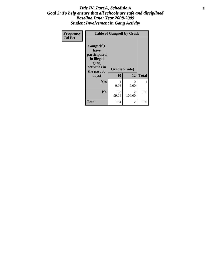#### Title IV, Part A, Schedule A **8** *Goal 2: To help ensure that all schools are safe and disciplined Baseline Data: Year 2008-2009 Student Involvement in Gang Activity*

| Frequency      | <b>Table of Gangself by Grade</b>                                                                 |                    |                          |              |  |
|----------------|---------------------------------------------------------------------------------------------------|--------------------|--------------------------|--------------|--|
| <b>Col Pct</b> | Gangself(I<br>have<br>participated<br>in illegal<br>gang<br>activities in<br>the past 30<br>days) | Grade(Grade)<br>10 | 12                       | <b>Total</b> |  |
|                | Yes                                                                                               | 1<br>0.96          | $\theta$<br>0.00         | 1            |  |
|                | N <sub>0</sub>                                                                                    | 103<br>99.04       | $\mathfrak{D}$<br>100.00 | 105          |  |
|                | <b>Total</b>                                                                                      | 104                | 2                        | 106          |  |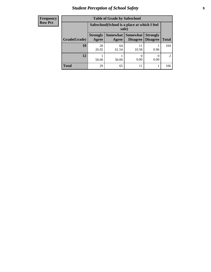### *Student Perception of School Safety* **9**

| <b>Frequency</b><br>Row Pct |
|-----------------------------|
|                             |

| <b>Table of Grade by Safeschool</b> |                                                                                                                          |                                                        |             |      |     |  |
|-------------------------------------|--------------------------------------------------------------------------------------------------------------------------|--------------------------------------------------------|-------------|------|-----|--|
|                                     |                                                                                                                          | Safeschool (School is a place at which I feel<br>safe) |             |      |     |  |
| Grade(Grade)                        | Somewhat Somewhat<br><b>Strongly</b><br><b>Strongly</b><br><b>Disagree</b><br>Agree<br>Disagree<br><b>Total</b><br>Agree |                                                        |             |      |     |  |
| 10                                  | 28<br>26.92                                                                                                              | 64<br>61.54                                            | 11<br>10.58 | 0.96 | 104 |  |
| 12                                  | 50.00                                                                                                                    | 50.00                                                  | 0.00        | 0.00 | 2   |  |
| <b>Total</b>                        | 29                                                                                                                       | 65                                                     | 11          |      | 106 |  |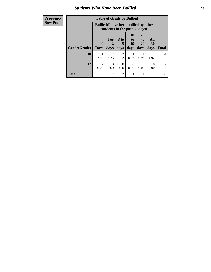#### *Students Who Have Been Bullied* **10**

| <b>Frequency</b> | <b>Table of Grade by Bullied</b> |                                                                               |                  |                      |                       |                  |                        |               |
|------------------|----------------------------------|-------------------------------------------------------------------------------|------------------|----------------------|-----------------------|------------------|------------------------|---------------|
| <b>Row Pct</b>   |                                  | <b>Bullied</b> (I have been bullied by other<br>students in the past 30 days) |                  |                      |                       |                  |                        |               |
|                  |                                  | $\mathbf 0$                                                                   | $1$ or           | 3 <sub>to</sub><br>5 | <b>10</b><br>to<br>19 | 20<br>to<br>29   | All<br>30              |               |
|                  | Grade(Grade)                     | <b>Days</b>                                                                   | days             | days                 | days                  | days             | days                   | <b>Total</b>  |
|                  | 10                               | 91<br>87.50                                                                   | 6.73             | 2<br>1.92            | 0.96                  | 0.96             | $\overline{2}$<br>1.92 | 104           |
|                  | 12                               | 2<br>100.00                                                                   | $\Omega$<br>0.00 | $\Omega$<br>0.00     | $\Omega$<br>0.00      | $\Omega$<br>0.00 | $\Omega$<br>0.00       | $\mathcal{D}$ |
|                  | <b>Total</b>                     | 93                                                                            | $\tau$           | $\overline{2}$       |                       | 1                | $\overline{2}$         | 106           |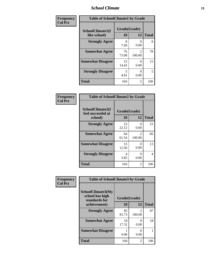#### *School Climate* **11**

| Frequency      | <b>Table of SchoolClimate1 by Grade</b> |                    |                                       |              |  |  |
|----------------|-----------------------------------------|--------------------|---------------------------------------|--------------|--|--|
| <b>Col Pct</b> | SchoolClimate1(I<br>like school)        | Grade(Grade)<br>10 | 12                                    | <b>Total</b> |  |  |
|                | <b>Strongly Agree</b>                   | 8<br>7.69          | 0.00                                  | 8            |  |  |
|                | <b>Somewhat Agree</b>                   | 76<br>73.08        | $\mathcal{D}_{\mathcal{L}}$<br>100.00 | 78           |  |  |
|                | <b>Somewhat Disagree</b>                | 15<br>14.42        | 0.00                                  | 15           |  |  |
|                | <b>Strongly Disagree</b>                | 5<br>4.81          | 0.00                                  | 5            |  |  |
|                | <b>Total</b>                            | 104                | 2                                     | 106          |  |  |

| <b>Frequency</b> |
|------------------|
| <b>Col Pct</b>   |

| <b>Table of SchoolClimate2 by Grade</b>           |                    |                           |              |  |
|---------------------------------------------------|--------------------|---------------------------|--------------|--|
| SchoolClimate2(I<br>feel successful at<br>school) | Grade(Grade)<br>10 | 12                        | <b>Total</b> |  |
| <b>Strongly Agree</b>                             | 23<br>22.12        | $\mathbf{\Omega}$<br>0.00 | 23           |  |
| <b>Somewhat Agree</b>                             | 64<br>61.54        | 2<br>100.00               | 66           |  |
| <b>Somewhat Disagree</b>                          | 13<br>12.50        | 0.00                      | 13           |  |
| <b>Strongly Disagree</b>                          | 4<br>3.85          | 0.00                      | 4            |  |
| <b>Total</b>                                      | 104                | 2                         | 106          |  |

| Frequency      | <b>Table of SchoolClimate3 by Grade</b>               |              |                          |              |  |
|----------------|-------------------------------------------------------|--------------|--------------------------|--------------|--|
| <b>Col Pct</b> | SchoolClimate3(My<br>school has high<br>standards for | Grade(Grade) |                          |              |  |
|                | achievement)                                          | 10           | 12                       | <b>Total</b> |  |
|                | <b>Strongly Agree</b>                                 | 85<br>81.73  | $\mathfrak{D}$<br>100.00 | 87           |  |
|                | <b>Somewhat Agree</b>                                 | 18<br>17.31  | 0<br>0.00                | 18           |  |
|                | <b>Somewhat Disagree</b>                              | 0.96         | 0<br>0.00                |              |  |
|                | <b>Total</b>                                          | 104          | 2                        | 106          |  |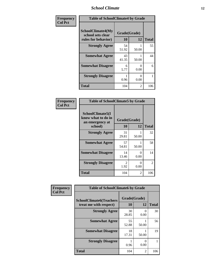### *School Climate* **12**

| Frequency      | <b>Table of SchoolClimate4 by Grade</b>                              |                    |                           |              |
|----------------|----------------------------------------------------------------------|--------------------|---------------------------|--------------|
| <b>Col Pct</b> | <b>SchoolClimate4(My</b><br>school sets clear<br>rules for behavior) | Grade(Grade)<br>10 | 12                        | <b>Total</b> |
|                | <b>Strongly Agree</b>                                                | 54<br>51.92        | 50.00                     | 55           |
|                | <b>Somewhat Agree</b>                                                | 43<br>41.35        | 50.00                     | 44           |
|                | <b>Somewhat Disagree</b>                                             | 6<br>5.77          | 0<br>0.00                 | 6            |
|                | <b>Strongly Disagree</b>                                             | 0.96               | $\mathbf{\Omega}$<br>0.00 | 1            |
|                | <b>Total</b>                                                         | 104                | 2                         | 106          |

#### **Frequency Col Pct**

| <b>Table of SchoolClimate5 by Grade</b>                   |              |           |              |  |  |
|-----------------------------------------------------------|--------------|-----------|--------------|--|--|
| SchoolClimate5(I<br>know what to do in<br>an emergency at | Grade(Grade) |           |              |  |  |
| school)                                                   | 10           | 12        | <b>Total</b> |  |  |
| <b>Strongly Agree</b>                                     | 31<br>29.81  | 50.00     | 32           |  |  |
| <b>Somewhat Agree</b>                                     | 57<br>54.81  | 50.00     | 58           |  |  |
| <b>Somewhat Disagree</b>                                  | 14<br>13.46  | 0<br>0.00 | 14           |  |  |
| <b>Strongly Disagree</b>                                  | 2<br>1.92    | 0<br>0.00 | 2            |  |  |
| Total                                                     | 104          | 2         | 106          |  |  |

| Frequency      | <b>Table of SchoolClimate6 by Grade</b>                  |                    |           |              |
|----------------|----------------------------------------------------------|--------------------|-----------|--------------|
| <b>Col Pct</b> | <b>SchoolClimate6(Teachers</b><br>treat me with respect) | Grade(Grade)<br>10 | 12        | <b>Total</b> |
|                | <b>Strongly Agree</b>                                    | 30<br>28.85        | 0<br>0.00 | 30           |
|                | <b>Somewhat Agree</b>                                    | 55<br>52.88        | 50.00     | 56           |
|                | <b>Somewhat Disagree</b>                                 | 18<br>17.31        | 50.00     | 19           |
|                | <b>Strongly Disagree</b>                                 | 0.96               | 0<br>0.00 |              |
|                | <b>Total</b>                                             | 104                | 2         | 106          |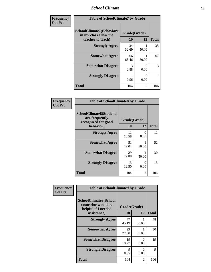### *School Climate* **13**

| Frequency      | <b>Table of SchoolClimate7 by Grade</b>                                       |                           |                |              |
|----------------|-------------------------------------------------------------------------------|---------------------------|----------------|--------------|
| <b>Col Pct</b> | <b>SchoolClimate7(Behaviors</b><br>in my class allow the<br>teacher to teach) | Grade(Grade)<br><b>10</b> | 12             | <b>Total</b> |
|                | <b>Strongly Agree</b>                                                         | 34<br>32.69               | 50.00          | 35           |
|                | <b>Somewhat Agree</b>                                                         | 66<br>63.46               | 50.00          | 67           |
|                | <b>Somewhat Disagree</b>                                                      | 3<br>2.88                 | 0<br>0.00      | 3            |
|                | <b>Strongly Disagree</b>                                                      | 0.96                      | 0<br>0.00      |              |
|                | <b>Total</b>                                                                  | 104                       | $\mathfrak{D}$ | 106          |

| Frequency      | <b>Table of SchoolClimate8 by Grade</b>                                 |              |                           |              |
|----------------|-------------------------------------------------------------------------|--------------|---------------------------|--------------|
| <b>Col Pct</b> | <b>SchoolClimate8(Students</b><br>are frequently<br>recognized for good | Grade(Grade) |                           |              |
|                | behavior)                                                               | 10           | 12                        | <b>Total</b> |
|                | <b>Strongly Agree</b>                                                   | 11<br>10.58  | $\mathbf{\Omega}$<br>0.00 | 11           |
|                | <b>Somewhat Agree</b>                                                   | 51<br>49.04  | 50.00                     | 52           |
|                | <b>Somewhat Disagree</b>                                                | 29<br>27.88  | 50.00                     | 30           |
|                | <b>Strongly Disagree</b>                                                | 13<br>12.50  | $\mathbf{\Omega}$<br>0.00 | 13           |
|                | <b>Total</b>                                                            | 104          | 2                         | 106          |

| Frequency      | <b>Table of SchoolClimate9 by Grade</b>                                           |                    |                |              |
|----------------|-----------------------------------------------------------------------------------|--------------------|----------------|--------------|
| <b>Col Pct</b> | SchoolClimate9(School<br>counselor would be<br>helpful if I needed<br>assistance) | Grade(Grade)<br>10 | 12             | <b>Total</b> |
|                | <b>Strongly Agree</b>                                                             | 47<br>45.19        | 50.00          | 48           |
|                | <b>Somewhat Agree</b>                                                             | 29<br>27.88        | 50.00          | 30           |
|                | <b>Somewhat Disagree</b>                                                          | 19<br>18.27        | ∩<br>0.00      | 19           |
|                | <b>Strongly Disagree</b>                                                          | 9<br>8.65          | 0<br>0.00      | 9            |
|                | Total                                                                             | 104                | $\mathfrak{D}$ | 106          |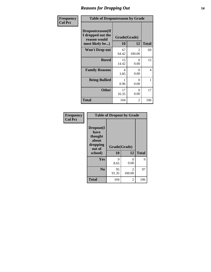### *Reasons for Dropping Out* **14**

| Frequency      | <b>Table of Dropoutreason by Grade</b>                                   |             |                          |              |
|----------------|--------------------------------------------------------------------------|-------------|--------------------------|--------------|
| <b>Col Pct</b> | Dropoutreason(If<br>I dropped out the<br>reason would<br>most likely be) | 10          | Grade(Grade)<br>12       | <b>Total</b> |
|                | <b>Won't Drop out</b>                                                    | 67<br>64.42 | $\mathfrak{D}$<br>100.00 | 69           |
|                | <b>Bored</b>                                                             | 15<br>14.42 | 0<br>0.00                | 15           |
|                | <b>Family Reasons</b>                                                    | 4<br>3.85   | 0<br>0.00                | 4            |
|                | <b>Being Bullied</b>                                                     | 0.96        | 0<br>0.00                | 1            |
|                | <b>Other</b>                                                             | 17<br>16.35 | 0<br>0.00                | 17           |
|                | <b>Total</b>                                                             | 104         | 2                        | 106          |

| Frequency      | <b>Table of Dropout by Grade</b>                                       |             |                          |     |  |
|----------------|------------------------------------------------------------------------|-------------|--------------------------|-----|--|
| <b>Col Pct</b> | Dropout(I<br>have<br>thought<br>about<br>dropping<br>out of<br>school) | 10          | Grade(Grade)<br>12       |     |  |
|                | Yes                                                                    | 9<br>8.65   | 0<br>0.00                | 9   |  |
|                | N <sub>0</sub>                                                         | 95<br>91.35 | $\mathfrak{D}$<br>100.00 | 97  |  |
|                | <b>Total</b>                                                           | 104         | 2                        | 106 |  |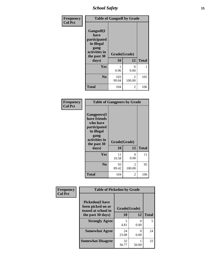*School Safety* **15**

| Frequency      | <b>Table of Gangself by Grade</b>                                                                 |                          |                          |              |
|----------------|---------------------------------------------------------------------------------------------------|--------------------------|--------------------------|--------------|
| <b>Col Pct</b> | Gangself(I<br>have<br>participated<br>in illegal<br>gang<br>activities in<br>the past 30<br>days) | Grade(Grade)<br>10<br>12 |                          | <b>Total</b> |
|                | Yes                                                                                               | 0.96                     | 0<br>0.00                | 1            |
|                | N <sub>0</sub>                                                                                    | 103<br>99.04             | $\mathfrak{D}$<br>100.00 | 105          |
|                | <b>Total</b>                                                                                      | 104                      | 2                        | 106          |

| Frequency<br><b>Col Pct</b> | <b>Table of Gangpeers by Grade</b>                                                                                             |                    |                          |              |
|-----------------------------|--------------------------------------------------------------------------------------------------------------------------------|--------------------|--------------------------|--------------|
|                             | <b>Gangpeers</b> (I<br>have friends<br>who have<br>participated<br>in illegal<br>gang<br>activities in<br>the past 30<br>days) | Grade(Grade)<br>10 | 12                       | <b>Total</b> |
|                             | <b>Yes</b>                                                                                                                     | 11<br>10.58        | 0<br>0.00                | 11           |
|                             | N <sub>0</sub>                                                                                                                 | 93<br>89.42        | $\overline{2}$<br>100.00 | 95           |
|                             | <b>Total</b>                                                                                                                   | 104                | 2                        | 106          |

| Frequency      | <b>Table of Pickedon by Grade</b>                                   |              |                           |              |  |
|----------------|---------------------------------------------------------------------|--------------|---------------------------|--------------|--|
| <b>Col Pct</b> | <b>Pickedon</b> (I have<br>been picked on or<br>teased at school in | Grade(Grade) |                           |              |  |
|                | the past 30 days)                                                   | 10           | 12                        | <b>Total</b> |  |
|                | <b>Strongly Agree</b>                                               | 5<br>4.81    | $\mathbf{0}$<br>0.00      | 5            |  |
|                | <b>Somewhat Agree</b>                                               | 24<br>23.08  | $\mathbf{\Omega}$<br>0.00 | 24           |  |
|                | <b>Somewhat Disagree</b>                                            | 32<br>30.77  | 50.00                     | 33           |  |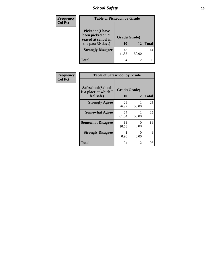*School Safety* **16**

| <b>Frequency</b> | <b>Table of Pickedon by Grade</b>                                                        |                      |    |              |
|------------------|------------------------------------------------------------------------------------------|----------------------|----|--------------|
| <b>Col Pct</b>   | <b>Pickedon</b> (I have<br>been picked on or<br>teased at school in<br>the past 30 days) | Grade(Grade)<br>10   | 12 | <b>Total</b> |
|                  | <b>Strongly Disagree</b>                                                                 | 43<br>41.35<br>50.00 |    | 44           |
|                  | <b>Total</b>                                                                             | 104                  | 2  | 106          |

| Frequency      | <b>Table of Safeschool by Grade</b>                      |                    |                      |              |
|----------------|----------------------------------------------------------|--------------------|----------------------|--------------|
| <b>Col Pct</b> | Safeschool(School<br>is a place at which I<br>feel safe) | Grade(Grade)<br>10 | 12                   | <b>Total</b> |
|                | <b>Strongly Agree</b>                                    | 28<br>26.92        | 50.00                | 29           |
|                | <b>Somewhat Agree</b>                                    | 64<br>61.54        | 50.00                | 65           |
|                | <b>Somewhat Disagree</b>                                 | 11<br>10.58        | 0<br>0.00            | 11           |
|                | <b>Strongly Disagree</b>                                 | 0.96               | $\mathbf{0}$<br>0.00 |              |
|                | <b>Total</b>                                             | 104                | 2                    | 106          |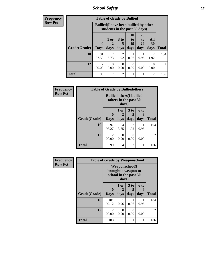*School Safety* **17**

| <b>Frequency</b> |              | <b>Table of Grade by Bullied</b>                                              |                             |                        |                                                                     |                        |                   |                |  |
|------------------|--------------|-------------------------------------------------------------------------------|-----------------------------|------------------------|---------------------------------------------------------------------|------------------------|-------------------|----------------|--|
| <b>Row Pct</b>   |              | <b>Bullied</b> (I have been bullied by other<br>students in the past 30 days) |                             |                        |                                                                     |                        |                   |                |  |
|                  | Grade(Grade) | $\mathbf{0}$<br><b>Days</b>                                                   | 1 or<br>$\mathbf 2$<br>days | 3 to<br>5<br>days      | 10<br>$\mathbf{t}$ <sup><math>\mathbf{0}</math></sup><br>19<br>days | 20<br>to<br>29<br>days | All<br>30<br>days | <b>Total</b>   |  |
|                  | 10           | 91<br>87.50                                                                   | 6.73                        | $\overline{c}$<br>1.92 | 0.96                                                                | 0.96                   | 2<br>1.92         | 104            |  |
|                  | 12           | $\mathfrak{D}$<br>100.00                                                      | 0.00                        | $\Omega$<br>0.00       | $\theta$<br>0.00                                                    | 0<br>0.00              | $\Omega$<br>0.00  | $\overline{2}$ |  |
|                  | <b>Total</b> | 93                                                                            | ┑                           | $\overline{c}$         |                                                                     |                        | $\overline{2}$    | 106            |  |

| <b>Frequency</b> | <b>Table of Grade by Bulliedothers</b> |                         |                                                                   |                        |                   |              |  |  |
|------------------|----------------------------------------|-------------------------|-------------------------------------------------------------------|------------------------|-------------------|--------------|--|--|
| <b>Row Pct</b>   |                                        |                         | <b>Bulliedothers</b> (I bullied<br>others in the past 30<br>days) |                        |                   |              |  |  |
|                  | Grade(Grade)                           | $\bf{0}$<br><b>Days</b> | 1 or<br>days                                                      | 3 to<br>days           | 6 to<br>9<br>days | <b>Total</b> |  |  |
|                  | 10                                     | 97<br>93.27             | 4<br>3.85                                                         | $\overline{2}$<br>1.92 | 0.96              | 104          |  |  |
|                  | 12                                     | 2<br>100.00             | 0<br>0.00                                                         | 0.00                   | $\Omega$<br>0.00  | 2            |  |  |
|                  | <b>Total</b>                           | 99                      | 4                                                                 | $\overline{2}$         | 1                 | 106          |  |  |

| <b>Frequency</b> | <b>Table of Grade by Weaponschool</b> |                  |              |                                                                        |                   |                |
|------------------|---------------------------------------|------------------|--------------|------------------------------------------------------------------------|-------------------|----------------|
| <b>Row Pct</b>   |                                       |                  | days)        | <b>Weaponschool</b> (I<br>brought a weapon to<br>school in the past 30 |                   |                |
|                  | Grade(Grade)                          | 0<br><b>Days</b> | 1 or<br>days | 3 <sub>to</sub><br>days                                                | 6 to<br>9<br>days | <b>Total</b>   |
|                  | 10                                    | 101<br>97.12     | 0.96         | 0.96                                                                   | 0.96              | 104            |
|                  | 12                                    | 2<br>100.00      | ∩<br>0.00    | 0<br>0.00                                                              | 0<br>0.00         | $\overline{2}$ |
|                  | <b>Total</b>                          | 103              |              |                                                                        | 1                 | 106            |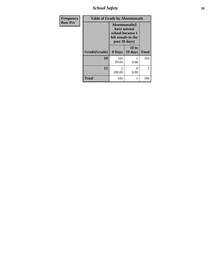*School Safety* **18**

| <b>Frequency</b> | <b>Table of Grade by Absentunsafe</b> |                                                                                           |                  |              |  |  |
|------------------|---------------------------------------|-------------------------------------------------------------------------------------------|------------------|--------------|--|--|
| <b>Row Pct</b>   |                                       | Absentunsafe(I)<br>have missed<br>school because I<br>felt unsafe in the<br>past 30 days) |                  |              |  |  |
|                  | Grade(Grade)                          | 0 Days                                                                                    | 10 to<br>19 days | <b>Total</b> |  |  |
|                  | 10                                    | 103<br>99.04                                                                              | 0.96             | 104          |  |  |
|                  | 12                                    | 2<br>100.00                                                                               | 0<br>0.00        | 2            |  |  |
|                  | <b>Total</b>                          | 105                                                                                       | 1                | 106          |  |  |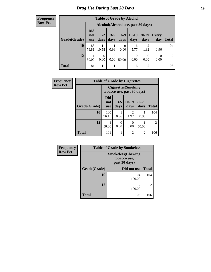#### **Frequency Row Pct**

| <b>Table of Grade by Alcohol</b> |                                 |                                     |                 |                  |                 |                        |                  |       |  |
|----------------------------------|---------------------------------|-------------------------------------|-----------------|------------------|-----------------|------------------------|------------------|-------|--|
|                                  |                                 | Alcohol (Alcohol use, past 30 days) |                 |                  |                 |                        |                  |       |  |
| Grade(Grade)                     | <b>Did</b><br>not<br><b>use</b> | $1 - 2$<br>days                     | $3 - 5$<br>days | $6-9$<br>days    | $10-19$<br>days | $20 - 29$<br>days      | Every<br>day     | Total |  |
| 10                               | 83<br>79.81                     | 11<br>10.58                         | 0.96            | $\theta$<br>0.00 | 6<br>5.77       | $\overline{2}$<br>1.92 | 0.96             | 104   |  |
| 12                               | 50.00                           | $\Omega$<br>0.00                    | 0<br>0.00       | 50.00            | 0<br>0.00       | 0<br>0.00              | $\theta$<br>0.00 | 2     |  |
| <b>Total</b>                     | 84                              | 11                                  |                 |                  | 6               | $\overline{2}$         |                  | 106   |  |

| Frequency      | <b>Table of Grade by Cigarettes</b> |                                 |                 |                                                          |                   |              |
|----------------|-------------------------------------|---------------------------------|-----------------|----------------------------------------------------------|-------------------|--------------|
| <b>Row Pct</b> |                                     |                                 |                 | <b>Cigarettes</b> (Smoking<br>tobacco use, past 30 days) |                   |              |
|                | Grade(Grade)                        | <b>Did</b><br>not<br><b>use</b> | $3 - 5$<br>days | $10-19$<br>days                                          | $20 - 29$<br>days | <b>Total</b> |
|                | 10                                  | 100<br>96.15                    | 0.96            | $\overline{2}$<br>1.92                                   | 0.96              | 104          |
|                | 12                                  | 50.00                           | 0<br>0.00       | 0<br>0.00                                                | 50.00             | 2            |
|                | <b>Total</b>                        | 101                             | 1               | $\overline{2}$                                           | 2                 | 106          |

| Frequency      |              | <b>Table of Grade by Smokeless</b>                         |                |  |  |  |  |
|----------------|--------------|------------------------------------------------------------|----------------|--|--|--|--|
| <b>Row Pct</b> |              | <b>Smokeless</b> (Chewing<br>tobacco use,<br>past 30 days) |                |  |  |  |  |
|                | Grade(Grade) | Did not use                                                | <b>Total</b>   |  |  |  |  |
|                | 10           | 104<br>100.00                                              | 104            |  |  |  |  |
|                | 12           | っ<br>100.00                                                | $\overline{2}$ |  |  |  |  |
|                | <b>Total</b> | 106                                                        | 106            |  |  |  |  |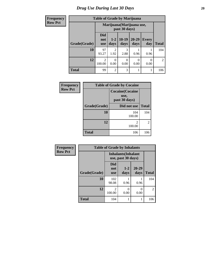#### **Frequency Row Pct**

|  |  | <b>Table of Grade by Marijuana</b> |  |
|--|--|------------------------------------|--|
|  |  |                                    |  |

| $\mathbf{r}$ |              | Table of Orauc by Blaffuana     |                                            |                 |                   |                     |                |  |  |  |
|--------------|--------------|---------------------------------|--------------------------------------------|-----------------|-------------------|---------------------|----------------|--|--|--|
|              |              |                                 | Marijuana (Marijuana use,<br>past 30 days) |                 |                   |                     |                |  |  |  |
|              | Grade(Grade) | <b>Did</b><br>not<br><b>use</b> | $1 - 2$<br>days                            | $10-19$<br>days | $20 - 29$<br>days | <b>Every</b><br>day | <b>Total</b>   |  |  |  |
|              | 10           | 97<br>93.27                     | 2<br>1.92                                  | 3<br>2.88       | 0.96              | 0.96                | 104            |  |  |  |
|              | 12           | $\mathfrak{D}$<br>100.00        | $\Omega$<br>0.00                           | 0.00            | 0<br>0.00         | 0.00                | $\overline{2}$ |  |  |  |
|              | <b>Total</b> | 99                              | 2                                          | 3               |                   |                     | 106            |  |  |  |

| <b>Frequency</b> | <b>Table of Grade by Cocaine</b> |                                                  |              |  |
|------------------|----------------------------------|--------------------------------------------------|--------------|--|
| <b>Row Pct</b>   |                                  | <b>Cocaine</b> (Cocaine<br>use,<br>past 30 days) |              |  |
|                  | Grade(Grade)                     | Did not use                                      | <b>Total</b> |  |
|                  | 10                               | 104<br>100.00                                    | 104          |  |
|                  | 12                               | 2<br>100.00                                      | 2            |  |
|                  | <b>Total</b>                     | 106                                              | 106          |  |

| Frequency      | <b>Table of Grade by Inhalants</b> |                                                  |                 |                   |                |
|----------------|------------------------------------|--------------------------------------------------|-----------------|-------------------|----------------|
| <b>Row Pct</b> |                                    | <b>Inhalants</b> (Inhalant<br>use, past 30 days) |                 |                   |                |
|                | Grade(Grade)                       | Did<br>not<br><b>use</b>                         | $1 - 2$<br>days | $20 - 29$<br>days | <b>Total</b>   |
|                | 10                                 | 102<br>98.08                                     | 0.96            | 0.96              | 104            |
|                | 12                                 | $\mathfrak{D}$<br>100.00                         | 0<br>0.00       | 0<br>0.00         | $\overline{2}$ |
|                | <b>Total</b>                       | 104                                              |                 |                   | 106            |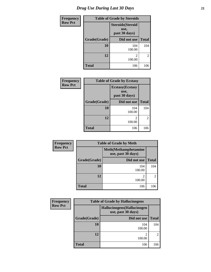| <b>Frequency</b> | <b>Table of Grade by Steroids</b> |                                                   |                |  |  |
|------------------|-----------------------------------|---------------------------------------------------|----------------|--|--|
| <b>Row Pct</b>   |                                   | <b>Steroids</b> (Steroid<br>use,<br>past 30 days) |                |  |  |
|                  | Grade(Grade)                      | Did not use                                       | <b>Total</b>   |  |  |
|                  | 10                                | 104<br>100.00                                     | 104            |  |  |
|                  | 12                                | 2<br>100.00                                       | $\overline{2}$ |  |  |
|                  | <b>Total</b>                      | 106                                               | 106            |  |  |

| <b>Frequency</b> | <b>Table of Grade by Ecstasy</b> |                                                  |              |  |
|------------------|----------------------------------|--------------------------------------------------|--------------|--|
| <b>Row Pct</b>   |                                  | <b>Ecstasy</b> (Ecstasy<br>use,<br>past 30 days) |              |  |
|                  | Grade(Grade)                     | Did not use                                      | <b>Total</b> |  |
|                  | 10                               | 104<br>100.00                                    | 104          |  |
|                  | 12                               | $\mathfrak{D}$<br>100.00                         | 2            |  |
|                  | <b>Total</b>                     | 106                                              | 106          |  |

| Frequency      | <b>Table of Grade by Meth</b> |                                                    |                |  |  |  |
|----------------|-------------------------------|----------------------------------------------------|----------------|--|--|--|
| <b>Row Pct</b> |                               | <b>Meth</b> (Methamphetamine<br>use, past 30 days) |                |  |  |  |
|                | Grade(Grade)                  | Did not use                                        | <b>Total</b>   |  |  |  |
|                | 10                            | 104<br>100.00                                      | 104            |  |  |  |
|                | 12                            | 2<br>100.00                                        | $\overline{c}$ |  |  |  |
|                | <b>Total</b>                  | 106                                                | 106            |  |  |  |

| <b>Frequency</b> | <b>Table of Grade by Hallucinogens</b>            |               |                             |  |  |
|------------------|---------------------------------------------------|---------------|-----------------------------|--|--|
| <b>Row Pct</b>   | Hallucinogens (Hallucinogen<br>use, past 30 days) |               |                             |  |  |
|                  | Grade(Grade)                                      | Did not use   | <b>Total</b>                |  |  |
|                  | 10                                                | 104<br>100.00 | 104                         |  |  |
|                  | 12                                                | 100.00        | $\mathcal{D}_{\mathcal{A}}$ |  |  |
|                  | <b>Total</b>                                      | 106           | 106                         |  |  |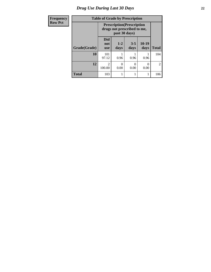### *Drug Use During Last 30 Days* **22**

| Frequency      | <b>Table of Grade by Prescription</b> |                                 |               |                                                                  |               |                |
|----------------|---------------------------------------|---------------------------------|---------------|------------------------------------------------------------------|---------------|----------------|
| <b>Row Pct</b> |                                       |                                 | past 30 days) | <b>Prescription</b> (Prescription<br>drugs not prescribed to me, |               |                |
|                | Grade(Grade)                          | <b>Did</b><br>not<br><b>use</b> | $1-2$<br>days | $3 - 5$<br>days                                                  | 10-19<br>days | <b>Total</b>   |
|                | 10                                    | 101<br>97.12                    | 0.96          | 0.96                                                             | 0.96          | 104            |
|                | 12                                    | $\mathfrak{D}$<br>100.00        | 0<br>0.00     | 0<br>0.00                                                        | 0<br>0.00     | $\overline{2}$ |
|                | <b>Total</b>                          | 103                             |               |                                                                  |               | 106            |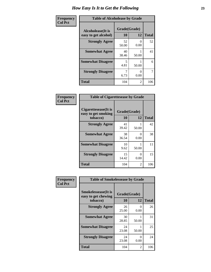| Frequency      | <b>Table of Alcoholease by Grade</b>              |                    |                |              |
|----------------|---------------------------------------------------|--------------------|----------------|--------------|
| <b>Col Pct</b> | <b>Alcoholease</b> (It is<br>easy to get alcohol) | Grade(Grade)<br>10 | 12             | <b>Total</b> |
|                | <b>Strongly Agree</b>                             | 52<br>50.00        | 0.00           | 52           |
|                | <b>Somewhat Agree</b>                             | 40<br>38.46        | 50.00          | 41           |
|                | <b>Somewhat Disagree</b>                          | 5<br>4.81          | 50.00          | 6            |
|                | <b>Strongly Disagree</b>                          | 7<br>6.73          | 0.00           | 7            |
|                | <b>Total</b>                                      | 104                | $\overline{2}$ | 106          |

| Frequency      | <b>Table of Cigarettesease by Grade</b>                  |                           |                  |              |
|----------------|----------------------------------------------------------|---------------------------|------------------|--------------|
| <b>Col Pct</b> | Cigarettesease (It is<br>easy to get smoking<br>tobacco) | Grade(Grade)<br><b>10</b> | 12               | <b>Total</b> |
|                | <b>Strongly Agree</b>                                    | 41<br>39.42               | 50.00            | 42           |
|                | <b>Somewhat Agree</b>                                    | 38<br>36.54               | $\Omega$<br>0.00 | 38           |
|                | <b>Somewhat Disagree</b>                                 | 10<br>9.62                | 50.00            | 11           |
|                | <b>Strongly Disagree</b>                                 | 15<br>14.42               | 0<br>0.00        | 15           |
|                | Total                                                    | 104                       | 2                | 106          |

| Frequency      | <b>Table of Smokelessease by Grade</b>             |              |           |              |  |
|----------------|----------------------------------------------------|--------------|-----------|--------------|--|
| <b>Col Pct</b> | <b>Smokelessease</b> (It is<br>easy to get chewing | Grade(Grade) |           |              |  |
|                | tobacco)                                           | <b>10</b>    | 12        | <b>Total</b> |  |
|                | <b>Strongly Agree</b>                              | 26<br>25.00  | 0<br>0.00 | 26           |  |
|                | <b>Somewhat Agree</b>                              | 30<br>28.85  | 50.00     | 31           |  |
|                | <b>Somewhat Disagree</b>                           | 24<br>23.08  | 50.00     | 25           |  |
|                | <b>Strongly Disagree</b>                           | 24<br>23.08  | 0<br>0.00 | 24           |  |
|                | <b>Total</b>                                       | 104          | 2         | 106          |  |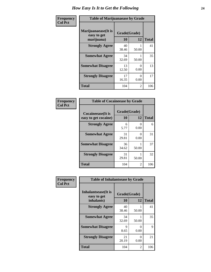| Frequency      | <b>Table of Marijuanaease by Grade</b>           |                    |                  |              |
|----------------|--------------------------------------------------|--------------------|------------------|--------------|
| <b>Col Pct</b> | Marijuanaease(It is<br>easy to get<br>marijuana) | Grade(Grade)<br>10 | 12               | <b>Total</b> |
|                | <b>Strongly Agree</b>                            | 40<br>38.46        | 50.00            | 41           |
|                | <b>Somewhat Agree</b>                            | 34<br>32.69        | 50.00            | 35           |
|                | <b>Somewhat Disagree</b>                         | 13<br>12.50        | $\Omega$<br>0.00 | 13           |
|                | <b>Strongly Disagree</b>                         | 17<br>16.35        | $\Omega$<br>0.00 | 17           |
|                | <b>Total</b>                                     | 104                | 2                | 106          |

#### **Frequency Col Pct**

| <b>Table of Cocaineease by Grade</b>              |                    |           |              |  |  |
|---------------------------------------------------|--------------------|-----------|--------------|--|--|
| <b>Cocaineease</b> (It is<br>easy to get cocaine) | Grade(Grade)<br>10 | 12        | <b>Total</b> |  |  |
| <b>Strongly Agree</b>                             | 6<br>5.77          | 0<br>0.00 | 6            |  |  |
| <b>Somewhat Agree</b>                             | 31<br>29.81        | 0<br>0.00 | 31           |  |  |
| <b>Somewhat Disagree</b>                          | 36<br>34.62        | 50.00     | 37           |  |  |
| <b>Strongly Disagree</b>                          | 31<br>29.81        | 50.00     | 32           |  |  |
| <b>Total</b>                                      | 104                | 2         | 106          |  |  |

| Frequency      | <b>Table of Inhalantsease by Grade</b>           |                    |           |              |
|----------------|--------------------------------------------------|--------------------|-----------|--------------|
| <b>Col Pct</b> | Inhalantsease(It is<br>easy to get<br>inhalants) | Grade(Grade)<br>10 | 12        | <b>Total</b> |
|                | <b>Strongly Agree</b>                            | 40<br>38.46        | 50.00     | 41           |
|                | <b>Somewhat Agree</b>                            | 34<br>32.69        | 50.00     | 35           |
|                | <b>Somewhat Disagree</b>                         | 9<br>8.65          | 0<br>0.00 | 9            |
|                | <b>Strongly Disagree</b>                         | 21<br>20.19        | 0<br>0.00 | 21           |
|                | <b>Total</b>                                     | 104                | 2         | 106          |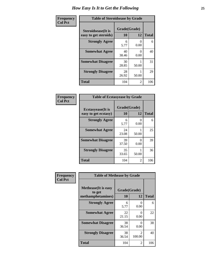| Frequency      | <b>Table of Steroidsease by Grade</b>               |             |                       |              |  |  |
|----------------|-----------------------------------------------------|-------------|-----------------------|--------------|--|--|
| <b>Col Pct</b> | <b>Steroidsease</b> (It is<br>easy to get steroids) |             | Grade(Grade)<br>12    | <b>Total</b> |  |  |
|                | <b>Strongly Agree</b>                               | 6<br>5.77   | 0.00                  | 6            |  |  |
|                | <b>Somewhat Agree</b>                               | 40<br>38.46 | $\mathcal{O}$<br>0.00 | 40           |  |  |
|                | <b>Somewhat Disagree</b>                            | 30<br>28.85 | 50.00                 | 31           |  |  |
|                | <b>Strongly Disagree</b>                            | 28<br>26.92 | 50.00                 | 29           |  |  |
|                | <b>Total</b>                                        | 104         | $\overline{2}$        | 106          |  |  |

| Frequency      | <b>Table of Ecstasyease by Grade</b>              |             |                                 |     |  |  |  |
|----------------|---------------------------------------------------|-------------|---------------------------------|-----|--|--|--|
| <b>Col Pct</b> | <b>Ecstasyease</b> (It is<br>easy to get ecstasy) |             | Grade(Grade)<br><b>10</b><br>12 |     |  |  |  |
|                | <b>Strongly Agree</b>                             | 6<br>5.77   | $\Omega$<br>0.00                | 6   |  |  |  |
|                | <b>Somewhat Agree</b>                             | 24<br>23.08 | 50.00                           | 25  |  |  |  |
|                | <b>Somewhat Disagree</b>                          | 39<br>37.50 | 0<br>0.00                       | 39  |  |  |  |
|                | <b>Strongly Disagree</b>                          | 35<br>33.65 | 50.00                           | 36  |  |  |  |
|                | <b>Total</b>                                      | 104         | 2                               | 106 |  |  |  |

| Frequency      | <b>Table of Methease by Grade</b>                          |                    |             |              |  |  |  |
|----------------|------------------------------------------------------------|--------------------|-------------|--------------|--|--|--|
| <b>Col Pct</b> | <b>Methease</b> (It is easy<br>to get<br>methamphetamines) | Grade(Grade)<br>10 | 12          | <b>Total</b> |  |  |  |
|                | <b>Strongly Agree</b>                                      | 6<br>5.77          | 0<br>0.00   | 6            |  |  |  |
|                | <b>Somewhat Agree</b>                                      | 22<br>21.15        | 0<br>0.00   | 22           |  |  |  |
|                | <b>Somewhat Disagree</b>                                   | 38<br>36.54        | 0<br>0.00   | 38           |  |  |  |
|                | <b>Strongly Disagree</b>                                   | 38<br>36.54        | 2<br>100.00 | 40           |  |  |  |
|                | Total                                                      | 104                | 2           | 106          |  |  |  |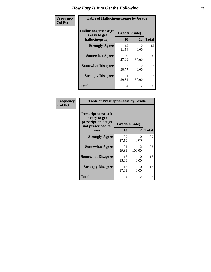| <b>Frequency</b> | <b>Table of Hallucinogensease by Grade</b>               |                    |           |              |  |  |
|------------------|----------------------------------------------------------|--------------------|-----------|--------------|--|--|
| <b>Col Pct</b>   | Hallucinogensease(It<br>is easy to get<br>hallucinogens) | Grade(Grade)<br>10 | 12        | <b>Total</b> |  |  |
|                  | <b>Strongly Agree</b>                                    | 12<br>11.54        | 0<br>0.00 | 12           |  |  |
|                  | <b>Somewhat Agree</b>                                    | 29<br>27.88        | 50.00     | 30           |  |  |
|                  | <b>Somewhat Disagree</b>                                 | 32<br>30.77        | 0<br>0.00 | 32           |  |  |
|                  | <b>Strongly Disagree</b>                                 | 31<br>29.81        | 50.00     | 32           |  |  |
|                  | <b>Total</b>                                             | 104                | 2         | 106          |  |  |

| Frequency<br>  Col Pct |
|------------------------|
|                        |

г

| <b>Table of Prescriptionease by Grade</b>                                                |             |                         |              |  |  |
|------------------------------------------------------------------------------------------|-------------|-------------------------|--------------|--|--|
| <b>Prescriptionease</b> (It<br>is easy to get<br>prescription drugs<br>not prescribed to |             | Grade(Grade)            |              |  |  |
| me)                                                                                      | 10          | 12                      | <b>Total</b> |  |  |
| <b>Strongly Agree</b>                                                                    | 39<br>37.50 | $\mathbf{0}$<br>0.00    | 39           |  |  |
| <b>Somewhat Agree</b>                                                                    | 31<br>29.81 | $\mathcal{L}$<br>100.00 | 33           |  |  |
| <b>Somewhat Disagree</b>                                                                 | 16<br>15.38 | $\mathbf{0}$<br>0.00    | 16           |  |  |
| <b>Strongly Disagree</b>                                                                 | 18<br>17.31 | ∩<br>0.00               | 18           |  |  |
| <b>Total</b>                                                                             | 104         | 2                       | 106          |  |  |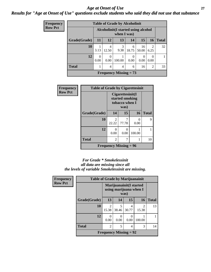#### *Age at Onset of Use* **27** *Results for "Age at Onset of Use" questions exclude students who said they did not use that substance*

| <b>Frequency</b> | <b>Table of Grade by Alcoholinit</b> |                                                     |                  |                               |            |                  |                        |              |
|------------------|--------------------------------------|-----------------------------------------------------|------------------|-------------------------------|------------|------------------|------------------------|--------------|
| <b>Row Pct</b>   |                                      | Alcoholinit (I started using alcohol<br>when I was) |                  |                               |            |                  |                        |              |
|                  | Grade(Grade)                         | 11                                                  | 12               | 13                            | 14         | 15               | <b>16</b>              | <b>Total</b> |
|                  | 10                                   | 3.13                                                | 4<br>12.50       | 3<br>9.38                     | 6<br>18.75 | 16<br>50.00      | $\overline{2}$<br>6.25 | 32           |
|                  | 12                                   | $\Omega$<br>0.00                                    | $\Omega$<br>0.00 | 100.00                        | 0<br>0.00  | $\theta$<br>0.00 | 0<br>0.00              |              |
|                  | <b>Total</b>                         |                                                     | 4                | 4                             | 6          | 16               | 2                      | 33           |
|                  |                                      |                                                     |                  | <b>Frequency Missing = 73</b> |            |                  |                        |              |

| Frequency      | <b>Table of Grade by Cigarettesinit</b> |                                                               |            |           |              |  |  |
|----------------|-----------------------------------------|---------------------------------------------------------------|------------|-----------|--------------|--|--|
| <b>Row Pct</b> |                                         | Cigarettesinit(I<br>started smoking<br>tobacco when I<br>was) |            |           |              |  |  |
|                | Grade(Grade)                            | 14                                                            | 15         | <b>16</b> | <b>Total</b> |  |  |
|                | 10                                      | 2<br>22.22                                                    | 7<br>77.78 | ∩<br>0.00 | 9            |  |  |
|                | 12                                      | 0<br>0.00                                                     | 0<br>0.00  | 100.00    |              |  |  |
|                | <b>Total</b>                            | 2                                                             |            |           | 10           |  |  |
|                | <b>Frequency Missing = 96</b>           |                                                               |            |           |              |  |  |

#### *For Grade \* Smokelessinit all data are missing since all the levels of variable Smokelessinit are missing.*

| <b>Frequency</b> | <b>Table of Grade by Marijuanainit</b> |                                                            |            |            |                         |              |  |
|------------------|----------------------------------------|------------------------------------------------------------|------------|------------|-------------------------|--------------|--|
| <b>Row Pct</b>   |                                        | Marijuanainit (I started<br>using marijuana when I<br>was) |            |            |                         |              |  |
|                  | Grade(Grade)                           | 13                                                         | 14         | 15         | 16                      | <b>Total</b> |  |
|                  | 10                                     | 2<br>15.38                                                 | 5<br>38.46 | 4<br>30.77 | $\mathfrak{D}$<br>15.38 | 13           |  |
|                  | 12                                     | $\Omega$<br>0.00                                           | 0.00       | 0<br>0.00  | 100.00                  |              |  |
|                  | <b>Total</b>                           | $\overline{2}$                                             | 5          | 4          | 3                       | 14           |  |
|                  | <b>Frequency Missing = 92</b>          |                                                            |            |            |                         |              |  |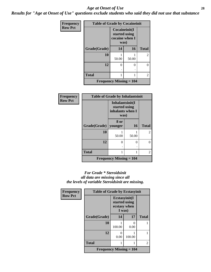#### *Age at Onset of Use* **28**

*Results for "Age at Onset of Use" questions exclude students who said they did not use that substance*

| Frequency      | <b>Table of Grade by Cocaineinit</b> |                                                          |       |                |  |  |  |
|----------------|--------------------------------------|----------------------------------------------------------|-------|----------------|--|--|--|
| <b>Row Pct</b> |                                      | Cocaineinit(I<br>started using<br>cocaine when I<br>was) |       |                |  |  |  |
|                | Grade(Grade)                         | 14                                                       | 16    | <b>Total</b>   |  |  |  |
|                | 10                                   | 50.00                                                    | 50.00 | $\overline{2}$ |  |  |  |
|                | 12                                   | 0<br>٠                                                   | 0     | 0              |  |  |  |
|                | <b>Total</b>                         |                                                          |       | $\overline{2}$ |  |  |  |
|                | <b>Frequency Missing = 104</b>       |                                                          |       |                |  |  |  |

| <b>Frequency</b> | <b>Table of Grade by Inhalantsinit</b>      |                                                              |          |              |  |  |
|------------------|---------------------------------------------|--------------------------------------------------------------|----------|--------------|--|--|
| <b>Row Pct</b>   |                                             | Inhalantsinit(I<br>started using<br>inhalants when I<br>was) |          |              |  |  |
|                  | Grade(Grade)                                | 8 or<br>younger                                              | 16       | <b>Total</b> |  |  |
|                  | 10                                          | 50.00                                                        | 50.00    | 2            |  |  |
|                  | 12                                          | 0                                                            | $\theta$ | 0            |  |  |
|                  | <b>Total</b>                                |                                                              |          | 2            |  |  |
|                  | <b>Frequency Missing <math>= 104</math></b> |                                                              |          |              |  |  |

#### *For Grade \* Steroidsinit all data are missing since all the levels of variable Steroidsinit are missing.*

| <b>Frequency</b> | <b>Table of Grade by Ecstasyinit</b>        |                                                          |                           |                |
|------------------|---------------------------------------------|----------------------------------------------------------|---------------------------|----------------|
| <b>Row Pct</b>   |                                             | Ecstasyinit(I<br>started using<br>ecstasy when<br>I was) |                           |                |
|                  | Grade(Grade)                                | 14                                                       | 17                        | <b>Total</b>   |
|                  | 10                                          | 100.00                                                   | $\mathbf{\Omega}$<br>0.00 |                |
|                  | 12                                          | 0<br>0.00                                                | 100.00                    |                |
|                  | <b>Total</b>                                |                                                          |                           | $\mathfrak{D}$ |
|                  | <b>Frequency Missing <math>= 104</math></b> |                                                          |                           |                |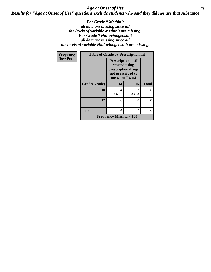### *Age at Onset of Use* **29** *Results for "Age at Onset of Use" questions exclude students who said they did not use that substance*

*For Grade \* Methinit all data are missing since all the levels of variable Methinit are missing. For Grade \* Hallucinogensinit all data are missing since all the levels of variable Hallucinogensinit are missing.*

| Frequency      | <b>Table of Grade by Prescriptioninit</b> |                                             |                                                                                                  |              |
|----------------|-------------------------------------------|---------------------------------------------|--------------------------------------------------------------------------------------------------|--------------|
| <b>Row Pct</b> |                                           |                                             | Prescriptioninit(I<br>started using<br>prescription drugs<br>not prescribed to<br>me when I was) |              |
|                | Grade(Grade)                              | 14                                          | 15                                                                                               | <b>Total</b> |
|                | 10                                        | 4<br>66.67                                  | $\mathfrak{D}$<br>33.33                                                                          | 6            |
|                | 12                                        | 0                                           | 0                                                                                                | 0            |
|                | <b>Total</b>                              | 4                                           | 2                                                                                                | 6            |
|                |                                           | <b>Frequency Missing <math>= 100</math></b> |                                                                                                  |              |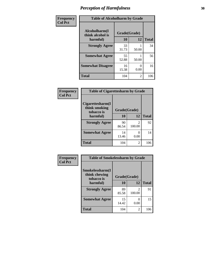| Frequency      | <b>Table of Alcoholharm by Grade</b>          |                    |                           |              |
|----------------|-----------------------------------------------|--------------------|---------------------------|--------------|
| <b>Col Pct</b> | Alcoholharm(I<br>think alcohol is<br>harmful) | Grade(Grade)<br>10 | 12                        | <b>Total</b> |
|                | <b>Strongly Agree</b>                         | 33<br>31.73        | 50.00                     | 34           |
|                | <b>Somewhat Agree</b>                         | 55<br>52.88        | 50.00                     | 56           |
|                | <b>Somewhat Disagree</b>                      | 16<br>15.38        | $\mathbf{\Omega}$<br>0.00 | 16           |
|                | <b>Total</b>                                  | 104                | $\mathfrak{D}$            | 106          |

| Frequency      | <b>Table of Cigarettesharm by Grade</b>         |              |                          |              |
|----------------|-------------------------------------------------|--------------|--------------------------|--------------|
| <b>Col Pct</b> | Cigarettesharm(I<br>think smoking<br>tobacco is | Grade(Grade) |                          |              |
|                | harmful)                                        | 10           | 12                       | <b>Total</b> |
|                | <b>Strongly Agree</b>                           | 90<br>86.54  | $\mathfrak{D}$<br>100.00 | 92           |
|                | <b>Somewhat Agree</b>                           | 14<br>13.46  | 0.00                     | 14           |
|                | <b>Total</b>                                    | 104          | $\mathfrak{D}$           | 106          |

| Frequency      | <b>Table of Smokelessharm by Grade</b>         |              |                          |              |
|----------------|------------------------------------------------|--------------|--------------------------|--------------|
| <b>Col Pct</b> | Smokelessharm(I<br>think chewing<br>tobacco is | Grade(Grade) |                          |              |
|                | harmful)                                       | 10           | 12                       | <b>Total</b> |
|                | <b>Strongly Agree</b>                          | 89<br>85.58  | $\mathfrak{D}$<br>100.00 | 91           |
|                | <b>Somewhat Agree</b>                          | 15<br>14.42  | 0.00                     | 15           |
|                | <b>Total</b>                                   | 104          | 2                        | 106          |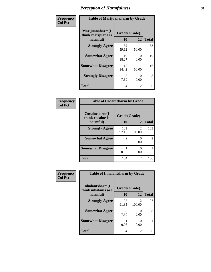| Frequency      | <b>Table of Marijuanaharm by Grade</b>            |                    |                  |              |
|----------------|---------------------------------------------------|--------------------|------------------|--------------|
| <b>Col Pct</b> | Marijuanaharm(I<br>think marijuana is<br>harmful) | Grade(Grade)<br>10 | 12               | <b>Total</b> |
|                | <b>Strongly Agree</b>                             | 62<br>59.62        | 50.00            | 63           |
|                | <b>Somewhat Agree</b>                             | 19<br>18.27        | $\Omega$<br>0.00 | 19           |
|                | <b>Somewhat Disagree</b>                          | 15<br>14.42        | 50.00            | 16           |
|                | <b>Strongly Disagree</b>                          | 8<br>7.69          | 0<br>0.00        | 8            |
|                | <b>Total</b>                                      | 104                | $\mathfrak{D}$   | 106          |

#### **Frequency Col Pct**

| <b>Table of Cocaineharm by Grade</b> |              |                |              |  |
|--------------------------------------|--------------|----------------|--------------|--|
| Cocaineharm(I<br>think cocaine is    | Grade(Grade) |                |              |  |
| harmful)                             | 10           | 12             | <b>Total</b> |  |
| <b>Strongly Agree</b>                | 101<br>97.12 | 2<br>100.00    | 103          |  |
| <b>Somewhat Agree</b>                | 2<br>1.92    | 0.00           | 2            |  |
| <b>Somewhat Disagree</b>             | 0.96         | 0.00           |              |  |
| <b>Total</b>                         | 104          | $\mathfrak{D}$ | 106          |  |

| Frequency      | <b>Table of Inhalantsharm by Grade</b>  |              |           |              |
|----------------|-----------------------------------------|--------------|-----------|--------------|
| <b>Col Pct</b> | Inhalantsharm(I)<br>think inhalants are | Grade(Grade) |           |              |
|                | harmful)                                | 10           | 12        | <b>Total</b> |
|                | <b>Strongly Agree</b>                   | 95<br>91.35  | 100.00    | 97           |
|                | <b>Somewhat Agree</b>                   | 8<br>7.69    | 0.00      | 8            |
|                | <b>Somewhat Disagree</b>                | 0.96         | 0<br>0.00 |              |
|                | <b>Total</b>                            | 104          | 2         | 106          |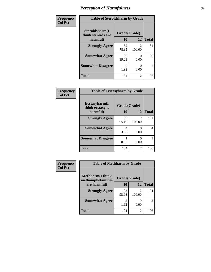| Frequency      | <b>Table of Steroidsharm by Grade</b> |                        |                          |              |
|----------------|---------------------------------------|------------------------|--------------------------|--------------|
| <b>Col Pct</b> | Steroidsharm(I<br>think steroids are  | Grade(Grade)           |                          |              |
|                | harmful)                              | 10                     | 12                       | <b>Total</b> |
|                | <b>Strongly Agree</b>                 | 82<br>78.85            | $\mathfrak{D}$<br>100.00 | 84           |
|                | <b>Somewhat Agree</b>                 | 20<br>19.23            | 0.00                     | 20           |
|                | <b>Somewhat Disagree</b>              | $\mathfrak{D}$<br>1.92 | 0.00                     | 2            |
|                | <b>Total</b>                          | 104                    | $\mathfrak{D}$           | 106          |

| Frequency      | <b>Table of Ecstasyharm by Grade</b> |              |                         |              |
|----------------|--------------------------------------|--------------|-------------------------|--------------|
| <b>Col Pct</b> | Ecstasyharm(I<br>think ecstasy is    | Grade(Grade) |                         |              |
|                | harmful)                             | 10           | 12                      | <b>Total</b> |
|                | <b>Strongly Agree</b>                | 99<br>95.19  | $\mathcal{L}$<br>100.00 | 101          |
|                | <b>Somewhat Agree</b>                | 4<br>3.85    | 0.00                    | 4            |
|                | <b>Somewhat Disagree</b>             | 0.96         | 0.00                    |              |
|                | <b>Total</b>                         | 104          | 2                       | 106          |

| Frequency      | <b>Table of Methharm by Grade</b>            |              |             |              |
|----------------|----------------------------------------------|--------------|-------------|--------------|
| <b>Col Pct</b> | <b>Methharm</b> (I think<br>methamphetamines | Grade(Grade) |             |              |
|                | are harmful)                                 | 10           | 12          | <b>Total</b> |
|                | <b>Strongly Agree</b>                        | 102<br>98.08 | 2<br>100.00 | 104          |
|                | <b>Somewhat Agree</b>                        | 2<br>1.92    | 0.00        | 2            |
|                | <b>Total</b>                                 | 104          | 2           | 106          |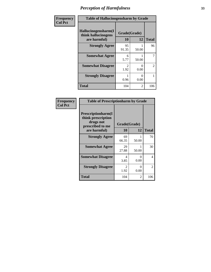| Frequency      | <b>Table of Hallucinogensharm by Grade</b>                 |                           |           |                |
|----------------|------------------------------------------------------------|---------------------------|-----------|----------------|
| <b>Col Pct</b> | Hallucinogensharm(I<br>think hallucinogens<br>are harmful) | Grade(Grade)<br><b>10</b> | 12        | <b>Total</b>   |
|                | <b>Strongly Agree</b>                                      | 95<br>91.35               | 50.00     | 96             |
|                | <b>Somewhat Agree</b>                                      | 6<br>5.77                 | 50.00     | $\overline{7}$ |
|                | <b>Somewhat Disagree</b>                                   | 2<br>1.92                 | 0<br>0.00 | $\overline{2}$ |
|                | <b>Strongly Disagree</b>                                   | 0.96                      | 0<br>0.00 | 1              |
|                | <b>Total</b>                                               | 104                       | 2         | 106            |

#### **Frequency Col Pct**

| <b>Table of Prescriptionharm by Grade</b>                                                         |                    |           |              |  |  |
|---------------------------------------------------------------------------------------------------|--------------------|-----------|--------------|--|--|
| <b>Prescriptionharm(I)</b><br>think prescription<br>drugs not<br>prescribed to me<br>are harmful) | Grade(Grade)<br>10 | 12        | <b>Total</b> |  |  |
|                                                                                                   |                    |           |              |  |  |
| <b>Strongly Agree</b>                                                                             | 69<br>66.35        | 50.00     | 70           |  |  |
| <b>Somewhat Agree</b>                                                                             | 29<br>27.88        | 50.00     | 30           |  |  |
| <b>Somewhat Disagree</b>                                                                          | 4<br>3.85          | 0<br>0.00 | 4            |  |  |
| <b>Strongly Disagree</b>                                                                          | 2<br>1.92          | 0<br>0.00 | 2            |  |  |
| <b>Total</b>                                                                                      | 104                | 2         | 106          |  |  |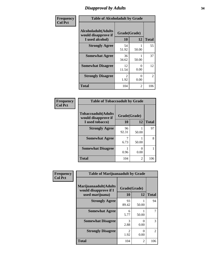### *Disapproval by Adults* **34**

| Frequency      | <b>Table of Alcoholadult by Grade</b>                                 |                        |           |                |
|----------------|-----------------------------------------------------------------------|------------------------|-----------|----------------|
| <b>Col Pct</b> | <b>Alcoholadult</b> (Adults<br>would disapprove if<br>I used alcohol) | Grade(Grade)<br>10     | 12        | <b>Total</b>   |
|                | <b>Strongly Agree</b>                                                 | 54<br>51.92            | 50.00     | 55             |
|                | <b>Somewhat Agree</b>                                                 | 36<br>34.62            | 50.00     | 37             |
|                | <b>Somewhat Disagree</b>                                              | 12<br>11.54            | 0<br>0.00 | 12             |
|                | <b>Strongly Disagree</b>                                              | $\mathfrak{D}$<br>1.92 | O<br>0.00 | $\overline{2}$ |
|                | <b>Total</b>                                                          | 104                    | 2         | 106            |

#### **Frequency Col Pct**

| <b>Table of Tobaccoadult by Grade</b>             |              |       |              |  |  |
|---------------------------------------------------|--------------|-------|--------------|--|--|
| <b>Tobaccoadult(Adults</b><br>would disapprove if | Grade(Grade) |       |              |  |  |
| I used tobacco)                                   | 10           | 12    | <b>Total</b> |  |  |
| <b>Strongly Agree</b>                             | 96<br>92.31  | 50.00 | 97           |  |  |
| <b>Somewhat Agree</b>                             | 6.73         | 50.00 | 8            |  |  |
| <b>Somewhat Disagree</b>                          | 0.96         | 0.00  |              |  |  |
| <b>Total</b>                                      | 104          | 2     | 106          |  |  |

| <b>Frequency</b> | <b>Table of Marijuanaadult by Grade</b>                           |                    |                  |               |
|------------------|-------------------------------------------------------------------|--------------------|------------------|---------------|
| <b>Col Pct</b>   | Marijuanaadult(Adults<br>would disapprove if I<br>used marijuana) | Grade(Grade)<br>10 | 12               | <b>Total</b>  |
|                  | <b>Strongly Agree</b>                                             | 93<br>89.42        | 50.00            | 94            |
|                  | <b>Somewhat Agree</b>                                             | 6<br>5.77          | 50.00            |               |
|                  | <b>Somewhat Disagree</b>                                          | 3<br>2.88          | 0<br>0.00        | $\mathcal{R}$ |
|                  | <b>Strongly Disagree</b>                                          | 2<br>1.92          | $\Omega$<br>0.00 | 2             |
|                  | <b>Total</b>                                                      | 104                | $\overline{2}$   | 106           |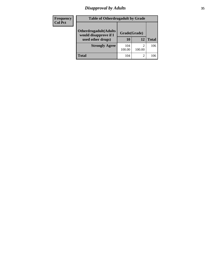### *Disapproval by Adults* **35**

| <b>Frequency</b><br><b>Col Pct</b> | <b>Table of Otherdrugadult by Grade</b>                |               |              |              |
|------------------------------------|--------------------------------------------------------|---------------|--------------|--------------|
|                                    | <b>Otherdrugadult</b> (Adults<br>would disapprove if I |               | Grade(Grade) |              |
|                                    | used other drugs)                                      | 10            | 12           | <b>Total</b> |
|                                    | <b>Strongly Agree</b>                                  | 104<br>100.00 | 2<br>100.00  | 106          |
|                                    | <b>Total</b>                                           | 104           | 2            | 106          |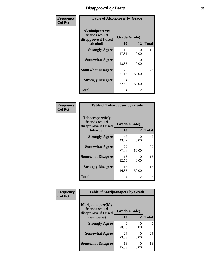### *Disapproval by Peers* **36**

| Frequency      | <b>Table of Alcoholpeer by Grade</b>                    |              |                           |              |
|----------------|---------------------------------------------------------|--------------|---------------------------|--------------|
| <b>Col Pct</b> | Alcoholpeer(My<br>friends would<br>disapprove if I used | Grade(Grade) |                           |              |
|                | alcohol)                                                | 10           | 12                        | <b>Total</b> |
|                | <b>Strongly Agree</b>                                   | 18<br>17.31  | 0<br>0.00                 | 18           |
|                | <b>Somewhat Agree</b>                                   | 30<br>28.85  | $\mathbf{\Omega}$<br>0.00 | 30           |
|                | <b>Somewhat Disagree</b>                                | 22<br>21.15  | 50.00                     | 23           |
|                | <b>Strongly Disagree</b>                                | 34<br>32.69  | 50.00                     | 35           |
|                | Total                                                   | 104          | 2                         | 106          |

| Frequency      | <b>Table of Tobaccopeer by Grade</b>                                |                    |           |              |
|----------------|---------------------------------------------------------------------|--------------------|-----------|--------------|
| <b>Col Pct</b> | Tobaccopeer(My<br>friends would<br>disapprove if I used<br>tobacco) | Grade(Grade)<br>10 | 12        | <b>Total</b> |
|                | <b>Strongly Agree</b>                                               | 45<br>43.27        | 0<br>0.00 | 45           |
|                | <b>Somewhat Agree</b>                                               | 29<br>27.88        | 50.00     | 30           |
|                | <b>Somewhat Disagree</b>                                            | 13<br>12.50        | 0<br>0.00 | 13           |
|                | <b>Strongly Disagree</b>                                            | 17<br>16.35        | 50.00     | 18           |
|                | <b>Total</b>                                                        | 104                | 2         | 106          |

| Frequency      | <b>Table of Marijuanapeer by Grade</b>                    |              |                           |              |
|----------------|-----------------------------------------------------------|--------------|---------------------------|--------------|
| <b>Col Pct</b> | Marijuanapeer(My<br>friends would<br>disapprove if I used | Grade(Grade) |                           |              |
|                | marijuana)                                                | 10           | 12                        | <b>Total</b> |
|                | <b>Strongly Agree</b>                                     | 40<br>38.46  | $\mathbf{\Omega}$<br>0.00 | 40           |
|                | <b>Somewhat Agree</b>                                     | 24<br>23.08  | 0.00                      | 24           |
|                | <b>Somewhat Disagree</b>                                  | 16<br>15.38  | 0<br>0.00                 | 16           |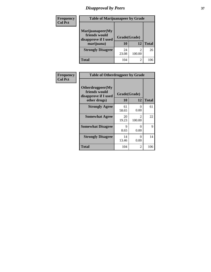# *Disapproval by Peers* **37**

| Frequency<br><b>Col Pct</b> | <b>Table of Marijuanapeer by Grade</b>                                  |                    |                |              |
|-----------------------------|-------------------------------------------------------------------------|--------------------|----------------|--------------|
|                             | Marijuanapeer(My<br>friends would<br>disapprove if I used<br>marijuana) | Grade(Grade)<br>10 | 12             | <b>Total</b> |
|                             | <b>Strongly Disagree</b>                                                | 24<br>23.08        | 100.00         | 26           |
|                             | Total                                                                   | 104                | $\overline{2}$ | 106          |

| Frequency      | <b>Table of Otherdrugpeer by Grade</b>                                    |                    |             |              |
|----------------|---------------------------------------------------------------------------|--------------------|-------------|--------------|
| <b>Col Pct</b> | Otherdrugpeer(My<br>friends would<br>disapprove if I used<br>other drugs) | Grade(Grade)<br>10 | 12          | <b>Total</b> |
|                | <b>Strongly Agree</b>                                                     | 61                 | $\theta$    | 61           |
|                |                                                                           | 58.65              | 0.00        |              |
|                | <b>Somewhat Agree</b>                                                     | 20<br>19.23        | 2<br>100.00 | 22           |
|                | <b>Somewhat Disagree</b>                                                  | 9<br>8.65          | 0<br>0.00   | 9            |
|                | <b>Strongly Disagree</b>                                                  | 14<br>13.46        | 0<br>0.00   | 14           |
|                | Total                                                                     | 104                | 2           | 106          |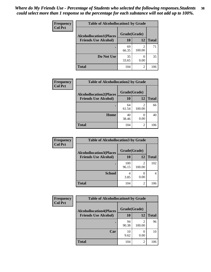| Frequency<br><b>Col Pct</b> | <b>Table of Alcohollocation1 by Grade</b> |              |                |              |  |
|-----------------------------|-------------------------------------------|--------------|----------------|--------------|--|
|                             | <b>Alcohollocation1(Places</b>            | Grade(Grade) |                |              |  |
|                             | <b>Friends Use Alcohol)</b>               | 10           | 12             | <b>Total</b> |  |
|                             |                                           | 69<br>66.35  | 2<br>100.00    | 71           |  |
|                             | Do Not Use                                | 35<br>33.65  | 0.00           | 35           |  |
|                             | <b>Total</b>                              | 104          | $\overline{2}$ | 106          |  |

| Frequency      | <b>Table of Alcohollocation2 by Grade</b>                     |                    |                |              |
|----------------|---------------------------------------------------------------|--------------------|----------------|--------------|
| <b>Col Pct</b> | <b>Alcohollocation2(Places</b><br><b>Friends Use Alcohol)</b> | Grade(Grade)<br>10 | <b>12</b>      | <b>Total</b> |
|                |                                                               | 64<br>61.54        | 2<br>100.00    | 66           |
|                | Home                                                          | 40<br>38.46        | 0.00           | 40           |
|                | <b>Total</b>                                                  | 104                | $\overline{2}$ | 106          |

| Frequency<br><b>Col Pct</b> | <b>Table of Alcohollocation 3 by Grade</b>                    |                    |                          |              |  |
|-----------------------------|---------------------------------------------------------------|--------------------|--------------------------|--------------|--|
|                             | <b>Alcohollocation3(Places</b><br><b>Friends Use Alcohol)</b> | Grade(Grade)<br>10 | 12                       | <b>Total</b> |  |
|                             |                                                               | 100<br>96.15       | $\overline{c}$<br>100.00 | 102          |  |
|                             | <b>School</b>                                                 | 4<br>3.85          | 0.00                     | 4            |  |
|                             | <b>Total</b>                                                  | 104                | 2                        | 106          |  |

| <b>Frequency</b> | <b>Table of Alcohollocation4 by Grade</b> |              |                          |              |  |
|------------------|-------------------------------------------|--------------|--------------------------|--------------|--|
| <b>Col Pct</b>   | <b>Alcohollocation4(Places</b>            | Grade(Grade) |                          |              |  |
|                  | <b>Friends Use Alcohol)</b>               | 10           | 12                       | <b>Total</b> |  |
|                  |                                           | 94<br>90.38  | $\mathfrak{D}$<br>100.00 | 96           |  |
|                  | Car                                       | 10<br>9.62   | 0<br>0.00                | 10           |  |
|                  | Total                                     | 104          | 2                        | 106          |  |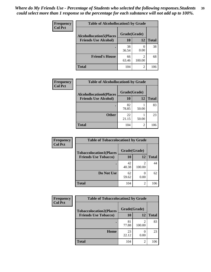| <b>Frequency</b><br><b>Col Pct</b> | <b>Table of Alcohollocation5 by Grade</b> |              |             |              |  |
|------------------------------------|-------------------------------------------|--------------|-------------|--------------|--|
|                                    | <b>Alcohollocation5(Places</b>            | Grade(Grade) |             |              |  |
|                                    | <b>Friends Use Alcohol)</b>               | 10           | 12          | <b>Total</b> |  |
|                                    |                                           | 38<br>36.54  | 0.00        | 38           |  |
|                                    | <b>Friend's House</b>                     | 66<br>63.46  | 2<br>100.00 | 68           |  |
|                                    | <b>Total</b>                              | 104          | 2           | 106          |  |

| Frequency      | <b>Table of Alcohollocation6 by Grade</b> |                    |       |              |
|----------------|-------------------------------------------|--------------------|-------|--------------|
| <b>Col Pct</b> | <b>Alcohollocation6(Places</b>            | Grade(Grade)<br>10 |       |              |
|                | <b>Friends Use Alcohol)</b>               |                    | 12    | <b>Total</b> |
|                |                                           | 82<br>78.85        | 50.00 | 83           |
|                | <b>Other</b>                              | 22<br>21.15        | 50.00 | 23           |
|                | <b>Total</b>                              | 104                | 2     | 106          |

| Frequency      | <b>Table of Tobaccolocation1 by Grade</b> |              |                |              |
|----------------|-------------------------------------------|--------------|----------------|--------------|
| <b>Col Pct</b> | <b>Tobaccolocation1(Places</b>            | Grade(Grade) |                |              |
|                | <b>Friends Use Tobacco)</b>               | 10           | 12             | <b>Total</b> |
|                |                                           | 42<br>40.38  | 2<br>100.00    | 44           |
|                | Do Not Use                                | 62<br>59.62  | 0.00           | 62           |
|                | <b>Total</b>                              | 104          | $\overline{2}$ | 106          |

| <b>Frequency</b> | <b>Table of Tobaccolocation2 by Grade</b> |              |                          |              |
|------------------|-------------------------------------------|--------------|--------------------------|--------------|
| <b>Col Pct</b>   | <b>Tobaccolocation2(Places</b>            | Grade(Grade) |                          |              |
|                  | <b>Friends Use Tobacco)</b>               | 10           | 12                       | <b>Total</b> |
|                  |                                           | 81<br>77.88  | $\mathfrak{D}$<br>100.00 | 83           |
|                  | Home                                      | 23<br>22.12  | 0.00                     | 23           |
|                  | <b>Total</b>                              | 104          | $\overline{c}$           | 106          |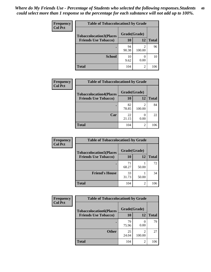| Frequency<br><b>Col Pct</b> | <b>Table of Tobaccolocation 3 by Grade</b> |              |                          |              |
|-----------------------------|--------------------------------------------|--------------|--------------------------|--------------|
|                             | <b>Tobaccolocation3(Places</b>             | Grade(Grade) |                          |              |
|                             | <b>Friends Use Tobacco)</b>                | <b>10</b>    | 12                       | <b>Total</b> |
|                             |                                            | 94<br>90.38  | $\overline{2}$<br>100.00 | 96           |
|                             | <b>School</b>                              | 10<br>9.62   | 0.00                     | 10           |
|                             | <b>Total</b>                               | 104          | $\overline{2}$           | 106          |

| <b>Frequency</b> | <b>Table of Tobaccolocation4 by Grade</b> |              |                          |              |
|------------------|-------------------------------------------|--------------|--------------------------|--------------|
| <b>Col Pct</b>   | <b>Tobaccolocation4(Places</b>            | Grade(Grade) |                          |              |
|                  | <b>Friends Use Tobacco)</b>               | 10           | 12                       | <b>Total</b> |
|                  |                                           | 82<br>78.85  | $\mathfrak{D}$<br>100.00 | 84           |
|                  | Car                                       | 22<br>21.15  | 0.00                     | 22           |
|                  | Total                                     | 104          | 2                        | 106          |

| Frequency      | <b>Table of Tobaccolocation5 by Grade</b> |              |                |              |  |
|----------------|-------------------------------------------|--------------|----------------|--------------|--|
| <b>Col Pct</b> | <b>Tobaccolocation5(Places</b>            | Grade(Grade) |                |              |  |
|                | <b>Friends Use Tobacco)</b>               | 10           | <b>12</b>      | <b>Total</b> |  |
|                |                                           | 71<br>68.27  | 50.00          | 72           |  |
|                | <b>Friend's House</b>                     | 33<br>31.73  | 50.00          | 34           |  |
|                | <b>Total</b>                              | 104          | $\overline{2}$ | 106          |  |

| <b>Frequency</b> | <b>Table of Tobaccolocation6 by Grade</b> |              |             |              |  |
|------------------|-------------------------------------------|--------------|-------------|--------------|--|
| <b>Col Pct</b>   | <b>Tobaccolocation6(Places</b>            | Grade(Grade) |             |              |  |
|                  | <b>Friends Use Tobacco)</b>               | 10           | 12          | <b>Total</b> |  |
|                  |                                           | 79<br>75.96  | 0.00        | 79           |  |
|                  | <b>Other</b>                              | 25<br>24.04  | 2<br>100.00 | 27           |  |
|                  | <b>Total</b>                              | 104          | 2           | 106          |  |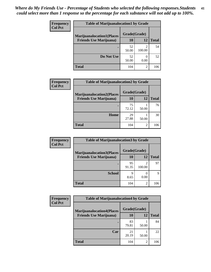| <b>Frequency</b> | <b>Table of Marijuanalocation1 by Grade</b> |              |        |              |
|------------------|---------------------------------------------|--------------|--------|--------------|
| <b>Col Pct</b>   | <b>Marijuanalocation1(Places</b>            | Grade(Grade) |        |              |
|                  | <b>Friends Use Marijuana</b> )              | <b>10</b>    | 12     | <b>Total</b> |
|                  |                                             | 52<br>50.00  | 100.00 | 54           |
|                  | Do Not Use                                  | 52<br>50.00  | 0.00   | 52           |
|                  | <b>Total</b>                                | 104          | 2      | 106          |

| <b>Frequency</b> | <b>Table of Marijuanalocation2 by Grade</b>                        |                    |       |              |
|------------------|--------------------------------------------------------------------|--------------------|-------|--------------|
| <b>Col Pct</b>   | <b>Marijuanalocation2(Places</b><br><b>Friends Use Marijuana</b> ) | Grade(Grade)<br>10 | 12    | <b>Total</b> |
|                  |                                                                    | 75<br>72.12        | 50.00 | 76           |
|                  | Home                                                               | 29<br>27.88        | 50.00 | 30           |
|                  | <b>Total</b>                                                       | 104                | 2     | 106          |

| Frequency      | <b>Table of Marijuanalocation3 by Grade</b> |              |        |              |
|----------------|---------------------------------------------|--------------|--------|--------------|
| <b>Col Pct</b> | <b>Marijuanalocation3</b> (Places           | Grade(Grade) |        |              |
|                | <b>Friends Use Marijuana</b> )              | 10           | 12     | <b>Total</b> |
|                |                                             | 95<br>91.35  | 100.00 | 97           |
|                | <b>School</b>                               | q<br>8.65    | 0.00   | Q            |
|                | <b>Total</b>                                | 104          | 2      | 106          |

| <b>Frequency</b> | <b>Table of Marijuanalocation4 by Grade</b> |              |       |              |  |
|------------------|---------------------------------------------|--------------|-------|--------------|--|
| <b>Col Pct</b>   | <b>Marijuanalocation4(Places</b>            | Grade(Grade) |       |              |  |
|                  | <b>Friends Use Marijuana</b> )              | <b>10</b>    | 12    | <b>Total</b> |  |
|                  |                                             | 83<br>79.81  | 50.00 | 84           |  |
|                  | Car                                         | 21<br>20.19  | 50.00 | 22           |  |
|                  | <b>Total</b>                                | 104          | 2     | 106          |  |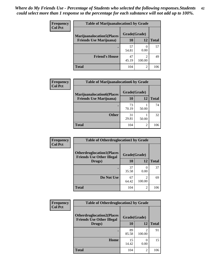| <b>Frequency</b> | <b>Table of Marijuanalocation5 by Grade</b>                         |              |             |              |
|------------------|---------------------------------------------------------------------|--------------|-------------|--------------|
| <b>Col Pct</b>   | <b>Marijuanalocation5(Places)</b><br><b>Friends Use Marijuana</b> ) | Grade(Grade) |             |              |
|                  |                                                                     | 10           | 12          | <b>Total</b> |
|                  |                                                                     | 57<br>54.81  | 0.00        | 57           |
|                  | <b>Friend's House</b>                                               | 47<br>45.19  | ി<br>100.00 | 49           |
|                  | <b>Total</b>                                                        | 104          | っ           | 106          |

| <b>Frequency</b> | <b>Table of Marijuanalocation6 by Grade</b>                        |                           |       |              |
|------------------|--------------------------------------------------------------------|---------------------------|-------|--------------|
| <b>Col Pct</b>   | <b>Marijuanalocation6(Places</b><br><b>Friends Use Marijuana</b> ) | Grade(Grade)<br><b>10</b> | 12    | <b>Total</b> |
|                  |                                                                    | 73<br>70.19               | 50.00 | 74           |
|                  | <b>Other</b>                                                       | 31<br>29.81               | 50.00 | 32           |
|                  | <b>Total</b>                                                       | 104                       | 2     | 106          |

| <b>Frequency</b> | <b>Table of Otherdruglocation1 by Grade</b>                          |              |                                       |              |
|------------------|----------------------------------------------------------------------|--------------|---------------------------------------|--------------|
| <b>Col Pct</b>   | <b>Otherdruglocation1(Places</b><br><b>Friends Use Other Illegal</b> | Grade(Grade) |                                       |              |
|                  | Drugs)                                                               | 10           | 12                                    | <b>Total</b> |
|                  |                                                                      | 37<br>35.58  | 0.00                                  | 37           |
|                  | Do Not Use                                                           | 67<br>64.42  | $\mathcal{D}_{\mathcal{A}}$<br>100.00 | 69           |
|                  | <b>Total</b>                                                         | 104          | $\mathfrak{D}$                        | 106          |

| <b>Frequency</b> | <b>Table of Otherdruglocation2 by Grade</b>                          |              |                          |              |
|------------------|----------------------------------------------------------------------|--------------|--------------------------|--------------|
| <b>Col Pct</b>   | <b>Otherdruglocation2(Places</b><br><b>Friends Use Other Illegal</b> | Grade(Grade) |                          |              |
|                  | Drugs)                                                               | <b>10</b>    | 12                       | <b>Total</b> |
|                  |                                                                      | 89<br>85.58  | $\mathfrak{D}$<br>100.00 | 91           |
|                  | Home                                                                 | 15<br>14.42  | 0<br>0.00                | 15           |
|                  | <b>Total</b>                                                         | 104          | 2                        | 106          |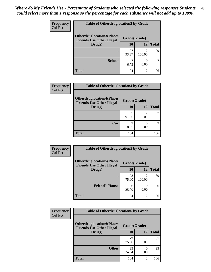| <b>Frequency</b> | <b>Table of Otherdruglocation 3 by Grade</b> |              |             |              |
|------------------|----------------------------------------------|--------------|-------------|--------------|
| <b>Col Pct</b>   | <b>Otherdruglocation3(Places</b>             | Grade(Grade) |             |              |
|                  | <b>Friends Use Other Illegal</b><br>Drugs)   | 10           | 12          | <b>Total</b> |
|                  |                                              | 97<br>93.27  | っ<br>100.00 | 99           |
|                  | <b>School</b>                                | 6.73         | 0.00        |              |
|                  | <b>Total</b>                                 | 104          | 2           | 106          |

| Frequency      | <b>Table of Otherdruglocation4 by Grade</b>                          |              |                |              |
|----------------|----------------------------------------------------------------------|--------------|----------------|--------------|
| <b>Col Pct</b> | <b>Otherdruglocation4(Places</b><br><b>Friends Use Other Illegal</b> | Grade(Grade) |                |              |
|                | Drugs)                                                               | 10           | 12             | <b>Total</b> |
|                |                                                                      | 95<br>91.35  | 2<br>100.00    | 97           |
|                | Car                                                                  | q<br>8.65    | 0.00           | 9            |
|                | <b>Total</b>                                                         | 104          | $\mathfrak{D}$ | 106          |

| Frequency      | <b>Table of Otherdruglocation5 by Grade</b>                          |              |                                                                                                                                                                           |              |
|----------------|----------------------------------------------------------------------|--------------|---------------------------------------------------------------------------------------------------------------------------------------------------------------------------|--------------|
| <b>Col Pct</b> | <b>Otherdruglocation5(Places</b><br><b>Friends Use Other Illegal</b> | Grade(Grade) |                                                                                                                                                                           |              |
|                | Drugs)                                                               | 10           | 12                                                                                                                                                                        | <b>Total</b> |
|                |                                                                      | 78<br>75.00  | $\mathcal{D}_{\mathcal{A}}^{\mathcal{A}}(\mathcal{A})=\mathcal{D}_{\mathcal{A}}^{\mathcal{A}}(\mathcal{A})\mathcal{D}_{\mathcal{A}}^{\mathcal{A}}(\mathcal{A})$<br>100.00 | 80           |
|                | <b>Friend's House</b>                                                | 26<br>25.00  | 0.00                                                                                                                                                                      | 26           |
|                | <b>Total</b>                                                         | 104          | $\overline{c}$                                                                                                                                                            | 106          |

| <b>Frequency</b> | <b>Table of Otherdruglocation6 by Grade</b>                          |              |                          |              |
|------------------|----------------------------------------------------------------------|--------------|--------------------------|--------------|
| <b>Col Pct</b>   | <b>Otherdruglocation6(Places</b><br><b>Friends Use Other Illegal</b> | Grade(Grade) |                          |              |
|                  | Drugs)                                                               | <b>10</b>    | 12                       | <b>Total</b> |
|                  |                                                                      | 79<br>75.96  | $\mathfrak{D}$<br>100.00 | 81           |
|                  | <b>Other</b>                                                         | 25<br>24.04  | 0<br>0.00                | 25           |
|                  | <b>Total</b>                                                         | 104          | 2                        | 106          |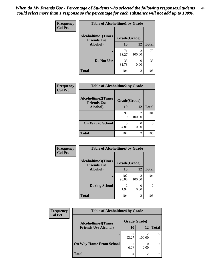| Frequency      | <b>Table of Alcoholtime1 by Grade</b>           |              |                          |              |
|----------------|-------------------------------------------------|--------------|--------------------------|--------------|
| <b>Col Pct</b> | <b>Alcoholtime1(Times</b><br><b>Friends Use</b> | Grade(Grade) |                          |              |
|                | Alcohol)                                        | 10           | 12                       | <b>Total</b> |
|                | ٠                                               | 71<br>68.27  | $\mathfrak{D}$<br>100.00 | 73           |
|                | Do Not Use                                      | 33<br>31.73  | 0<br>0.00                | 33           |
|                | <b>Total</b>                                    | 104          | 2                        | 106          |

| Frequency      | <b>Table of Alcoholtime2 by Grade</b>           |              |                          |              |
|----------------|-------------------------------------------------|--------------|--------------------------|--------------|
| <b>Col Pct</b> | <b>Alcoholtime2(Times</b><br><b>Friends Use</b> | Grade(Grade) |                          |              |
|                | Alcohol)                                        | 10           | 12                       | <b>Total</b> |
|                |                                                 | 99<br>95.19  | $\mathfrak{D}$<br>100.00 | 101          |
|                | <b>On Way to School</b>                         | 5<br>4.81    | 0<br>0.00                | 5            |
|                | <b>Total</b>                                    | 104          | 2                        | 106          |

| Frequency<br><b>Col Pct</b> | <b>Table of Alcoholtime3 by Grade</b>                    |                        |                          |                |
|-----------------------------|----------------------------------------------------------|------------------------|--------------------------|----------------|
|                             | Alcoholtime3(Times<br>Grade(Grade)<br><b>Friends Use</b> |                        |                          |                |
|                             | <b>Alcohol</b> )                                         | 10                     | 12                       | <b>Total</b>   |
|                             |                                                          | 102<br>98.08           | $\mathfrak{D}$<br>100.00 | 104            |
|                             | <b>During School</b>                                     | $\mathfrak{D}$<br>1.92 | 0.00                     | $\overline{2}$ |
|                             | Total                                                    | 104                    | $\overline{c}$           | 106            |

| <b>Frequency</b> | <b>Table of Alcoholtime4 by Grade</b> |              |                                                                                                                                                                 |              |  |
|------------------|---------------------------------------|--------------|-----------------------------------------------------------------------------------------------------------------------------------------------------------------|--------------|--|
| <b>Col Pct</b>   | <b>Alcoholtime4(Times</b>             | Grade(Grade) |                                                                                                                                                                 |              |  |
|                  | <b>Friends Use Alcohol)</b>           | 10           | 12                                                                                                                                                              | <b>Total</b> |  |
|                  | ٠                                     | 97<br>93.27  | ◠<br>100.00                                                                                                                                                     | 99           |  |
|                  | <b>On Way Home From School</b>        | 6.73         | 0.00                                                                                                                                                            |              |  |
|                  | <b>Total</b>                          | 104          | $\mathcal{D}_{\mathcal{A}}^{\mathcal{A}}(\mathcal{A})=\mathcal{D}_{\mathcal{A}}^{\mathcal{A}}(\mathcal{A})\mathcal{D}_{\mathcal{A}}^{\mathcal{A}}(\mathcal{A})$ | 106          |  |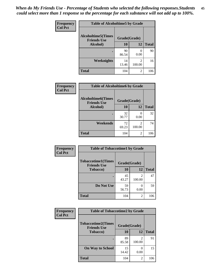| Frequency      | <b>Table of Alcoholtime5 by Grade</b>           |              |                  |              |
|----------------|-------------------------------------------------|--------------|------------------|--------------|
| <b>Col Pct</b> | <b>Alcoholtime5(Times</b><br><b>Friends Use</b> | Grade(Grade) |                  |              |
|                | Alcohol)                                        | 10           | 12               | <b>Total</b> |
|                |                                                 | 90<br>86.54  | $\Omega$<br>0.00 | 90           |
|                | Weeknights                                      | 14<br>13.46  | 2<br>100.00      | 16           |
|                | <b>Total</b>                                    | 104          | 2                | 106          |

| <b>Frequency</b> | <b>Table of Alcoholtime6 by Grade</b>           |              |                          |              |
|------------------|-------------------------------------------------|--------------|--------------------------|--------------|
| <b>Col Pct</b>   | <b>Alcoholtime6(Times</b><br><b>Friends Use</b> | Grade(Grade) |                          |              |
|                  | Alcohol)                                        | 10           | 12                       | <b>Total</b> |
|                  |                                                 | 32<br>30.77  | $\mathcal{O}$<br>0.00    | 32           |
|                  | Weekends                                        | 72<br>69.23  | $\mathfrak{D}$<br>100.00 | 74           |
|                  | <b>Total</b>                                    | 104          | 2                        | 106          |

| Frequency      | <b>Table of Tobaccotime1 by Grade</b>           |              |             |              |
|----------------|-------------------------------------------------|--------------|-------------|--------------|
| <b>Col Pct</b> | <b>Tobaccotime1(Times</b><br><b>Friends Use</b> | Grade(Grade) |             |              |
|                | Tobacco)                                        | 10           | 12          | <b>Total</b> |
|                |                                                 | 45<br>43.27  | 2<br>100.00 | 47           |
|                | Do Not Use                                      | 59<br>56.73  | 0<br>0.00   | 59           |
|                | <b>Total</b>                                    | 104          | 2           | 106          |

| <b>Frequency</b> | <b>Table of Tobaccotime2 by Grade</b>                           |             |        |              |
|------------------|-----------------------------------------------------------------|-------------|--------|--------------|
| <b>Col Pct</b>   | <b>Tobaccotime2(Times</b><br>Grade(Grade)<br><b>Friends Use</b> |             |        |              |
|                  | <b>Tobacco</b> )                                                | 10          | 12     | <b>Total</b> |
|                  |                                                                 | 89<br>85.58 | 100.00 | 91           |
|                  | <b>On Way to School</b>                                         | 15<br>14.42 | 0.00   | 15           |
|                  | <b>Total</b>                                                    | 104         | 2      | 106          |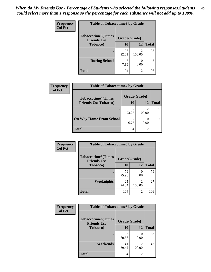| <b>Frequency</b> | <b>Table of Tobaccotime3 by Grade</b>           |              |                          |              |  |
|------------------|-------------------------------------------------|--------------|--------------------------|--------------|--|
| <b>Col Pct</b>   | <b>Tobaccotime3(Times</b><br><b>Friends Use</b> | Grade(Grade) |                          |              |  |
|                  | <b>Tobacco</b> )                                | 10           | 12                       | <b>Total</b> |  |
|                  |                                                 | 96<br>92.31  | $\mathfrak{D}$<br>100.00 | 98           |  |
|                  | <b>During School</b>                            | 8<br>7.69    | 0.00                     | 8            |  |
|                  | <b>Total</b>                                    | 104          | 2                        | 106          |  |

| <b>Frequency</b><br><b>Col Pct</b> | <b>Table of Tobaccotime4 by Grade</b> |              |                          |              |  |
|------------------------------------|---------------------------------------|--------------|--------------------------|--------------|--|
|                                    | <b>Tobaccotime4(Times</b>             | Grade(Grade) |                          |              |  |
|                                    | <b>Friends Use Tobacco)</b>           | 10           | 12                       | <b>Total</b> |  |
|                                    |                                       | 97<br>93.27  | 100.00                   | 99           |  |
|                                    | <b>On Way Home From School</b>        | 6.73         | 0.00                     |              |  |
|                                    | <b>Total</b>                          | 104          | $\overline{\mathcal{L}}$ | 106          |  |

| Frequency      | <b>Table of Tobaccotime5 by Grade</b>           |              |        |              |
|----------------|-------------------------------------------------|--------------|--------|--------------|
| <b>Col Pct</b> | <b>Tobaccotime5(Times</b><br><b>Friends Use</b> | Grade(Grade) |        |              |
|                | <b>Tobacco</b> )                                | 10           | 12     | <b>Total</b> |
|                |                                                 | 79<br>75.96  | 0.00   | 79           |
|                | Weeknights                                      | 25<br>24.04  | 100.00 | 27           |
|                | <b>Total</b>                                    | 104          | 2      | 106          |

| <b>Frequency</b> | <b>Table of Tobaccotime6 by Grade</b>           |              |                |              |
|------------------|-------------------------------------------------|--------------|----------------|--------------|
| <b>Col Pct</b>   | <b>Tobaccotime6(Times</b><br><b>Friends Use</b> | Grade(Grade) |                |              |
|                  | <b>Tobacco</b> )                                | 10           | 12             | <b>Total</b> |
|                  | ٠                                               | 63<br>60.58  | 0.00           | 63           |
|                  | Weekends                                        | 41<br>39.42  | 2<br>100.00    | 43           |
|                  | <b>Total</b>                                    | 104          | $\overline{c}$ | 106          |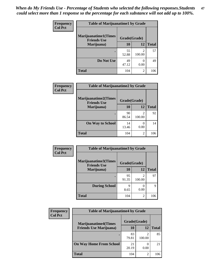| <b>Frequency</b><br><b>Col Pct</b> | <b>Table of Marijuanatime1 by Grade</b>           |              |                          |              |
|------------------------------------|---------------------------------------------------|--------------|--------------------------|--------------|
|                                    | <b>Marijuanatime1(Times</b><br><b>Friends Use</b> | Grade(Grade) |                          |              |
|                                    | Marijuana)                                        | 10           | 12                       | <b>Total</b> |
|                                    |                                                   | 55<br>52.88  | $\mathfrak{D}$<br>100.00 | 57           |
|                                    | Do Not Use                                        | 49<br>47.12  | 0.00                     | 49           |
|                                    | <b>Total</b>                                      | 104          | 2                        | 106          |

| Frequency      | <b>Table of Marijuanatime2 by Grade</b>           |              |                                       |              |  |  |
|----------------|---------------------------------------------------|--------------|---------------------------------------|--------------|--|--|
| <b>Col Pct</b> | <b>Marijuanatime2(Times</b><br><b>Friends Use</b> | Grade(Grade) |                                       |              |  |  |
|                | Marijuana)                                        | 10           | 12                                    | <b>Total</b> |  |  |
|                |                                                   | 90<br>86.54  | $\mathcal{D}_{\mathcal{L}}$<br>100.00 | 92           |  |  |
|                | <b>On Way to School</b>                           | 14<br>13.46  | 0<br>0.00                             | 14           |  |  |
|                | <b>Total</b>                                      | 104          | $\mathfrak{D}$                        | 106          |  |  |

| Frequency<br><b>Col Pct</b> |                                            | <b>Table of Marijuanatime3 by Grade</b> |                |              |  |  |
|-----------------------------|--------------------------------------------|-----------------------------------------|----------------|--------------|--|--|
|                             | Marijuanatime3(Times<br><b>Friends Use</b> | Grade(Grade)                            |                |              |  |  |
|                             | Marijuana)                                 | 10                                      | 12             | <b>Total</b> |  |  |
|                             |                                            | 95<br>91.35                             | 2<br>100.00    | 97           |  |  |
|                             | <b>During School</b>                       | q<br>8.65                               | 0.00           | 9            |  |  |
|                             | Total                                      | 104                                     | $\overline{c}$ | 106          |  |  |

| <b>Frequency</b><br><b>Col Pct</b> | <b>Table of Marijuanatime4 by Grade</b> |              |        |              |  |
|------------------------------------|-----------------------------------------|--------------|--------|--------------|--|
|                                    | <b>Marijuanatime4(Times</b>             | Grade(Grade) |        |              |  |
|                                    | <b>Friends Use Marijuana</b> )          | 10           | 12     | <b>Total</b> |  |
|                                    |                                         | 83<br>79.81  | 100.00 | 85           |  |
|                                    | <b>On Way Home From School</b>          | 21<br>20.19  | 0.00   | 21           |  |
|                                    | <b>Total</b>                            | 104          | 2      | 106          |  |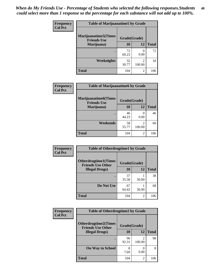| Frequency      | <b>Table of Marijuanatime5 by Grade</b>            |              |             |              |  |
|----------------|----------------------------------------------------|--------------|-------------|--------------|--|
| <b>Col Pct</b> | <b>Marijuanatime5</b> (Times<br><b>Friends Use</b> | Grade(Grade) |             |              |  |
|                | Marijuana)                                         | 10           | 12          | <b>Total</b> |  |
|                |                                                    | 72<br>69.23  | 0<br>0.00   | 72           |  |
|                | <b>Weeknights</b>                                  | 32<br>30.77  | 2<br>100.00 | 34           |  |
|                | <b>Total</b>                                       | 104          | 2           | 106          |  |

| Frequency      | <b>Table of Marijuanatime6 by Grade</b>    |              |                          |              |  |
|----------------|--------------------------------------------|--------------|--------------------------|--------------|--|
| <b>Col Pct</b> | Marijuanatime6(Times<br><b>Friends Use</b> | Grade(Grade) |                          |              |  |
|                | Marijuana)                                 | 10           | 12                       | <b>Total</b> |  |
|                |                                            | 46<br>44.23  | 0<br>0.00                | 46           |  |
|                | Weekends                                   | 58<br>55.77  | $\mathfrak{D}$<br>100.00 | 60           |  |
|                | <b>Total</b>                               | 104          | 2                        | 106          |  |

| Frequency      | <b>Table of Otherdrugtime1 by Grade</b>                 |              |                |              |
|----------------|---------------------------------------------------------|--------------|----------------|--------------|
| <b>Col Pct</b> | <b>Otherdrugtime1(Times</b><br><b>Friends Use Other</b> | Grade(Grade) |                |              |
|                | <b>Illegal Drugs</b> )                                  | 10           | 12             | <b>Total</b> |
|                |                                                         | 37<br>35.58  | 50.00          | 38           |
|                | Do Not Use                                              | 67<br>64.42  | 50.00          | 68           |
|                | Total                                                   | 104          | $\overline{c}$ | 106          |

| Frequency      | <b>Table of Otherdrugtime2 by Grade</b>                 |              |                          |              |
|----------------|---------------------------------------------------------|--------------|--------------------------|--------------|
| <b>Col Pct</b> | <b>Otherdrugtime2(Times</b><br><b>Friends Use Other</b> | Grade(Grade) |                          |              |
|                | <b>Illegal Drugs</b> )                                  | 10           | 12                       | <b>Total</b> |
|                |                                                         | 96<br>92.31  | $\mathfrak{D}$<br>100.00 | 98           |
|                | <b>On Way to School</b>                                 | 8<br>7.69    | 0.00                     | 8            |
|                | Total                                                   | 104          | $\overline{2}$           | 106          |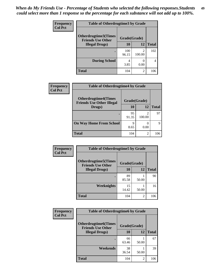| <b>Frequency</b> | <b>Table of Otherdrugtime3 by Grade</b>          |              |                |              |  |
|------------------|--------------------------------------------------|--------------|----------------|--------------|--|
| <b>Col Pct</b>   | Otherdrugtime3(Times<br><b>Friends Use Other</b> | Grade(Grade) |                |              |  |
|                  | <b>Illegal Drugs</b> )                           | 10           | 12             | <b>Total</b> |  |
|                  |                                                  | 100<br>96.15 | 2<br>100.00    | 102          |  |
|                  | <b>During School</b>                             | 4<br>3.85    | O<br>0.00      | 4            |  |
|                  | <b>Total</b>                                     | 104          | $\overline{c}$ | 106          |  |

| Frequency      | <b>Table of Otherdrugtime4 by Grade</b>                         |              |                                                                                                                                                                 |              |  |
|----------------|-----------------------------------------------------------------|--------------|-----------------------------------------------------------------------------------------------------------------------------------------------------------------|--------------|--|
| <b>Col Pct</b> | <b>Otherdrugtime4(Times</b><br><b>Friends Use Other Illegal</b> | Grade(Grade) |                                                                                                                                                                 |              |  |
|                | Drugs)                                                          | 10           | 12                                                                                                                                                              | <b>Total</b> |  |
|                | $\bullet$                                                       | 95<br>91.35  | 100.00                                                                                                                                                          | 97           |  |
|                | <b>On Way Home From School</b>                                  | 9<br>8.65    | 0.00                                                                                                                                                            | Q            |  |
|                | Total                                                           | 104          | $\mathcal{D}_{\mathcal{A}}^{\mathcal{A}}(\mathcal{A})=\mathcal{D}_{\mathcal{A}}^{\mathcal{A}}(\mathcal{A})\mathcal{D}_{\mathcal{A}}^{\mathcal{A}}(\mathcal{A})$ | 106          |  |

| <b>Frequency</b> | <b>Table of Otherdrugtime5 by Grade</b>                  |              |       |              |
|------------------|----------------------------------------------------------|--------------|-------|--------------|
| <b>Col Pct</b>   | <b>Otherdrugtime5</b> (Times<br><b>Friends Use Other</b> | Grade(Grade) |       |              |
|                  | <b>Illegal Drugs</b> )                                   | 10           | 12    | <b>Total</b> |
|                  |                                                          | 89<br>85.58  | 50.00 | 90           |
|                  | Weeknights                                               | 15<br>14.42  | 50.00 | 16           |
|                  | Total                                                    | 104          | 2     | 106          |

| Frequency      | <b>Table of Otherdrugtime6 by Grade</b>                 |              |                |              |
|----------------|---------------------------------------------------------|--------------|----------------|--------------|
| <b>Col Pct</b> | <b>Otherdrugtime6(Times</b><br><b>Friends Use Other</b> | Grade(Grade) |                |              |
|                | <b>Illegal Drugs</b> )                                  | 10           | 12             | <b>Total</b> |
|                |                                                         | 66<br>63.46  | 50.00          | 67           |
|                | Weekends                                                | 38<br>36.54  | 50.00          | 39           |
|                | <b>Total</b>                                            | 104          | $\overline{2}$ | 106          |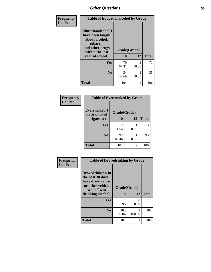| Frequency      | <b>Table of Educationalcohol by Grade</b>                                                                  |              |                |              |
|----------------|------------------------------------------------------------------------------------------------------------|--------------|----------------|--------------|
| <b>Col Pct</b> | Educationalcohol(I<br>have been taught<br>about alcohol,<br>tobacco,<br>and other drugs<br>within the last | Grade(Grade) |                |              |
|                | year at school)                                                                                            | 10           | 12             | <b>Total</b> |
|                | <b>Yes</b>                                                                                                 | 70<br>67.31  | 50.00          | 71           |
|                | N <sub>0</sub>                                                                                             | 34<br>32.69  | 50.00          | 35           |
|                | <b>Total</b>                                                                                               | 104          | $\mathfrak{D}$ | 106          |

| Frequency      | <b>Table of Eversmoked by Grade</b> |              |       |              |  |
|----------------|-------------------------------------|--------------|-------|--------------|--|
| <b>Col Pct</b> | Eversmoked(I<br>have smoked         | Grade(Grade) |       |              |  |
|                | a cigarette)                        | 10<br>12     |       | <b>Total</b> |  |
|                | Yes                                 | 12<br>11.54  | 50.00 | 13           |  |
|                | N <sub>0</sub>                      | 92<br>88.46  | 50.00 | 93           |  |
|                | <b>Total</b>                        | 104          | 2     | 106          |  |

| Frequency      | <b>Table of Drovedrinking by Grade</b>                                                                              |                    |                          |              |
|----------------|---------------------------------------------------------------------------------------------------------------------|--------------------|--------------------------|--------------|
| <b>Col Pct</b> | Drovedrinking(In<br>the past 30 days I<br>have driven a car<br>or other vehicle<br>while I was<br>drinking alcohol) | Grade(Grade)<br>10 | 12                       | <b>Total</b> |
|                | <b>Yes</b>                                                                                                          | 0.96               | 0<br>0.00                |              |
|                | N <sub>0</sub>                                                                                                      | 103<br>99.04       | $\mathfrak{D}$<br>100.00 | 105          |
|                | <b>Total</b>                                                                                                        | 104                | $\mathfrak{D}$           | 106          |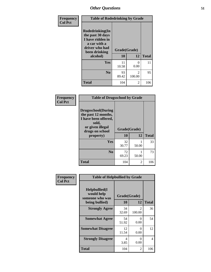| Frequency<br><b>Col Pct</b> | <b>Table of Rodedrinking by Grade</b>                                                                                  |                    |                          |              |
|-----------------------------|------------------------------------------------------------------------------------------------------------------------|--------------------|--------------------------|--------------|
|                             | Rodedrinking(In<br>the past 30 days<br>I have ridden in<br>a car with a<br>driver who had<br>been drinking<br>alcohol) | Grade(Grade)<br>10 | 12                       | <b>Total</b> |
|                             | <b>Yes</b>                                                                                                             | 11<br>10.58        | 0<br>0.00                | 11           |
|                             | N <sub>0</sub>                                                                                                         | 93<br>89.42        | $\mathfrak{D}$<br>100.00 | 95           |
|                             | <b>Total</b>                                                                                                           | 104                | 2                        | 106          |

#### **Frequency Col Pct**

| <b>Table of Drugsschool by Grade</b>                                                                                      |              |       |              |
|---------------------------------------------------------------------------------------------------------------------------|--------------|-------|--------------|
| <b>Drugsschool</b> (During<br>the past 12 months,<br>I have been offered,<br>sold,<br>or given illegal<br>drugs on school | Grade(Grade) |       |              |
| property)                                                                                                                 | 10           | 12    | <b>Total</b> |
| Yes                                                                                                                       | 32<br>30.77  | 50.00 | 33           |
| N <sub>0</sub>                                                                                                            | 72<br>69.23  | 50.00 | 73           |
| Total                                                                                                                     | 104          | 2     | 106          |

| Frequency      | <b>Table of Helpbullied by Grade</b>                                   |                    |                          |              |
|----------------|------------------------------------------------------------------------|--------------------|--------------------------|--------------|
| <b>Col Pct</b> | $Helpb$ ullied $(I$<br>would help<br>someone who was<br>being bullied) | Grade(Grade)<br>10 | 12                       | <b>Total</b> |
|                |                                                                        |                    |                          |              |
|                | <b>Strongly Agree</b>                                                  | 34<br>32.69        | $\mathfrak{D}$<br>100.00 | 36           |
|                | <b>Somewhat Agree</b>                                                  | 54<br>51.92        | 0<br>0.00                | 54           |
|                | <b>Somewhat Disagree</b>                                               | 12<br>11.54        | 0<br>0.00                | 12           |
|                | <b>Strongly Disagree</b>                                               | 4<br>3.85          | 0<br>0.00                | 4            |
|                | Total                                                                  | 104                | 2                        | 106          |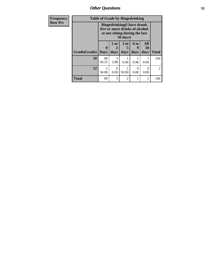*Other Questions* **52**

| Frequency      | <b>Table of Grade by Bingedrinking</b> |                                                                                                                             |                  |                      |           |           |                |
|----------------|----------------------------------------|-----------------------------------------------------------------------------------------------------------------------------|------------------|----------------------|-----------|-----------|----------------|
| <b>Row Pct</b> |                                        | <b>Bingedrinking</b> (I have drunk<br>five or more drinks of alcohol<br>at one sitting during the last<br>$30 \text{ days}$ |                  |                      |           |           |                |
|                |                                        | $\bf{0}$                                                                                                                    | 1 or<br>2        | 3 <sub>to</sub><br>5 | 6 to<br>9 | All<br>30 |                |
|                | Grade(Grade)                           | Days                                                                                                                        | days             | days                 | days      | days      | <b>Total</b>   |
|                | 10                                     | 98<br>94.23                                                                                                                 | 3<br>2.88        | 0.96                 | 0.96      | 0.96      | 104            |
|                | 12                                     | 50.00                                                                                                                       | $\Omega$<br>0.00 | 50.00                | ∩<br>0.00 | ∩<br>0.00 | $\mathfrak{D}$ |
|                | Total                                  | 99                                                                                                                          | 3                | $\overline{2}$       | 1         |           | 106            |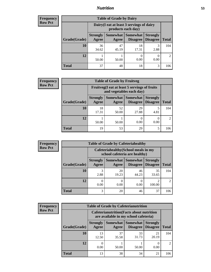### *Nutrition* **53**

| <b>Frequency</b> |
|------------------|
| <b>Row Pct</b>   |

| <b>Table of Grade by Dairy</b> |                                                                                                                                      |                                                                 |             |           |     |  |
|--------------------------------|--------------------------------------------------------------------------------------------------------------------------------------|-----------------------------------------------------------------|-------------|-----------|-----|--|
|                                |                                                                                                                                      | Dairy (I eat at least 3 servings of dairy<br>products each day) |             |           |     |  |
| Grade(Grade)                   | Somewhat  <br><b>Strongly</b><br><b>Somewhat</b><br><b>Strongly</b><br><b>Disagree</b><br>Disagree<br>Agree<br><b>Total</b><br>Agree |                                                                 |             |           |     |  |
| 10                             | 36<br>34.62                                                                                                                          | 47<br>45.19                                                     | 18<br>17.31 | 3<br>2.88 | 104 |  |
| 12                             | 50.00                                                                                                                                | 50.00                                                           | 0<br>0.00   | 0<br>0.00 |     |  |
| <b>Total</b>                   | 37                                                                                                                                   | 48                                                              | 18          | 3         | 106 |  |

| <b>Frequency</b> |
|------------------|
| <b>Row Pct</b>   |

| y | <b>Table of Grade by Fruitveg</b> |                          |                                                                          |                                   |                                    |                |  |
|---|-----------------------------------|--------------------------|--------------------------------------------------------------------------|-----------------------------------|------------------------------------|----------------|--|
|   |                                   |                          | Fruitveg(I eat at least 5 servings of fruits<br>and vegetables each day) |                                   |                                    |                |  |
|   | Grade(Grade)                      | <b>Strongly</b><br>Agree | Agree                                                                    | Somewhat   Somewhat  <br>Disagree | <b>Strongly</b><br><b>Disagree</b> | <b>Total</b>   |  |
|   | 10                                | 18<br>17.31              | 52<br>50.00                                                              | 29<br>27.88                       | 4.81                               | 104            |  |
|   | 12                                | 50.00                    | 50.00                                                                    | 0.00                              | 0.00                               | $\mathfrak{D}$ |  |
|   | <b>Total</b>                      | 19                       | 53                                                                       | 29                                | 5                                  | 106            |  |

| <b>Frequency</b> | <b>Table of Grade by Cafeteriahealthy</b> |                          |                                                                       |                                      |                                    |              |  |  |  |
|------------------|-------------------------------------------|--------------------------|-----------------------------------------------------------------------|--------------------------------------|------------------------------------|--------------|--|--|--|
| <b>Row Pct</b>   |                                           |                          | Cafeteriahealthy (School meals in my<br>school cafeteria are healthy) |                                      |                                    |              |  |  |  |
|                  | Grade(Grade)                              | <b>Strongly</b><br>Agree | Agree                                                                 | Somewhat Somewhat<br><b>Disagree</b> | <b>Strongly</b><br><b>Disagree</b> | <b>Total</b> |  |  |  |
|                  | 10                                        | 3<br>2.88                | 20<br>19.23                                                           | 46<br>44.23                          | 35<br>33.65                        | 104          |  |  |  |
|                  | 12                                        | 0.00                     | 0.00                                                                  | 0.00                                 | 100.00                             | 2            |  |  |  |
|                  | <b>Total</b>                              | 3                        | 20                                                                    | 46                                   | 37                                 | 106          |  |  |  |

| <b>Frequency</b> |
|------------------|
| <b>Row Pct</b>   |

| <b>Table of Grade by Cafeterianutrition</b> |                                                                                                                              |                                                                                           |             |             |     |  |  |
|---------------------------------------------|------------------------------------------------------------------------------------------------------------------------------|-------------------------------------------------------------------------------------------|-------------|-------------|-----|--|--|
|                                             |                                                                                                                              | <b>Cafeterianutrition</b> (Facts about nutrition<br>are available in my school cafeteria) |             |             |     |  |  |
| Grade(Grade)                                | Somewhat   Somewhat  <br><b>Strongly</b><br><b>Strongly</b><br><b>Disagree</b><br><b>Total</b><br>Agree<br>Disagree<br>Agree |                                                                                           |             |             |     |  |  |
| 10                                          | 13<br>12.50                                                                                                                  | 37<br>35.58                                                                               | 33<br>31.73 | 21<br>20.19 | 104 |  |  |
| 12                                          | 0<br>0.00                                                                                                                    | 50.00                                                                                     | 50.00       | 0.00        | 2   |  |  |
| <b>Total</b>                                | 13                                                                                                                           | 38                                                                                        | 34          | 21          | 106 |  |  |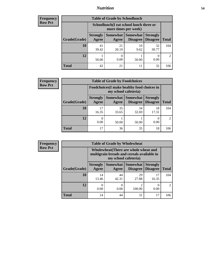### *Nutrition* **54**

| <b>Frequency</b> |
|------------------|
| Row Pct          |

| <b>Table of Grade by Schoollunch</b> |                                                                                                                                      |             |            |             |     |  |  |
|--------------------------------------|--------------------------------------------------------------------------------------------------------------------------------------|-------------|------------|-------------|-----|--|--|
|                                      | Schoollunch(I eat school lunch three or<br>more times per week)                                                                      |             |            |             |     |  |  |
| Grade(Grade)                         | Somewhat  <br><b>Strongly</b><br><b>Somewhat</b><br><b>Strongly</b><br><b>Disagree</b><br>Disagree<br><b>Total</b><br>Agree<br>Agree |             |            |             |     |  |  |
| 10                                   | 41<br>39.42                                                                                                                          | 21<br>20.19 | 10<br>9.62 | 32<br>30.77 | 104 |  |  |
| 12                                   | 50.00                                                                                                                                | 0.00        | 50.00      | 0.00        |     |  |  |
| <b>Total</b>                         | 42                                                                                                                                   | 21          | 11         | 32          | 106 |  |  |

| <b>Frequency</b> |
|------------------|
| <b>Row Pct</b>   |

| $\mathbf{y}$ | <b>Table of Grade by Foodchoices</b> |                                                                     |             |                     |                                        |              |  |
|--------------|--------------------------------------|---------------------------------------------------------------------|-------------|---------------------|----------------------------------------|--------------|--|
|              |                                      | Foodchoices (I make healthy food choices in<br>my school cafeteria) |             |                     |                                        |              |  |
|              | Grade(Grade)                         | <b>Strongly</b><br><b>Agree</b>                                     | Agree       | Somewhat   Somewhat | <b>Strongly</b><br>Disagree   Disagree | <b>Total</b> |  |
|              | 10                                   | 17<br>16.35                                                         | 35<br>33.65 | 34<br>32.69         | 18<br>17.31                            | 104          |  |
|              | 12                                   | 0.00                                                                | 50.00       | 50.00               | 0.00                                   |              |  |
|              | <b>Total</b>                         | 17                                                                  | 36          | 35                  | 18                                     | 106          |  |

| <b>Frequency</b> | <b>Table of Grade by Wholewheat</b> |                                                                                                             |                     |                 |                                        |              |  |  |
|------------------|-------------------------------------|-------------------------------------------------------------------------------------------------------------|---------------------|-----------------|----------------------------------------|--------------|--|--|
| <b>Row Pct</b>   |                                     | Wholewheat (There are whole wheat and<br>multigrain breads and cereals available in<br>my school cafeteria) |                     |                 |                                        |              |  |  |
|                  | Grade(Grade)                        | <b>Strongly</b><br>Agree                                                                                    | Somewhat  <br>Agree | <b>Somewhat</b> | <b>Strongly</b><br>Disagree   Disagree | <b>Total</b> |  |  |
|                  | 10                                  | 14<br>13.46                                                                                                 | 44<br>42.31         | 29<br>27.88     | 17<br>16.35                            | 104          |  |  |
|                  | 12                                  | 0.00                                                                                                        | $\theta$<br>0.00    | ി<br>100.00     | $\theta$<br>0.00                       | 2            |  |  |
|                  | <b>Total</b>                        | 14                                                                                                          | 44                  | 31              | 17                                     | 106          |  |  |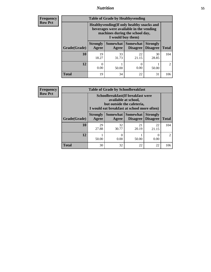### *Nutrition* **55**

**Frequency Row Pct**

| <b>Table of Grade by Healthyvending</b> |                                                                                                                                               |                          |                                    |                                    |                             |  |  |
|-----------------------------------------|-----------------------------------------------------------------------------------------------------------------------------------------------|--------------------------|------------------------------------|------------------------------------|-----------------------------|--|--|
|                                         | Healthyvending (If only healthy snacks and<br>beverages were available in the vending<br>machines during the school day,<br>I would buy them) |                          |                                    |                                    |                             |  |  |
| Grade(Grade)                            | <b>Strongly</b><br>Agree                                                                                                                      | <b>Somewhat</b><br>Agree | <b>Somewhat</b><br><b>Disagree</b> | <b>Strongly</b><br><b>Disagree</b> | <b>Total</b>                |  |  |
| 10                                      | 19<br>18.27                                                                                                                                   | 33<br>31.73              | 22<br>21.15                        | 30<br>28.85                        | 104                         |  |  |
| 12                                      | 0<br>0.00                                                                                                                                     | 50.00                    | 0<br>0.00                          | 50.00                              | $\mathcal{D}_{\mathcal{L}}$ |  |  |
| Total                                   | 19                                                                                                                                            | 34                       | 22                                 | 31                                 | 106                         |  |  |

**Frequency Row Pct**

| <b>Table of Grade by Schoolbreakfast</b> |                                                                                                                                         |             |                                        |                                    |                             |  |  |
|------------------------------------------|-----------------------------------------------------------------------------------------------------------------------------------------|-------------|----------------------------------------|------------------------------------|-----------------------------|--|--|
|                                          | Schoolbreakfast (If breakfast were<br>available at school,<br>but outside the cafeteria,<br>I would eat breakfast at school more often) |             |                                        |                                    |                             |  |  |
| Grade(Grade)                             | <b>Strongly</b><br>Agree                                                                                                                | Agree       | Somewhat   Somewhat<br><b>Disagree</b> | <b>Strongly</b><br><b>Disagree</b> | <b>Total</b>                |  |  |
| 10                                       | 29<br>27.88                                                                                                                             | 32<br>30.77 | 21<br>20.19                            | 22<br>21.15                        | 104                         |  |  |
| 12                                       | 50.00                                                                                                                                   | 0.00        | 50.00                                  | $\Omega$<br>0.00                   | $\mathcal{D}_{\mathcal{A}}$ |  |  |
| <b>Total</b>                             | 30                                                                                                                                      | 32          | 22                                     | 22                                 | 106                         |  |  |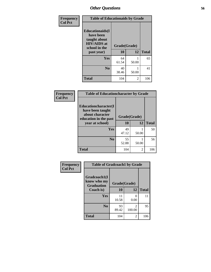| Frequency<br><b>Col Pct</b> | <b>Table of Educationaids by Grade</b>                                                                    |                    |              |     |  |  |  |
|-----------------------------|-----------------------------------------------------------------------------------------------------------|--------------------|--------------|-----|--|--|--|
|                             | <b>Educationaids</b> (I<br>have been<br>taught about<br><b>HIV/AIDS</b> at<br>school in the<br>past year) | Grade(Grade)<br>10 | <b>Total</b> |     |  |  |  |
|                             | Yes                                                                                                       | 64<br>61.54        | 50.00        | 65  |  |  |  |
|                             | N <sub>0</sub>                                                                                            | 40<br>38.46        | 50.00        | 41  |  |  |  |
|                             | <b>Total</b>                                                                                              | 104                | 2            | 106 |  |  |  |

| Frequency      | <b>Table of Educationcharacter by Grade</b>                         |              |                |              |  |  |
|----------------|---------------------------------------------------------------------|--------------|----------------|--------------|--|--|
| <b>Col Pct</b> | <b>Educationcharacter(I)</b><br>have been taught<br>about character | Grade(Grade) |                |              |  |  |
|                | education in the past<br>year at school)                            | 10           | 12             | <b>Total</b> |  |  |
|                | Yes                                                                 | 49           |                | 50           |  |  |
|                |                                                                     | 47.12        | 50.00          |              |  |  |
|                | N <sub>0</sub>                                                      | 55<br>52.88  | 50.00          | 56           |  |  |
|                | <b>Total</b>                                                        | 104          | $\overline{2}$ | 106          |  |  |

| Frequency      | <b>Table of Gradcoach1 by Grade</b>              |              |                       |              |
|----------------|--------------------------------------------------|--------------|-----------------------|--------------|
| <b>Col Pct</b> | Gradcoach1(I<br>know who my<br><b>Graduation</b> | Grade(Grade) |                       |              |
|                | Coach is)                                        | 10           | 12                    | <b>Total</b> |
|                | Yes                                              | 11<br>10.58  | $\mathcal{O}$<br>0.00 | 11           |
|                | N <sub>0</sub>                                   | 93<br>89.42  | 2<br>100.00           | 95           |
|                | <b>Total</b>                                     | 104          | 2                     | 106          |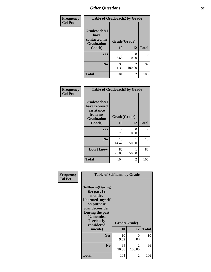| Frequency      | <b>Table of Gradcoach2 by Grade</b> |              |             |              |
|----------------|-------------------------------------|--------------|-------------|--------------|
| <b>Col Pct</b> |                                     |              |             |              |
|                | Gradcoach2(I<br>have                |              |             |              |
|                | contacted my<br><b>Graduation</b>   | Grade(Grade) |             |              |
|                | Coach)                              | 10           | 12          | <b>Total</b> |
|                | Yes                                 | 9<br>8.65    | 0<br>0.00   | 9            |
|                | N <sub>0</sub>                      | 95<br>91.35  | 2<br>100.00 | 97           |
|                | <b>Total</b>                        | 104          | 2           | 106          |

| Frequency<br><b>Col Pct</b> | <b>Table of Gradcoach3 by Grade</b>                                         |              |            |              |
|-----------------------------|-----------------------------------------------------------------------------|--------------|------------|--------------|
|                             | Gradcoach3(I<br>have received<br>assistance<br>from my<br><b>Graduation</b> | Grade(Grade) |            |              |
|                             | Coach)                                                                      | 10           | 12         | <b>Total</b> |
|                             | Yes                                                                         | 7<br>6.73    | 0<br>0.00  | 7            |
|                             | N <sub>0</sub>                                                              | 15<br>14.42  | 1<br>50.00 | 16           |
|                             | Don't know                                                                  | 82<br>78.85  | 1<br>50.00 | 83           |
|                             | <b>Total</b>                                                                | 104          | 2          | 106          |

| Frequency<br><b>Col Pct</b> | <b>Table of Selfharm by Grade</b>                                                                                                                                                      |             |                         |              |
|-----------------------------|----------------------------------------------------------------------------------------------------------------------------------------------------------------------------------------|-------------|-------------------------|--------------|
|                             | <b>Selfharm</b> (During<br>the past 12<br>months,<br>I harmed myself<br>on purpose<br><b>Suicideconsider</b><br>During the past<br>12 months,<br>I seriously<br>considered<br>suicide) | 10          | Grade(Grade)<br>12      | <b>Total</b> |
|                             |                                                                                                                                                                                        |             |                         |              |
|                             | Yes                                                                                                                                                                                    | 10<br>9.62  | 0<br>0.00               | 10           |
|                             | N <sub>0</sub>                                                                                                                                                                         | 94<br>90.38 | $\mathcal{L}$<br>100.00 | 96           |
|                             | Total                                                                                                                                                                                  | 104         | $\overline{2}$          | 106          |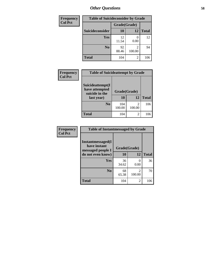| <b>Frequency</b> | <b>Table of Suicideconsider by Grade</b> |              |             |              |  |
|------------------|------------------------------------------|--------------|-------------|--------------|--|
| <b>Col Pct</b>   |                                          | Grade(Grade) |             |              |  |
|                  | Suicideconsider                          | <b>10</b>    | 12          | <b>Total</b> |  |
|                  | <b>Yes</b>                               | 12<br>11.54  | 0.00        | 12           |  |
|                  | N <sub>0</sub>                           | 92<br>88.46  | 2<br>100.00 | 94           |  |
|                  | <b>Total</b>                             | 104          | 2           | 106          |  |

| Frequency<br><b>Col Pct</b> | <b>Table of Suicideattempt by Grade</b>                            |                          |                         |              |  |
|-----------------------------|--------------------------------------------------------------------|--------------------------|-------------------------|--------------|--|
|                             | Suicideattempt(I<br>have attempted<br>suicide in the<br>last year) | Grade(Grade)<br>10<br>12 |                         | <b>Total</b> |  |
|                             | N <sub>0</sub>                                                     | 104<br>100.00            | $\mathcal{L}$<br>100.00 | 106          |  |
|                             | <b>Total</b>                                                       | 104                      | 2                       | 106          |  |

| Frequency      | <b>Table of Instantmessaged by Grade</b>               |              |                          |              |  |
|----------------|--------------------------------------------------------|--------------|--------------------------|--------------|--|
| <b>Col Pct</b> | Instantmessaged(I<br>have instant<br>messaged people I | Grade(Grade) |                          |              |  |
|                | do not even know)                                      | 10           | 12                       | <b>Total</b> |  |
|                | <b>Yes</b>                                             | 36<br>34.62  | $\mathcal{O}$<br>0.00    | 36           |  |
|                | N <sub>0</sub>                                         | 68<br>65.38  | $\overline{2}$<br>100.00 | 70           |  |
|                | <b>Total</b>                                           | 104          | $\overline{c}$           | 106          |  |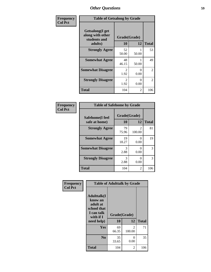| Frequency      | <b>Table of Getsalong by Grade</b>                          |                       |           |                |  |
|----------------|-------------------------------------------------------------|-----------------------|-----------|----------------|--|
| <b>Col Pct</b> | <b>Getsalong</b> (I get<br>along with other<br>students and | Grade(Grade)          |           |                |  |
|                | adults)                                                     | 10                    | 12        | <b>Total</b>   |  |
|                | <b>Strongly Agree</b>                                       | 52<br>50.00           | 50.00     | 53             |  |
|                | <b>Somewhat Agree</b>                                       | 48<br>46.15           | 50.00     | 49             |  |
|                | <b>Somewhat Disagree</b>                                    | 2<br>1.92             | 0<br>0.00 | $\overline{2}$ |  |
|                | <b>Strongly Disagree</b>                                    | $\mathcal{L}$<br>1.92 | 0<br>0.00 | 2              |  |
|                | <b>Total</b>                                                | 104                   | 2         | 106            |  |

| Frequency      | <b>Table of Safehome by Grade</b> |                    |                           |              |  |
|----------------|-----------------------------------|--------------------|---------------------------|--------------|--|
| <b>Col Pct</b> | Safehome(I feel<br>safe at home)  | Grade(Grade)<br>10 | 12                        | <b>Total</b> |  |
|                | <b>Strongly Agree</b>             | 79<br>75.96        | $\mathcal{L}$<br>100.00   | 81           |  |
|                | <b>Somewhat Agree</b>             | 19<br>18.27        | 0<br>0.00                 | 19           |  |
|                | <b>Somewhat Disagree</b>          | 3<br>2.88          | $\mathbf{\Omega}$<br>0.00 | 3            |  |
|                | <b>Strongly Disagree</b>          | 3<br>2.88          | 0<br>0.00                 | 3            |  |
|                | Total                             | 104                | 2                         | 106          |  |

| Frequency      | <b>Table of Adulttalk by Grade</b>                                                                |                    |                          |              |  |
|----------------|---------------------------------------------------------------------------------------------------|--------------------|--------------------------|--------------|--|
| <b>Col Pct</b> | <b>Adulttalk(I</b><br>know an<br>adult at<br>school that<br>I can talk<br>with if I<br>need help) | Grade(Grade)<br>10 | 12                       | <b>Total</b> |  |
|                | Yes                                                                                               | 69<br>66.35        | $\mathfrak{D}$<br>100.00 | 71           |  |
|                | N <sub>0</sub>                                                                                    | 35<br>33.65        | 0<br>0.00                | 35           |  |
|                | <b>Total</b>                                                                                      | 104                | 2                        | 106          |  |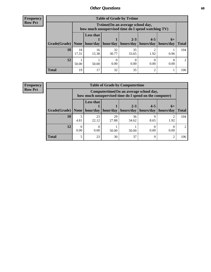**Frequency Row Pct**

| <b>Table of Grade by Tytime</b> |             |                                                                                        |             |                                                                    |         |      |              |
|---------------------------------|-------------|----------------------------------------------------------------------------------------|-------------|--------------------------------------------------------------------|---------|------|--------------|
|                                 |             | Tvtime(On an average school day,<br>how much unsupervised time do I spend watching TV) |             |                                                                    |         |      |              |
| Grade(Grade)   None             |             | <b>Less that</b>                                                                       |             | $2 - 3$<br>hour/day   hour/day   hours/day   hours/day   hours/day | $4 - 5$ | $6+$ | <b>Total</b> |
| 10                              | 18<br>17.31 | 16<br>15.38                                                                            | 32<br>30.77 | 35<br>33.65                                                        | 1.92    | 0.96 | 104          |
| 12                              | 50.00       | 50.00                                                                                  | 0.00        | 0.00                                                               | 0.00    | 0.00 | 2            |
| <b>Total</b>                    | 19          | 17                                                                                     | 32          | 35                                                                 |         |      | 106          |

**Frequency Row Pct**

| <b>Table of Grade by Computertime</b> |      |                                                                                                                               |             |             |             |      |     |  |
|---------------------------------------|------|-------------------------------------------------------------------------------------------------------------------------------|-------------|-------------|-------------|------|-----|--|
|                                       |      | Computertime (On an average school day,<br>how much unsupervised time do I spend on the computer)                             |             |             |             |      |     |  |
| Grade(Grade)                          | None | <b>Less that</b><br>$4 - 5$<br>$2 - 3$<br>$6+$<br>hour/day<br>hours/day<br>hours/day<br>hour/day<br>hours/day<br><b>Total</b> |             |             |             |      |     |  |
| 10                                    | 4.81 | 23<br>22.12                                                                                                                   | 29<br>27.88 | 36<br>34.62 | Q<br>8.65   | 1.92 | 104 |  |
| 12                                    | 0.00 | 0.00<br>0.00<br>0.00<br>50.00<br>50.00                                                                                        |             |             |             |      |     |  |
| <b>Total</b>                          | 5    | 23                                                                                                                            | 30          | 37          | $\mathbf Q$ | ി    | 106 |  |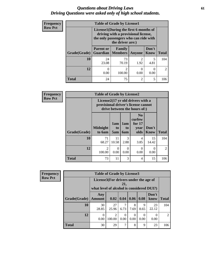### *Questions about Driving Laws* **61** *Driving Questions were asked only of high school students.*

| <b>Frequency</b> |              | <b>Table of Grade by License1</b>                                                                                     |             |                |                      |                |  |  |
|------------------|--------------|-----------------------------------------------------------------------------------------------------------------------|-------------|----------------|----------------------|----------------|--|--|
| <b>Row Pct</b>   |              | License1(During the first 6 months of<br>driving with a provisional license,<br>the only passengers who can ride with |             |                |                      |                |  |  |
|                  | Grade(Grade) | <b>Parent or</b><br><b>Guardian   Members</b>                                                                         | Family      | <b>Anyone</b>  | Don't<br><b>Know</b> | <b>Total</b>   |  |  |
|                  | 10           | 24<br>23.08                                                                                                           | 73<br>70.19 | 2<br>1.92      | 4.81                 | 104            |  |  |
|                  | 12           | 0<br>0.00                                                                                                             | 2<br>100.00 | 0<br>0.00      | $\Omega$<br>0.00     | $\mathfrak{D}$ |  |  |
|                  | <b>Total</b> | 24                                                                                                                    | 75          | $\overline{2}$ | 5                    | 106            |  |  |

| Frequency      |              | <b>Table of Grade by License2</b> |                  |                  |                                                                                                          |                      |                |  |  |  |
|----------------|--------------|-----------------------------------|------------------|------------------|----------------------------------------------------------------------------------------------------------|----------------------|----------------|--|--|--|
| <b>Row Pct</b> |              |                                   |                  |                  | License2(17 yr old drivers with a<br>provisional driver's license cannot<br>drive between the hours of:) |                      |                |  |  |  |
|                | Grade(Grade) | <b>Midnight</b><br>to 6am         | 1am<br>to<br>5am | 1am<br>to<br>6am | N <sub>0</sub><br>curfew<br>for $17$<br>year<br>olds                                                     | Don't<br><b>Know</b> | <b>Total</b>   |  |  |  |
|                | 10           | 71<br>68.27                       | 11<br>10.58      | 3<br>2.88        | 4<br>3.85                                                                                                | 15<br>14.42          | 104            |  |  |  |
|                | 12           | 2<br>100.00                       | 0<br>0.00        | 0<br>0.00        | $\theta$<br>0.00                                                                                         | 0<br>0.00            | $\overline{2}$ |  |  |  |
|                | <b>Total</b> | 73                                | 11               | 3                | 4                                                                                                        | 15                   | 106            |  |  |  |

| Frequency      | <b>Table of Grade by License3</b> |                                                                                    |             |                  |                           |                     |                       |                |
|----------------|-----------------------------------|------------------------------------------------------------------------------------|-------------|------------------|---------------------------|---------------------|-----------------------|----------------|
| <b>Row Pct</b> |                                   | License3(For drivers under the age of<br>what level of alcohol is considered DUI?) |             | 21,              |                           |                     |                       |                |
|                | Grade(Grade)                      | Any<br><b>Amount</b>                                                               |             |                  | 0.02   0.04   0.06   0.08 |                     | Don't<br>know         | <b>Total</b>   |
|                | 10                                | 30<br>28.85                                                                        | 27<br>25.96 | 7<br>6.73        | 8<br>7.69                 | $\mathbf Q$<br>8.65 | 23<br>22.12           | 104            |
|                | 12                                | $\theta$<br>0.00                                                                   | 2<br>100.00 | $\theta$<br>0.00 | $\theta$<br>0.00          | 0.00                | $\mathcal{O}$<br>0.00 | $\overline{2}$ |
|                | <b>Total</b>                      | 30                                                                                 | 29          | 7                | 8                         | 9                   | 23                    | 106            |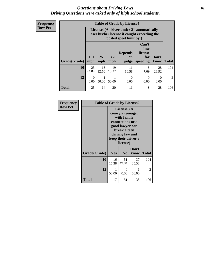### *Questions about Driving Laws* **62** *Driving Questions were asked only of high school students.*

**Frequency Row Pct**

| <b>Table of Grade by License4</b> |                  |                                                                                                                                                                                                                                                                                |             |             |           |             |     |  |
|-----------------------------------|------------------|--------------------------------------------------------------------------------------------------------------------------------------------------------------------------------------------------------------------------------------------------------------------------------|-------------|-------------|-----------|-------------|-----|--|
|                                   |                  | License4(A driver under 21 automatically<br>loses his/her license if caught exceeding the<br>posted speet limit by:)<br>Can't<br>lose<br><b>Depends</b><br>license<br>$15+$<br>$25+$<br>$35+$<br>Don't<br>for<br>on<br>mph<br><b>Total</b><br>speeding<br>know<br>mph<br>judge |             |             |           |             |     |  |
| Grade(Grade)                      | mph              |                                                                                                                                                                                                                                                                                |             |             |           |             |     |  |
| 10                                | 25<br>24.04      | 13<br>12.50                                                                                                                                                                                                                                                                    | 19<br>18.27 | 11<br>10.58 | 8<br>7.69 | 28<br>26.92 | 104 |  |
| 12                                | $\Omega$<br>0.00 | $\Omega$<br>0<br>0<br>50.00<br>50.00<br>0.00<br>0.00<br>0.00                                                                                                                                                                                                                   |             |             |           |             |     |  |
| <b>Total</b>                      | 25               | 14                                                                                                                                                                                                                                                                             | 20          | 11          | 8         | 28          | 106 |  |

| Frequency      | <b>Table of Grade by License5</b> |                                                                                                                                                             |                  |               |              |
|----------------|-----------------------------------|-------------------------------------------------------------------------------------------------------------------------------------------------------------|------------------|---------------|--------------|
| <b>Row Pct</b> |                                   | License5(A)<br>Georgia teenager<br>with family<br>connections or a<br>good lawyer can<br>break a teen<br>driving law and<br>keep their driver's<br>license) |                  |               |              |
|                | Grade(Grade)                      | Yes                                                                                                                                                         | N <sub>0</sub>   | Don't<br>know | <b>Total</b> |
|                | 10                                | 16<br>15.38                                                                                                                                                 | 51<br>49.04      | 37<br>35.58   | 104          |
|                | 12                                | 1<br>50.00                                                                                                                                                  | $\theta$<br>0.00 | 50.00         | 2            |
|                | <b>Total</b>                      | 17                                                                                                                                                          | 51               | 38            | 106          |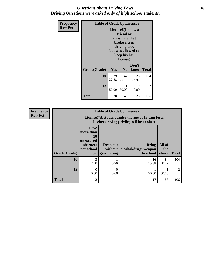### *Questions about Driving Laws* **63** *Driving Questions were asked only of high school students.*

| <b>Frequency</b> | <b>Table of Grade by License6</b> |                       |                                                                                                                                                 |                  |              |
|------------------|-----------------------------------|-----------------------|-------------------------------------------------------------------------------------------------------------------------------------------------|------------------|--------------|
| <b>Row Pct</b>   |                                   |                       | License <sub>6</sub> (I know a<br>friend or<br>classmate that<br>broke a teen<br>driving law,<br>but was allowed to<br>keep his/her<br>license) |                  |              |
|                  | Grade(Grade)                      | <b>Yes</b>            | N <sub>0</sub>                                                                                                                                  | Don't<br>know    | <b>Total</b> |
|                  | 10                                | 29<br>27.88           | 47<br>45.19                                                                                                                                     | 28<br>26.92      | 104          |
|                  | 12                                | $\mathbf{1}$<br>50.00 | 50.00                                                                                                                                           | $\Omega$<br>0.00 | 2            |
|                  | <b>Total</b>                      | 30                    | 48                                                                                                                                              | 28               | 106          |

| <b>Frequency</b> | <b>Table of Grade by License7</b> |                                                                             |                                                                                               |                                                   |                        |               |  |  |
|------------------|-----------------------------------|-----------------------------------------------------------------------------|-----------------------------------------------------------------------------------------------|---------------------------------------------------|------------------------|---------------|--|--|
| <b>Row Pct</b>   |                                   |                                                                             | License7(A student under the age of 18 cam loser<br>his/her driving privileges if he or she:) |                                                   |                        |               |  |  |
|                  | Grade(Grade)                      | <b>Have</b><br>more than<br>10<br>unexcused<br>absences<br>per school<br>yr | Drop out<br>without  <br>graduating                                                           | <b>Bring</b><br>alcohol/drugs/weapon<br>to school | All of<br>the<br>above | <b>Total</b>  |  |  |
|                  | 10                                | 3<br>2.88                                                                   | 0.96                                                                                          | 16<br>15.38                                       | 84<br>80.77            | 104           |  |  |
|                  | 12                                | $\Omega$<br>0.00                                                            | 0.00                                                                                          | 50.00                                             | 50.00                  | $\mathcal{D}$ |  |  |
|                  | <b>Total</b>                      | 3                                                                           |                                                                                               | 17                                                | 85                     | 106           |  |  |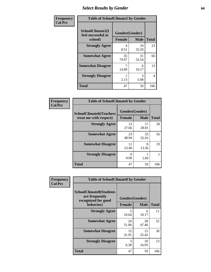# *Select Results by Gender* **64**

| Frequency      | <b>Table of SchoolClimate2 by Gender</b>          |                                 |             |              |  |
|----------------|---------------------------------------------------|---------------------------------|-------------|--------------|--|
| <b>Col Pct</b> | SchoolClimate2(I<br>feel successful at<br>school) | Gender(Gender)<br><b>Female</b> | <b>Male</b> | <b>Total</b> |  |
|                | <b>Strongly Agree</b>                             | 4<br>8.51                       | 19<br>32.20 | 23           |  |
|                | <b>Somewhat Agree</b>                             | 35<br>74.47                     | 31<br>52.54 | 66           |  |
|                | <b>Somewhat Disagree</b>                          | 14.89                           | 6<br>10.17  | 13           |  |
|                | <b>Strongly Disagree</b>                          | 2.13                            | 3<br>5.08   | 4            |  |
|                | <b>Total</b>                                      | 47                              | 59          | 106          |  |

| Frequency      | <b>Table of SchoolClimate6 by Gender</b>                 |                                 |             |              |
|----------------|----------------------------------------------------------|---------------------------------|-------------|--------------|
| <b>Col Pct</b> | <b>SchoolClimate6(Teachers</b><br>treat me with respect) | Gender(Gender)<br><b>Female</b> | <b>Male</b> | <b>Total</b> |
|                | <b>Strongly Agree</b>                                    | 13<br>27.66                     | 17<br>28.81 | 30           |
|                | <b>Somewhat Agree</b>                                    | 23<br>48.94                     | 33<br>55.93 | 56           |
|                | <b>Somewhat Disagree</b>                                 | 11<br>23.40                     | 8<br>13.56  | 19           |
|                | <b>Strongly Disagree</b>                                 | 0<br>0.00                       | 1.69        |              |
|                | <b>Total</b>                                             | 47                              | 59          | 106          |

| <b>Frequency</b><br><b>Col Pct</b> | <b>Table of SchoolClimate8 by Gender</b>                                             |               |                               |              |
|------------------------------------|--------------------------------------------------------------------------------------|---------------|-------------------------------|--------------|
|                                    | <b>SchoolClimate8(Students</b><br>are frequently<br>recognized for good<br>behavior) | <b>Female</b> | Gender(Gender)<br><b>Male</b> | <b>Total</b> |
|                                    | <b>Strongly Agree</b>                                                                | 5<br>10.64    | 6<br>10.17                    | 11           |
|                                    | <b>Somewhat Agree</b>                                                                | 24<br>51.06   | 28<br>47.46                   | 52           |
|                                    | <b>Somewhat Disagree</b>                                                             | 15<br>31.91   | 15<br>25.42                   | 30           |
|                                    | <b>Strongly Disagree</b>                                                             | 3<br>6.38     | 10<br>16.95                   | 13           |
|                                    | Total                                                                                | 47            | 59                            | 106          |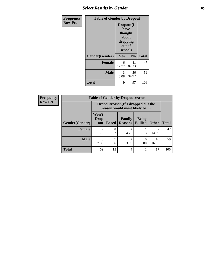## *Select Results by Gender* **65**

| <b>Frequency</b> | <b>Table of Gender by Dropout</b> |                                                              |             |              |  |
|------------------|-----------------------------------|--------------------------------------------------------------|-------------|--------------|--|
| <b>Row Pct</b>   |                                   | Dropout(I<br>have<br>thought<br>about<br>dropping<br>school) | out of      |              |  |
|                  | Gender(Gender)                    | Yes                                                          | No          | <b>Total</b> |  |
|                  | <b>Female</b>                     | 6<br>12.77                                                   | 41<br>87.23 | 47           |  |
|                  | <b>Male</b>                       | 3<br>5.08                                                    | 56<br>94.92 | 59           |  |
|                  | <b>Total</b>                      | 9                                                            | 97          | 106          |  |

| <b>Frequency</b> | <b>Table of Gender by Dropoutreason</b> |                             |                                                                     |                          |                                |              |              |
|------------------|-----------------------------------------|-----------------------------|---------------------------------------------------------------------|--------------------------|--------------------------------|--------------|--------------|
| <b>Row Pct</b>   |                                         |                             | Dropoutreason (If I dropped out the<br>reason would most likely be) |                          |                                |              |              |
|                  | Gender(Gender)                          | Won't<br><b>Drop</b><br>out | <b>Bored</b>                                                        | Family<br><b>Reasons</b> | <b>Being</b><br><b>Bullied</b> | <b>Other</b> | <b>Total</b> |
|                  | <b>Female</b>                           | 29<br>61.70                 | 8<br>17.02                                                          | $\mathfrak{D}$<br>4.26   | 2.13                           | ℸ<br>14.89   | 47           |
|                  | <b>Male</b>                             | 40<br>67.80                 | 7<br>11.86                                                          | $\mathfrak{D}$<br>3.39   | 0.00                           | 10<br>16.95  | 59           |
|                  | <b>Total</b>                            | 69                          | 15                                                                  | $\overline{4}$           |                                | 17           | 106          |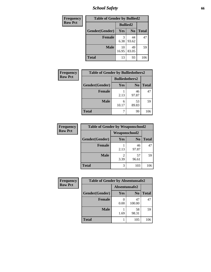*School Safety* **66**

| Frequency      | <b>Table of Gender by Bullied2</b> |                 |                |              |
|----------------|------------------------------------|-----------------|----------------|--------------|
| <b>Row Pct</b> |                                    | <b>Bullied2</b> |                |              |
|                | Gender(Gender)                     | Yes             | N <sub>0</sub> | <b>Total</b> |
|                | <b>Female</b>                      | 3<br>6.38       | 44<br>93.62    | 47           |
|                | <b>Male</b>                        | 10<br>16.95     | 49<br>83.05    | 59           |
|                | <b>Total</b>                       | 13              | 93             | 106          |

| Frequency      | <b>Table of Gender by Bulliedothers2</b> |                       |                |              |
|----------------|------------------------------------------|-----------------------|----------------|--------------|
| <b>Row Pct</b> |                                          | <b>Bulliedothers2</b> |                |              |
|                | Gender(Gender)                           | Yes                   | N <sub>0</sub> | <b>Total</b> |
|                | <b>Female</b>                            | 2.13                  | 46<br>97.87    | 47           |
|                | <b>Male</b>                              | 6<br>10.17            | 53<br>89.83    | 59           |
|                | <b>Total</b>                             |                       | 99             | 106          |

| Frequency      |                | <b>Table of Gender by Weaponschool2</b> |                |              |
|----------------|----------------|-----------------------------------------|----------------|--------------|
| <b>Row Pct</b> |                | <b>Weaponschool2</b>                    |                |              |
|                | Gender(Gender) | Yes                                     | N <sub>0</sub> | <b>Total</b> |
|                | <b>Female</b>  | 2.13                                    | 46<br>97.87    | 47           |
|                | <b>Male</b>    | 3.39                                    | 57<br>96.61    | 59           |
|                | <b>Total</b>   | 3                                       | 103            | 106          |

| Frequency      | <b>Table of Gender by Absentunsafe2</b> |               |                |              |
|----------------|-----------------------------------------|---------------|----------------|--------------|
| <b>Row Pct</b> |                                         | Absentunsafe2 |                |              |
|                | Gender(Gender)                          | Yes           | N <sub>0</sub> | <b>Total</b> |
|                | <b>Female</b>                           | 0.00          | 47<br>100.00   | 47           |
|                | <b>Male</b>                             | 1.69          | 58<br>98.31    | 59           |
|                | <b>Total</b>                            |               | 105            | 106          |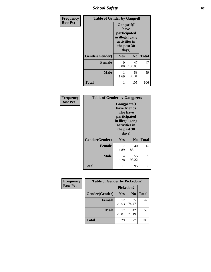*School Safety* **67**

| Frequency      | <b>Table of Gender by Gangself</b> |                                                                                                |                |              |
|----------------|------------------------------------|------------------------------------------------------------------------------------------------|----------------|--------------|
| <b>Row Pct</b> |                                    | Gangself(I<br>have<br>participated<br>in illegal gang<br>activities in<br>the past 30<br>days) |                |              |
|                | Gender(Gender)                     | Yes                                                                                            | N <sub>0</sub> | <b>Total</b> |
|                | <b>Female</b>                      | 0<br>0.00                                                                                      | 47<br>100.00   | 47           |
|                | <b>Male</b>                        | 1<br>1.69                                                                                      | 58<br>98.31    | 59           |
|                | <b>Total</b>                       | 1                                                                                              | 105            | 106          |

| <b>Frequency</b> | <b>Table of Gender by Gangpeers</b> |                                                                                                                             |                |              |
|------------------|-------------------------------------|-----------------------------------------------------------------------------------------------------------------------------|----------------|--------------|
| <b>Row Pct</b>   |                                     | <b>Gangpeers</b> (I<br>have friends<br>who have<br>participated<br>in illegal gang<br>activities in<br>the past 30<br>days) |                |              |
|                  | Gender(Gender)                      | Yes                                                                                                                         | N <sub>0</sub> | <b>Total</b> |
|                  | <b>Female</b>                       | 7<br>14.89                                                                                                                  | 40<br>85.11    | 47           |
|                  | Male                                | 4<br>6.78                                                                                                                   | 55<br>93.22    | 59           |
|                  | Total                               | 11                                                                                                                          | 95             | 106          |

| <b>Frequency</b> | <b>Table of Gender by Pickedon2</b> |             |                |              |
|------------------|-------------------------------------|-------------|----------------|--------------|
| <b>Row Pct</b>   |                                     |             | Pickedon2      |              |
|                  | Gender(Gender)                      | Yes         | N <sub>o</sub> | <b>Total</b> |
|                  | <b>Female</b>                       | 12<br>25.53 | 35<br>74.47    | 47           |
|                  | <b>Male</b>                         | 17<br>28.81 | 42<br>71.19    | 59           |
|                  | <b>Total</b>                        | 29          | 77             | 106          |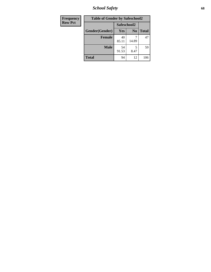*School Safety* **68**

| <b>Frequency</b> | <b>Table of Gender by Safeschool2</b> |             |                |              |
|------------------|---------------------------------------|-------------|----------------|--------------|
| <b>Row Pct</b>   |                                       | Safeschool2 |                |              |
|                  | Gender(Gender)                        | Yes         | N <sub>0</sub> | <b>Total</b> |
|                  | <b>Female</b>                         | 40<br>85.11 | 14.89          | 47           |
|                  | <b>Male</b>                           | 54<br>91.53 | 8.47           | 59           |
|                  | <b>Total</b>                          | 94          | 12             | 106          |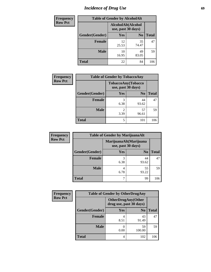# *Incidence of Drug Use* 69

| <b>Frequency</b> | <b>Table of Gender by AlcoholAlt</b> |                                          |                |              |  |
|------------------|--------------------------------------|------------------------------------------|----------------|--------------|--|
| <b>Row Pct</b>   |                                      | AlcoholAlt(Alcohol<br>use, past 30 days) |                |              |  |
|                  | Gender(Gender)                       | <b>Yes</b>                               | N <sub>0</sub> | <b>Total</b> |  |
|                  | <b>Female</b>                        | 12<br>25.53                              | 35<br>74.47    | 47           |  |
|                  | <b>Male</b>                          | 10<br>16.95                              | 49<br>83.05    | 59           |  |
|                  | <b>Total</b>                         | 22                                       | 84             | 106          |  |

| <b>Frequency</b> | <b>Table of Gender by TobaccoAny</b> |                                          |                |              |  |
|------------------|--------------------------------------|------------------------------------------|----------------|--------------|--|
| <b>Row Pct</b>   |                                      | TobaccoAny(Tobacco<br>use, past 30 days) |                |              |  |
|                  | Gender(Gender)                       | Yes                                      | N <sub>0</sub> | <b>Total</b> |  |
|                  | Female                               | 3<br>6.38                                | 44<br>93.62    | 47           |  |
|                  | <b>Male</b>                          | $\mathfrak{D}$<br>3.39                   | 57<br>96.61    | 59           |  |
|                  | <b>Total</b>                         | 5                                        | 101            | 106          |  |

| <b>Frequency</b> | <b>Table of Gender by MarijuanaAlt</b> |                                              |                |              |  |
|------------------|----------------------------------------|----------------------------------------------|----------------|--------------|--|
| <b>Row Pct</b>   |                                        | MarijuanaAlt(Marijuana<br>use, past 30 days) |                |              |  |
|                  | Gender(Gender)                         | <b>Yes</b>                                   | N <sub>0</sub> | <b>Total</b> |  |
|                  | <b>Female</b>                          | 6.38                                         | 44<br>93.62    | 47           |  |
|                  | <b>Male</b>                            | 4<br>6.78                                    | 55<br>93.22    | 59           |  |
|                  | <b>Total</b>                           |                                              | 99             | 106          |  |

| <b>Frequency</b> | <b>Table of Gender by OtherDrugAny</b> |                                                      |                |              |  |
|------------------|----------------------------------------|------------------------------------------------------|----------------|--------------|--|
| <b>Row Pct</b>   |                                        | <b>OtherDrugAny(Other</b><br>drug use, past 30 days) |                |              |  |
|                  | Gender(Gender)                         | <b>Yes</b>                                           | N <sub>0</sub> | <b>Total</b> |  |
|                  | <b>Female</b>                          | 8.51                                                 | 43<br>91.49    | 47           |  |
|                  | <b>Male</b>                            | 0.00                                                 | 59<br>100.00   | 59           |  |
|                  | <b>Total</b>                           | 4                                                    | 102            | 106          |  |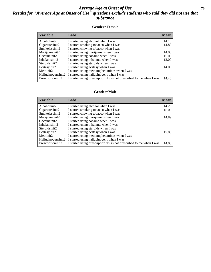### *Average Age at Onset of Use* 70 *Results for "Average Age at Onset of Use" questions exclude students who said they did not use that substance*

#### **Gender=Female**

| <b>Variable</b>    | Label                                                              | <b>Mean</b> |
|--------------------|--------------------------------------------------------------------|-------------|
| Alcoholinit2       | I started using alcohol when I was                                 | 14.10       |
| Cigarettesinit2    | I started smoking tobacco when I was                               | 14.83       |
| Smokelessinit2     | I started chewing tobacco when I was                               |             |
| Marijuanainit2     | I started using marijuana when I was                               | 14.00       |
| Cocaineinit2       | I started using cocaine when I was                                 | 15.00       |
| Inhalantsinit2     | I started using inhalants when I was                               | 12.00       |
| Steroidsinit2      | I started using steroids when I was                                |             |
| Ecstasyinit2       | I started using ecstasy when I was                                 | 14.00       |
| Methinit2          | I started using methamphetamines when I was                        |             |
| Hallucinogensinit2 | I started using hallucinogens when I was                           |             |
| Prescription in t2 | I started using prescription drugs not prescribed to me when I was | 14.40       |

#### **Gender=Male**

| <b>Variable</b>    | Label                                                              | <b>Mean</b> |
|--------------------|--------------------------------------------------------------------|-------------|
| Alcoholinit2       | I started using alcohol when I was                                 | 14.23       |
| Cigarettesinit2    | I started smoking tobacco when I was                               | 15.00       |
| Smokelessinit2     | I started chewing tobacco when I was                               |             |
| Marijuanainit2     | I started using marijuana when I was                               | 14.89       |
| Cocaineinit2       | I started using cocaine when I was                                 |             |
| Inhalantsinit2     | I started using inhalants when I was                               |             |
| Steroidsinit2      | I started using steroids when I was                                |             |
| Ecstasyinit2       | I started using ecstasy when I was                                 | 17.00       |
| Methinit2          | I started using methamphetamines when I was                        |             |
| Hallucinogensinit2 | I started using hallucinogens when I was                           |             |
| Prescriptioninit2  | I started using prescription drugs not prescribed to me when I was | 14.00       |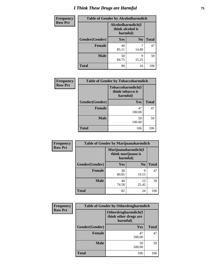# *I Think These Drugs are Harmful* **71**

| Frequency      | <b>Table of Gender by Alcoholharmdich</b> |                                                   |                |              |
|----------------|-------------------------------------------|---------------------------------------------------|----------------|--------------|
| <b>Row Pct</b> |                                           | Alcoholharmdich(I<br>think alcohol is<br>harmful) |                |              |
|                | Gender(Gender)                            | <b>Yes</b>                                        | N <sub>0</sub> | <b>Total</b> |
|                | <b>Female</b>                             | 40<br>85.11                                       | 14.89          | 47           |
|                | <b>Male</b>                               | 50<br>84.75                                       | q<br>15.25     | 59           |
|                | <b>Total</b>                              | 90                                                | 16             | 106          |

| Frequency      | <b>Table of Gender by Tobaccoharmdich</b> |                                                   |              |  |
|----------------|-------------------------------------------|---------------------------------------------------|--------------|--|
| <b>Row Pct</b> |                                           | Tobaccoharmdich(I<br>think tobacco is<br>harmful) |              |  |
|                | Gender(Gender)                            | Yes                                               | <b>Total</b> |  |
|                | <b>Female</b>                             | 47<br>100.00                                      | 47           |  |
|                | <b>Male</b>                               | 59<br>100.00                                      | 59           |  |
|                | <b>Total</b>                              | 106                                               | 106          |  |

| Frequency      | <b>Table of Gender by Marijuanaharmdich</b> |                                |                     |              |
|----------------|---------------------------------------------|--------------------------------|---------------------|--------------|
| <b>Row Pct</b> |                                             | think marijuana is<br>harmful) | Marijuanaharmdich(I |              |
|                | Gender(Gender)                              | <b>Yes</b>                     | N <sub>0</sub>      | <b>Total</b> |
|                | <b>Female</b>                               | 38<br>80.85                    | 9<br>19.15          | 47           |
|                | <b>Male</b>                                 | 44<br>74.58                    | 15<br>25.42         | 59           |
|                | <b>Total</b>                                | 82                             | 24                  | 106          |

| Frequency      |                | <b>Table of Gender by Otherdrugharmdich</b>              |              |
|----------------|----------------|----------------------------------------------------------|--------------|
| <b>Row Pct</b> |                | Otherdrugharmdich(I<br>think other drugs are<br>harmful) |              |
|                | Gender(Gender) | Yes                                                      | <b>Total</b> |
|                | <b>Female</b>  | 47<br>100.00                                             | 47           |
|                | <b>Male</b>    | 59<br>100.00                                             | 59           |
|                | <b>Total</b>   | 106                                                      | 106          |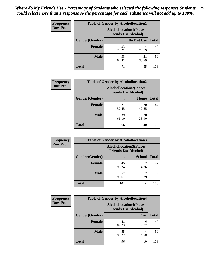| <b>Frequency</b> | <b>Table of Gender by Alcohollocation1</b> |                                                               |             |              |  |
|------------------|--------------------------------------------|---------------------------------------------------------------|-------------|--------------|--|
| <b>Row Pct</b>   |                                            | <b>Alcohollocation1(Places</b><br><b>Friends Use Alcohol)</b> |             |              |  |
|                  | Gender(Gender)                             |                                                               | Do Not Use  | <b>Total</b> |  |
|                  | <b>Female</b>                              | 33<br>70.21                                                   | 14<br>29.79 | 47           |  |
|                  | <b>Male</b>                                | 38<br>64.41                                                   | 21<br>35.59 | 59           |  |
|                  | <b>Total</b>                               | 71                                                            | 35          | 106          |  |

| <b>Frequency</b> | <b>Table of Gender by Alcohollocation2</b> |                                                               |             |              |
|------------------|--------------------------------------------|---------------------------------------------------------------|-------------|--------------|
| <b>Row Pct</b>   |                                            | <b>Alcohollocation2(Places</b><br><b>Friends Use Alcohol)</b> |             |              |
|                  | Gender(Gender)                             |                                                               | Home        | <b>Total</b> |
|                  | <b>Female</b>                              | 27<br>57.45                                                   | 20<br>42.55 | 47           |
|                  | <b>Male</b>                                | 39<br>66.10                                                   | 20<br>33.90 | 59           |
|                  | <b>Total</b>                               | 66                                                            | 40          | 106          |

| Frequency      | <b>Table of Gender by Alcohollocation3</b> |                                                               |               |              |
|----------------|--------------------------------------------|---------------------------------------------------------------|---------------|--------------|
| <b>Row Pct</b> |                                            | <b>Alcohollocation3(Places</b><br><b>Friends Use Alcohol)</b> |               |              |
|                | Gender(Gender)                             |                                                               | <b>School</b> | <b>Total</b> |
|                | <b>Female</b>                              | 45<br>95.74                                                   | 2<br>4.26     | 47           |
|                | <b>Male</b>                                | 57<br>96.61                                                   | 3.39          | 59           |
|                | <b>Total</b>                               | 102                                                           | 4             | 106          |

| <b>Frequency</b> | <b>Table of Gender by Alcohollocation4</b> |                                                               |            |              |
|------------------|--------------------------------------------|---------------------------------------------------------------|------------|--------------|
| <b>Row Pct</b>   |                                            | <b>Alcohollocation4(Places</b><br><b>Friends Use Alcohol)</b> |            |              |
|                  | Gender(Gender)                             |                                                               | Car        | <b>Total</b> |
|                  | <b>Female</b>                              | 41<br>87.23                                                   | 6<br>12.77 | 47           |
|                  | <b>Male</b>                                | 55<br>93.22                                                   | 6.78       | 59           |
|                  | <b>Total</b>                               | 96                                                            | 10         | 106          |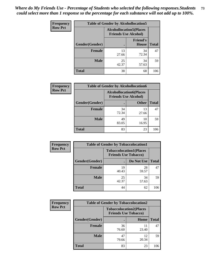| <b>Frequency</b> | <b>Table of Gender by Alcohollocation5</b> |                                                                |                                 |              |
|------------------|--------------------------------------------|----------------------------------------------------------------|---------------------------------|--------------|
| <b>Row Pct</b>   |                                            | <b>Alcohollocation5</b> (Places<br><b>Friends Use Alcohol)</b> |                                 |              |
|                  | <b>Gender</b> (Gender)                     |                                                                | <b>Friend's</b><br><b>House</b> | <b>Total</b> |
|                  | <b>Female</b>                              | 13<br>27.66                                                    | 34<br>72.34                     | 47           |
|                  | <b>Male</b>                                | 25<br>42.37                                                    | 34<br>57.63                     | 59           |
|                  | <b>Total</b>                               | 38                                                             | 68                              | 106          |

| <b>Frequency</b> | <b>Table of Gender by Alcohollocation6</b> |                                                               |              |              |
|------------------|--------------------------------------------|---------------------------------------------------------------|--------------|--------------|
| <b>Row Pct</b>   |                                            | <b>Alcohollocation6(Places</b><br><b>Friends Use Alcohol)</b> |              |              |
|                  | Gender(Gender)                             |                                                               | <b>Other</b> | <b>Total</b> |
|                  | <b>Female</b>                              | 34<br>72.34                                                   | 13<br>27.66  | 47           |
|                  | <b>Male</b>                                | 49<br>83.05                                                   | 10<br>16.95  | 59           |
|                  | <b>Total</b>                               | 83                                                            | 23           | 106          |

| Frequency      | <b>Table of Gender by Tobaccolocation1</b> |                                                               |             |              |  |
|----------------|--------------------------------------------|---------------------------------------------------------------|-------------|--------------|--|
| <b>Row Pct</b> |                                            | <b>Tobaccolocation1(Places</b><br><b>Friends Use Tobacco)</b> |             |              |  |
|                | Gender(Gender)                             |                                                               | Do Not Use  | <b>Total</b> |  |
|                | Female                                     | 19<br>40.43                                                   | 28<br>59.57 | 47           |  |
|                | <b>Male</b>                                | 25<br>42.37                                                   | 34<br>57.63 | 59           |  |
|                | <b>Total</b>                               | 44                                                            | 62          | 106          |  |

| <b>Frequency</b> | <b>Table of Gender by Tobaccolocation2</b> |                             |                                |              |
|------------------|--------------------------------------------|-----------------------------|--------------------------------|--------------|
| <b>Row Pct</b>   |                                            | <b>Friends Use Tobacco)</b> | <b>Tobaccolocation2(Places</b> |              |
|                  | Gender(Gender)                             |                             | Home                           | <b>Total</b> |
|                  | Female                                     | 36<br>76.60                 | 11<br>23.40                    | 47           |
|                  | <b>Male</b>                                | 47<br>79.66                 | 12<br>20.34                    | 59           |
|                  | <b>Total</b>                               | 83                          | 23                             | 106          |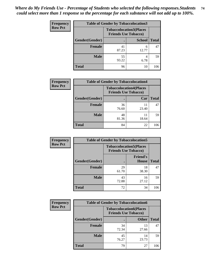| <b>Frequency</b> | <b>Table of Gender by Tobaccolocation3</b> |                                                               |               |              |
|------------------|--------------------------------------------|---------------------------------------------------------------|---------------|--------------|
| <b>Row Pct</b>   |                                            | <b>Tobaccolocation3(Places</b><br><b>Friends Use Tobacco)</b> |               |              |
|                  | Gender(Gender)                             |                                                               | <b>School</b> | <b>Total</b> |
|                  | <b>Female</b>                              | 41<br>87.23                                                   | 6<br>12.77    | 47           |
|                  | <b>Male</b>                                | 55<br>93.22                                                   | 6.78          | 59           |
|                  | <b>Total</b>                               | 96                                                            | 10            | 106          |

| <b>Frequency</b> | <b>Table of Gender by Tobaccolocation4</b> |                                                               |             |              |
|------------------|--------------------------------------------|---------------------------------------------------------------|-------------|--------------|
| <b>Row Pct</b>   |                                            | <b>Tobaccolocation4(Places</b><br><b>Friends Use Tobacco)</b> |             |              |
|                  | Gender(Gender)                             |                                                               | Car         | <b>Total</b> |
|                  | <b>Female</b>                              | 36<br>76.60                                                   | 11<br>23.40 | 47           |
|                  | <b>Male</b>                                | 48<br>81.36                                                   | 11<br>18.64 | 59           |
|                  | <b>Total</b>                               | 84                                                            | 22          | 106          |

| <b>Frequency</b> | <b>Table of Gender by Tobaccolocation5</b> |             |                                                               |              |
|------------------|--------------------------------------------|-------------|---------------------------------------------------------------|--------------|
| <b>Row Pct</b>   |                                            |             | <b>Tobaccolocation5(Places</b><br><b>Friends Use Tobacco)</b> |              |
|                  | Gender(Gender)                             |             | <b>Friend's</b><br><b>House</b>                               | <b>Total</b> |
|                  | <b>Female</b>                              | 29<br>61.70 | 18<br>38.30                                                   | 47           |
|                  | <b>Male</b>                                | 43<br>72.88 | 16<br>27.12                                                   | 59           |
|                  | <b>Total</b>                               | 72          | 34                                                            | 106          |

| <b>Frequency</b> | <b>Table of Gender by Tobaccolocation6</b> |                                                               |              |              |
|------------------|--------------------------------------------|---------------------------------------------------------------|--------------|--------------|
| <b>Row Pct</b>   |                                            | <b>Tobaccolocation6(Places</b><br><b>Friends Use Tobacco)</b> |              |              |
|                  | Gender(Gender)                             |                                                               | <b>Other</b> | <b>Total</b> |
|                  | Female                                     | 34<br>72.34                                                   | 13<br>27.66  | 47           |
|                  | <b>Male</b>                                | 45<br>76.27                                                   | 14<br>23.73  | 59           |
|                  | <b>Total</b>                               | 79                                                            | 27           | 106          |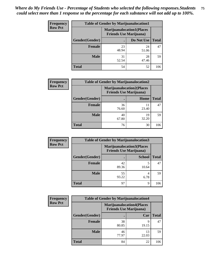| <b>Frequency</b> | <b>Table of Gender by Marijuanalocation1</b> |                                                                    |             |              |  |
|------------------|----------------------------------------------|--------------------------------------------------------------------|-------------|--------------|--|
| <b>Row Pct</b>   |                                              | <b>Marijuanalocation1(Places</b><br><b>Friends Use Marijuana</b> ) |             |              |  |
|                  | Gender(Gender)                               |                                                                    | Do Not Use  | <b>Total</b> |  |
|                  | <b>Female</b>                                | 23<br>48.94                                                        | 24<br>51.06 | 47           |  |
|                  | <b>Male</b>                                  | 31<br>52.54                                                        | 28<br>47.46 | 59           |  |
|                  | <b>Total</b>                                 | 54                                                                 | 52          | 106          |  |

| <b>Frequency</b> | <b>Table of Gender by Marijuanalocation2</b> |             |                                                                    |              |
|------------------|----------------------------------------------|-------------|--------------------------------------------------------------------|--------------|
| <b>Row Pct</b>   |                                              |             | <b>Marijuanalocation2(Places</b><br><b>Friends Use Marijuana</b> ) |              |
|                  | Gender(Gender)                               |             | Home                                                               | <b>Total</b> |
|                  | <b>Female</b>                                | 36<br>76.60 | 23.40                                                              | 47           |
|                  | <b>Male</b>                                  | 40<br>67.80 | 19<br>32.20                                                        | 59           |
|                  | <b>Total</b>                                 | 76          | 30                                                                 | 106          |

| Frequency      | <b>Table of Gender by Marijuanalocation3</b> |                                                                    |               |              |
|----------------|----------------------------------------------|--------------------------------------------------------------------|---------------|--------------|
| <b>Row Pct</b> |                                              | <b>Marijuanalocation3(Places</b><br><b>Friends Use Marijuana</b> ) |               |              |
|                | Gender(Gender)                               |                                                                    | <b>School</b> | <b>Total</b> |
|                | Female                                       | 42<br>89.36                                                        | 10.64         | 47           |
|                | <b>Male</b>                                  | 55<br>93.22                                                        | 4<br>6.78     | 59           |
|                | <b>Total</b>                                 | 97                                                                 | 9             | 106          |

| <b>Frequency</b> | <b>Table of Gender by Marijuanalocation4</b> |                                                                    |             |              |
|------------------|----------------------------------------------|--------------------------------------------------------------------|-------------|--------------|
| <b>Row Pct</b>   |                                              | <b>Marijuanalocation4(Places</b><br><b>Friends Use Marijuana</b> ) |             |              |
|                  | Gender(Gender)                               |                                                                    | Car         | <b>Total</b> |
|                  | <b>Female</b>                                | 38<br>80.85                                                        | q<br>19.15  | 47           |
|                  | <b>Male</b>                                  | 46<br>77.97                                                        | 13<br>22.03 | 59           |
|                  | <b>Total</b>                                 | 84                                                                 | 22          | 106          |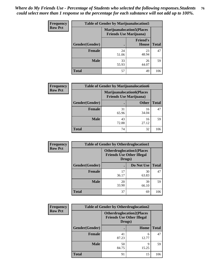| <b>Frequency</b> | <b>Table of Gender by Marijuanalocation5</b> |                                                                     |                                 |              |
|------------------|----------------------------------------------|---------------------------------------------------------------------|---------------------------------|--------------|
| <b>Row Pct</b>   |                                              | <b>Marijuanalocation5</b> (Places<br><b>Friends Use Marijuana</b> ) |                                 |              |
|                  | Gender(Gender)                               |                                                                     | <b>Friend's</b><br><b>House</b> | <b>Total</b> |
|                  | <b>Female</b>                                | 24<br>51.06                                                         | 23<br>48.94                     | 47           |
|                  | <b>Male</b>                                  | 33<br>55.93                                                         | 26<br>44.07                     | 59           |
|                  | <b>Total</b>                                 | 57                                                                  | 49                              | 106          |

| <b>Frequency</b> |                | <b>Table of Gender by Marijuanalocation6</b> |                                  |              |
|------------------|----------------|----------------------------------------------|----------------------------------|--------------|
| <b>Row Pct</b>   |                | <b>Friends Use Marijuana</b> )               | <b>Marijuanalocation6(Places</b> |              |
|                  | Gender(Gender) |                                              | <b>Other</b>                     | <b>Total</b> |
|                  | <b>Female</b>  | 31<br>65.96                                  | 16<br>34.04                      | 47           |
|                  | <b>Male</b>    | 43<br>72.88                                  | 16<br>27.12                      | 59           |
|                  | <b>Total</b>   | 74                                           | 32                               | 106          |

| <b>Frequency</b> | <b>Table of Gender by Otherdruglocation1</b> |                                                                                |             |              |
|------------------|----------------------------------------------|--------------------------------------------------------------------------------|-------------|--------------|
| <b>Row Pct</b>   |                                              | <b>Otherdruglocation1(Places</b><br><b>Friends Use Other Illegal</b><br>Drugs) |             |              |
|                  | Gender(Gender)                               |                                                                                | Do Not Use  | <b>Total</b> |
|                  | Female                                       | 17<br>36.17                                                                    | 30<br>63.83 | 47           |
|                  | <b>Male</b>                                  | 20<br>33.90                                                                    | 39<br>66.10 | 59           |
|                  | <b>Total</b>                                 | 37                                                                             | 69          | 106          |

| Frequency      | <b>Table of Gender by Otherdruglocation2</b> |                                            |                                  |              |
|----------------|----------------------------------------------|--------------------------------------------|----------------------------------|--------------|
| <b>Row Pct</b> |                                              | <b>Friends Use Other Illegal</b><br>Drugs) | <b>Otherdruglocation2(Places</b> |              |
|                | Gender(Gender)                               |                                            | Home                             | <b>Total</b> |
|                | Female                                       | 41<br>87.23                                | 6<br>12.77                       | 47           |
|                | <b>Male</b>                                  | 50<br>84.75                                | q<br>15.25                       | 59           |
|                | <b>Total</b>                                 | 91                                         | 15                               | 106          |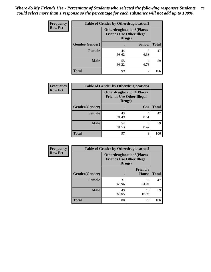| Frequency      | <b>Table of Gender by Otherdruglocation3</b> |                                                                                |               |              |
|----------------|----------------------------------------------|--------------------------------------------------------------------------------|---------------|--------------|
| <b>Row Pct</b> |                                              | <b>Otherdruglocation3(Places</b><br><b>Friends Use Other Illegal</b><br>Drugs) |               |              |
|                | Gender(Gender)                               |                                                                                | <b>School</b> | <b>Total</b> |
|                | Female                                       | 44<br>93.62                                                                    | 3<br>6.38     | 47           |
|                | <b>Male</b>                                  | 55<br>93.22                                                                    | 4<br>6.78     | 59           |
|                | <b>Total</b>                                 | 99                                                                             |               | 106          |

| Frequency      | <b>Table of Gender by Otherdruglocation4</b> |             |                                                                      |              |
|----------------|----------------------------------------------|-------------|----------------------------------------------------------------------|--------------|
| <b>Row Pct</b> |                                              | Drugs)      | <b>Otherdruglocation4(Places</b><br><b>Friends Use Other Illegal</b> |              |
|                | Gender(Gender)                               |             | Car                                                                  | <b>Total</b> |
|                | Female                                       | 43<br>91.49 | 4<br>8.51                                                            | 47           |
|                | <b>Male</b>                                  | 54<br>91.53 | 5<br>8.47                                                            | 59           |
|                | <b>Total</b>                                 | 97          | 9                                                                    | 106          |

| Frequency      | <b>Table of Gender by Otherdruglocation5</b> |                                            |                                  |              |
|----------------|----------------------------------------------|--------------------------------------------|----------------------------------|--------------|
| <b>Row Pct</b> |                                              | <b>Friends Use Other Illegal</b><br>Drugs) | <b>Otherdruglocation5(Places</b> |              |
|                | Gender(Gender)                               |                                            | <b>Friend's</b><br><b>House</b>  | <b>Total</b> |
|                | <b>Female</b>                                | 31<br>65.96                                | 16<br>34.04                      | 47           |
|                | <b>Male</b>                                  | 49<br>83.05                                | 10<br>16.95                      | 59           |
|                | <b>Total</b>                                 | 80                                         | 26                               | 106          |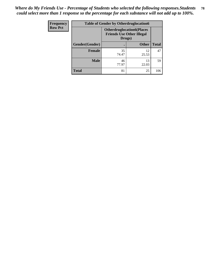| <b>Frequency</b> | <b>Table of Gender by Otherdruglocation6</b> |                                            |                                  |              |
|------------------|----------------------------------------------|--------------------------------------------|----------------------------------|--------------|
| <b>Row Pct</b>   |                                              | <b>Friends Use Other Illegal</b><br>Drugs) | <b>Otherdruglocation6(Places</b> |              |
|                  | Gender(Gender)                               |                                            | <b>Other</b>                     | <b>Total</b> |
|                  | <b>Female</b>                                | 35<br>74.47                                | 12<br>25.53                      | 47           |
|                  | <b>Male</b>                                  | 46<br>77.97                                | 13<br>22.03                      | 59           |
|                  | <b>Total</b>                                 | 81                                         | 25                               | 106          |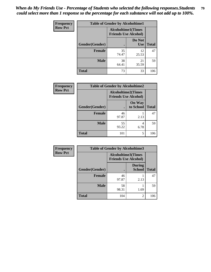| <b>Frequency</b> | <b>Table of Gender by Alcoholtime1</b> |                                                          |                      |              |
|------------------|----------------------------------------|----------------------------------------------------------|----------------------|--------------|
| <b>Row Pct</b>   |                                        | <b>Alcoholtime1(Times</b><br><b>Friends Use Alcohol)</b> |                      |              |
|                  | Gender(Gender)                         | $\bullet$                                                | Do Not<br><b>Use</b> | <b>Total</b> |
|                  | <b>Female</b>                          | 35<br>74.47                                              | 12<br>25.53          | 47           |
|                  | <b>Male</b>                            | 38<br>64.41                                              | 21<br>35.59          | 59           |
|                  | <b>Total</b>                           | 73                                                       | 33                   | 106          |

| <b>Frequency</b> | <b>Table of Gender by Alcoholtime2</b> |                                                          |                            |              |
|------------------|----------------------------------------|----------------------------------------------------------|----------------------------|--------------|
| <b>Row Pct</b>   |                                        | <b>Alcoholtime2(Times</b><br><b>Friends Use Alcohol)</b> |                            |              |
|                  | Gender(Gender)                         |                                                          | <b>On Way</b><br>to School | <b>Total</b> |
|                  | <b>Female</b>                          | 46<br>97.87                                              | 2.13                       | 47           |
|                  | <b>Male</b>                            | 55<br>93.22                                              | 4<br>6.78                  | 59           |
|                  | <b>Total</b>                           | 101                                                      | 5                          | 106          |

| <b>Frequency</b> | <b>Table of Gender by Alcoholtime3</b> |                                                          |                                |              |
|------------------|----------------------------------------|----------------------------------------------------------|--------------------------------|--------------|
| <b>Row Pct</b>   |                                        | <b>Alcoholtime3(Times</b><br><b>Friends Use Alcohol)</b> |                                |              |
|                  | Gender(Gender)                         |                                                          | <b>During</b><br><b>School</b> | <b>Total</b> |
|                  | Female                                 | 46<br>97.87                                              | 2.13                           | 47           |
|                  | <b>Male</b>                            | 58<br>98.31                                              | 1.69                           | 59           |
|                  | <b>Total</b>                           | 104                                                      | 2                              | 106          |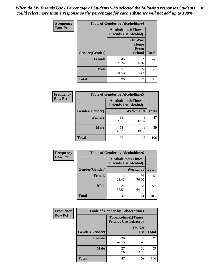*When do My Friends Use - Percentage of Students who selected the following responses.Students could select more than 1 response so the percentage for each substance will not add up to 100%.* **80**

| <b>Frequency</b> | <b>Table of Gender by Alcoholtime4</b> |                                                          |                                         |              |
|------------------|----------------------------------------|----------------------------------------------------------|-----------------------------------------|--------------|
| <b>Row Pct</b>   |                                        | <b>Alcoholtime4(Times</b><br><b>Friends Use Alcohol)</b> |                                         |              |
|                  | Gender(Gender)                         |                                                          | <b>On Way</b><br>Home<br>From<br>School | <b>Total</b> |
|                  | <b>Female</b>                          | 45<br>95.74                                              | $\overline{2}$<br>4.26                  | 47           |
|                  | <b>Male</b>                            | 54<br>91.53                                              | 5<br>8.47                               | 59           |
|                  | <b>Total</b>                           | 99                                                       | 7                                       | 106          |

| <b>Frequency</b> | <b>Table of Gender by Alcoholtime5</b> |                                                           |                   |              |
|------------------|----------------------------------------|-----------------------------------------------------------|-------------------|--------------|
| <b>Row Pct</b>   |                                        | <b>Alcoholtime5</b> (Times<br><b>Friends Use Alcohol)</b> |                   |              |
|                  | Gender(Gender)                         |                                                           | <b>Weeknights</b> | <b>Total</b> |
|                  | <b>Female</b>                          | 39<br>82.98                                               | 8<br>17.02        | 47           |
|                  | <b>Male</b>                            | 51<br>86.44                                               | 8<br>13.56        | 59           |
|                  | <b>Total</b>                           | 90                                                        | 16                | 106          |

| <b>Frequency</b> | <b>Table of Gender by Alcoholtime6</b> |             |                                                          |              |  |
|------------------|----------------------------------------|-------------|----------------------------------------------------------|--------------|--|
| <b>Row Pct</b>   |                                        |             | <b>Alcoholtime6(Times</b><br><b>Friends Use Alcohol)</b> |              |  |
|                  | Gender(Gender)                         |             | Weekends                                                 | <b>Total</b> |  |
|                  | Female                                 | 11<br>23.40 | 36<br>76.60                                              | 47           |  |
|                  | <b>Male</b>                            | 21<br>35.59 | 38<br>64.41                                              | 59           |  |
|                  | <b>Total</b>                           | 32          | 74                                                       | 106          |  |

| Frequency      | <b>Table of Gender by Tobaccotime1</b> |                                                          |                      |              |
|----------------|----------------------------------------|----------------------------------------------------------|----------------------|--------------|
| <b>Row Pct</b> |                                        | <b>Tobaccotime1(Times</b><br><b>Friends Use Tobacco)</b> |                      |              |
|                | Gender(Gender)                         |                                                          | Do Not<br><b>Use</b> | <b>Total</b> |
|                | <b>Female</b>                          | 20<br>42.55                                              | 27<br>57.45          | 47           |
|                | <b>Male</b>                            | 27<br>45.76                                              | 32<br>54.24          | 59           |
|                | <b>Total</b>                           | 47                                                       | 59                   | 106          |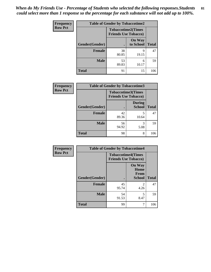| Frequency      | <b>Table of Gender by Tobaccotime2</b> |                                                          |                            |              |
|----------------|----------------------------------------|----------------------------------------------------------|----------------------------|--------------|
| <b>Row Pct</b> |                                        | <b>Tobaccotime2(Times</b><br><b>Friends Use Tobacco)</b> |                            |              |
|                | Gender(Gender)                         |                                                          | <b>On Way</b><br>to School | <b>Total</b> |
|                | Female                                 | 38<br>80.85                                              | q<br>19.15                 | 47           |
|                | <b>Male</b>                            | 53<br>89.83                                              | 6<br>10.17                 | 59           |
|                | <b>Total</b>                           | 91                                                       | 15                         | 106          |

| Frequency      | <b>Table of Gender by Tobaccotime3</b> |                                                          |                                |              |
|----------------|----------------------------------------|----------------------------------------------------------|--------------------------------|--------------|
| <b>Row Pct</b> |                                        | <b>Tobaccotime3(Times</b><br><b>Friends Use Tobacco)</b> |                                |              |
|                | Gender(Gender)                         |                                                          | <b>During</b><br><b>School</b> | <b>Total</b> |
|                | <b>Female</b>                          | 42<br>89.36                                              | 5<br>10.64                     | 47           |
|                | <b>Male</b>                            | 56<br>94.92                                              | 3<br>5.08                      | 59           |
|                | <b>Total</b>                           | 98                                                       | 8                              | 106          |

| <b>Frequency</b> | <b>Table of Gender by Tobaccotime4</b> |                                                          |                                                |              |
|------------------|----------------------------------------|----------------------------------------------------------|------------------------------------------------|--------------|
| <b>Row Pct</b>   |                                        | <b>Tobaccotime4(Times</b><br><b>Friends Use Tobacco)</b> |                                                |              |
|                  | Gender(Gender)                         |                                                          | <b>On Way</b><br>Home<br>From<br><b>School</b> | <b>Total</b> |
|                  | <b>Female</b>                          | 45<br>95.74                                              | $\mathfrak{D}$<br>4.26                         | 47           |
|                  | <b>Male</b>                            | 54<br>91.53                                              | 5<br>8.47                                      | 59           |
|                  | <b>Total</b>                           | 99                                                       | 7                                              | 106          |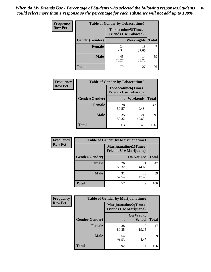| <b>Frequency</b> | <b>Table of Gender by Tobaccotime5</b> |                                                           |             |              |  |
|------------------|----------------------------------------|-----------------------------------------------------------|-------------|--------------|--|
| <b>Row Pct</b>   |                                        | <b>Tobaccotime5</b> (Times<br><b>Friends Use Tobacco)</b> |             |              |  |
|                  | Gender(Gender)                         |                                                           | Weeknights  | <b>Total</b> |  |
|                  | <b>Female</b>                          | 34<br>72.34                                               | 13<br>27.66 | 47           |  |
|                  | <b>Male</b>                            | 45<br>76.27                                               | 14<br>23.73 | 59           |  |
|                  | Total                                  | 79                                                        | 27          | 106          |  |

| <b>Frequency</b> | <b>Table of Gender by Tobaccotime6</b> |                                                          |             |              |
|------------------|----------------------------------------|----------------------------------------------------------|-------------|--------------|
| <b>Row Pct</b>   |                                        | <b>Tobaccotime6(Times</b><br><b>Friends Use Tobacco)</b> |             |              |
|                  | Gender(Gender)                         |                                                          | Weekends    | <b>Total</b> |
|                  | Female                                 | 28<br>59.57                                              | 19<br>40.43 | 47           |
|                  | <b>Male</b>                            | 35<br>59.32                                              | 24<br>40.68 | 59           |
|                  | <b>Total</b>                           | 63                                                       | 43          | 106          |

| <b>Frequency</b> | <b>Table of Gender by Marijuanatime1</b> |             |                                                               |              |
|------------------|------------------------------------------|-------------|---------------------------------------------------------------|--------------|
| <b>Row Pct</b>   |                                          |             | <b>Marijuanatime1(Times</b><br><b>Friends Use Marijuana</b> ) |              |
|                  | Gender(Gender)                           |             | Do Not Use                                                    | <b>Total</b> |
|                  | <b>Female</b>                            | 26<br>55.32 | 21<br>44.68                                                   | 47           |
|                  | <b>Male</b>                              | 31<br>52.54 | 28<br>47.46                                                   | 59           |
|                  | <b>Total</b>                             | 57          | 49                                                            | 106          |

| <b>Frequency</b> | <b>Table of Gender by Marijuanatime2</b> |                                                               |                            |              |
|------------------|------------------------------------------|---------------------------------------------------------------|----------------------------|--------------|
| <b>Row Pct</b>   |                                          | <b>Marijuanatime2(Times</b><br><b>Friends Use Marijuana</b> ) |                            |              |
|                  | Gender(Gender)                           |                                                               | On Way to<br><b>School</b> | <b>Total</b> |
|                  | <b>Female</b>                            | 38<br>80.85                                                   | 9<br>19.15                 | 47           |
|                  | <b>Male</b>                              | 54<br>91.53                                                   | 5<br>8.47                  | 59           |
|                  | <b>Total</b>                             | 92                                                            | 14                         | 106          |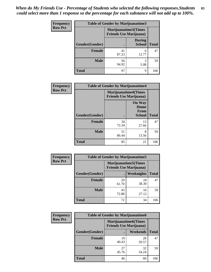*When do My Friends Use - Percentage of Students who selected the following responses.Students could select more than 1 response so the percentage for each substance will not add up to 100%.* **83**

| <b>Frequency</b> | <b>Table of Gender by Marijuanatime3</b> |                                |                                |              |
|------------------|------------------------------------------|--------------------------------|--------------------------------|--------------|
| <b>Row Pct</b>   |                                          | <b>Friends Use Marijuana</b> ) | Marijuanatime3(Times           |              |
|                  | Gender(Gender)                           |                                | <b>During</b><br><b>School</b> | <b>Total</b> |
|                  | Female                                   | 41<br>87.23                    | 6<br>12.77                     | 47           |
|                  | <b>Male</b>                              | 56<br>94.92                    | 3<br>5.08                      | 59           |
|                  | <b>Total</b>                             | 97                             | 9                              | 106          |

| Frequency      | <b>Table of Gender by Marijuanatime4</b> |                             |                                                |              |
|----------------|------------------------------------------|-----------------------------|------------------------------------------------|--------------|
| <b>Row Pct</b> |                                          | <b>Marijuanatime4(Times</b> | <b>Friends Use Marijuana</b> )                 |              |
|                | Gender(Gender)                           |                             | <b>On Way</b><br>Home<br>From<br><b>School</b> | <b>Total</b> |
|                | <b>Female</b>                            | 34<br>72.34                 | 13<br>27.66                                    | 47           |
|                | <b>Male</b>                              | 51<br>86.44                 | 8<br>13.56                                     | 59           |
|                | <b>Total</b>                             | 85                          | 21                                             | 106          |

| Frequency      |                | <b>Table of Gender by Marijuanatime5</b>                       |             |              |  |
|----------------|----------------|----------------------------------------------------------------|-------------|--------------|--|
| <b>Row Pct</b> |                | <b>Marijuanatime5</b> (Times<br><b>Friends Use Marijuana</b> ) |             |              |  |
|                | Gender(Gender) |                                                                | Weeknights  | <b>Total</b> |  |
|                | Female         | 29<br>61.70                                                    | 18<br>38.30 | 47           |  |
|                | <b>Male</b>    | 43<br>72.88                                                    | 16<br>27.12 | 59           |  |
|                | <b>Total</b>   | 72                                                             | 34          | 106          |  |

| Frequency      | <b>Table of Gender by Marijuanatime6</b> |                                                               |             |              |  |
|----------------|------------------------------------------|---------------------------------------------------------------|-------------|--------------|--|
| <b>Row Pct</b> |                                          | <b>Marijuanatime6(Times</b><br><b>Friends Use Marijuana</b> ) |             |              |  |
|                | Gender(Gender)                           |                                                               | Weekends    | <b>Total</b> |  |
|                | <b>Female</b>                            | 19<br>40.43                                                   | 28<br>59.57 | 47           |  |
|                | <b>Male</b>                              | 27<br>45.76                                                   | 32<br>54.24 | 59           |  |
|                | <b>Total</b>                             | 46                                                            | 60          | 106          |  |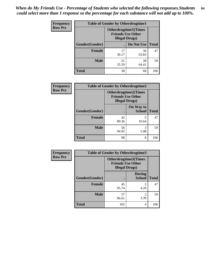*When do My Friends Use - Percentage of Students who selected the following responses.Students could select more than 1 response so the percentage for each substance will not add up to 100%.* **84**

| <b>Frequency</b> | <b>Table of Gender by Otherdrugtime1</b> |                                                                                    |                    |     |  |
|------------------|------------------------------------------|------------------------------------------------------------------------------------|--------------------|-----|--|
| <b>Row Pct</b>   |                                          | <b>Otherdrugtime1</b> (Times<br><b>Friends Use Other</b><br><b>Illegal Drugs</b> ) |                    |     |  |
|                  | Gender(Gender)                           |                                                                                    | Do Not Use   Total |     |  |
|                  | <b>Female</b>                            | 17<br>36.17                                                                        | 30<br>63.83        | 47  |  |
|                  | <b>Male</b>                              | 21<br>35.59                                                                        | 38<br>64.41        | 59  |  |
|                  | <b>Total</b>                             | 38                                                                                 | 68                 | 106 |  |

| Frequency      | <b>Table of Gender by Otherdrugtime2</b>                                          |             |                            |              |  |
|----------------|-----------------------------------------------------------------------------------|-------------|----------------------------|--------------|--|
| <b>Row Pct</b> | <b>Otherdrugtime2(Times</b><br><b>Friends Use Other</b><br><b>Illegal Drugs</b> ) |             |                            |              |  |
|                | Gender(Gender)                                                                    |             | On Way to<br><b>School</b> | <b>Total</b> |  |
|                | <b>Female</b>                                                                     | 42<br>89.36 | 5<br>10.64                 | 47           |  |
|                | <b>Male</b>                                                                       | 56<br>94.92 | 3<br>5.08                  | 59           |  |
|                | <b>Total</b>                                                                      | 98          | 8                          | 106          |  |

| Frequency      |                | <b>Table of Gender by Otherdrugtime3</b> |                                                  |              |
|----------------|----------------|------------------------------------------|--------------------------------------------------|--------------|
| <b>Row Pct</b> |                | <b>Illegal Drugs</b> )                   | Otherdrugtime3(Times<br><b>Friends Use Other</b> |              |
|                | Gender(Gender) |                                          | <b>During</b><br><b>School</b>                   | <b>Total</b> |
|                | <b>Female</b>  | 45<br>95.74                              | $\mathfrak{D}$<br>4.26                           | 47           |
|                | <b>Male</b>    | 57<br>96.61                              | 2<br>3.39                                        | 59           |
|                | <b>Total</b>   | 102                                      | 4                                                | 106          |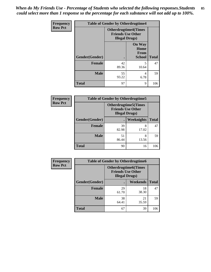*When do My Friends Use - Percentage of Students who selected the following responses.Students could select more than 1 response so the percentage for each substance will not add up to 100%.* **85**

| Frequency      | <b>Table of Gender by Otherdrugtime4</b> |                                                                                   |                                                       |              |  |
|----------------|------------------------------------------|-----------------------------------------------------------------------------------|-------------------------------------------------------|--------------|--|
| <b>Row Pct</b> |                                          | <b>Otherdrugtime4(Times</b><br><b>Friends Use Other</b><br><b>Illegal Drugs</b> ) |                                                       |              |  |
|                | Gender(Gender)                           |                                                                                   | <b>On Way</b><br>Home<br><b>From</b><br><b>School</b> | <b>Total</b> |  |
|                | <b>Female</b>                            | 42<br>89.36                                                                       | 5<br>10.64                                            | 47           |  |
|                | <b>Male</b>                              | 55<br>93.22                                                                       | 4<br>6.78                                             | 59           |  |
|                | <b>Total</b>                             | 97                                                                                | 9                                                     | 106          |  |

| <b>Frequency</b> | <b>Table of Gender by Otherdrugtime5</b> |                                                                                    |            |              |  |
|------------------|------------------------------------------|------------------------------------------------------------------------------------|------------|--------------|--|
| <b>Row Pct</b>   |                                          | <b>Otherdrugtime5</b> (Times<br><b>Friends Use Other</b><br><b>Illegal Drugs</b> ) |            |              |  |
|                  | Gender(Gender)                           |                                                                                    | Weeknights | <b>Total</b> |  |
|                  | <b>Female</b>                            | 39<br>82.98                                                                        | 8<br>17.02 | 47           |  |
|                  | <b>Male</b>                              | 51<br>86.44                                                                        | 8<br>13.56 | 59           |  |
|                  | Total                                    | 90                                                                                 | 16         | 106          |  |

| <b>Frequency</b> | <b>Table of Gender by Otherdrugtime6</b> |                                                                                   |             |              |  |
|------------------|------------------------------------------|-----------------------------------------------------------------------------------|-------------|--------------|--|
| <b>Row Pct</b>   |                                          | <b>Otherdrugtime6(Times</b><br><b>Friends Use Other</b><br><b>Illegal Drugs</b> ) |             |              |  |
|                  | Gender(Gender)                           |                                                                                   | Weekends    | <b>Total</b> |  |
|                  | <b>Female</b>                            | 29<br>61.70                                                                       | 18<br>38.30 | 47           |  |
|                  | <b>Male</b>                              | 38<br>64.41                                                                       | 21<br>35.59 | 59           |  |
|                  | <b>Total</b>                             | 67                                                                                | 39          | 106          |  |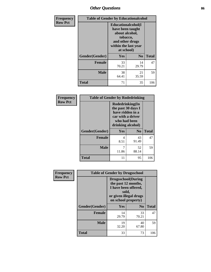# *Other Questions* **86**

| <b>Frequency</b> | <b>Table of Gender by Educationalcohol</b> |                                                                                                                                       |                |              |
|------------------|--------------------------------------------|---------------------------------------------------------------------------------------------------------------------------------------|----------------|--------------|
| <b>Row Pct</b>   |                                            | <b>Educationalcohol</b> (I<br>have been taught<br>about alcohol,<br>tobacco,<br>and other drugs<br>within the last year<br>at school) |                |              |
|                  | Gender(Gender)                             | <b>Yes</b>                                                                                                                            | N <sub>0</sub> | <b>Total</b> |
|                  | <b>Female</b>                              | 33<br>70.21                                                                                                                           | 14<br>29.79    | 47           |
|                  | <b>Male</b>                                | 38<br>64.41                                                                                                                           | 21<br>35.59    | 59           |
|                  | <b>Total</b>                               | 71                                                                                                                                    | 35             | 106          |

| Frequency      | <b>Table of Gender by Rodedrinking</b> |                                                                                                                     |                |              |  |
|----------------|----------------------------------------|---------------------------------------------------------------------------------------------------------------------|----------------|--------------|--|
| <b>Row Pct</b> |                                        | Rodedrinking(In<br>the past 30 days I<br>have ridden in a<br>car with a driver<br>who had been<br>drinking alcohol) |                |              |  |
|                | Gender(Gender)                         | Yes                                                                                                                 | N <sub>0</sub> | <b>Total</b> |  |
|                | <b>Female</b>                          | 4<br>8.51                                                                                                           | 43<br>91.49    | 47           |  |
|                | <b>Male</b>                            | 11.86                                                                                                               | 52<br>88.14    | 59           |  |
|                | <b>Total</b>                           | 11                                                                                                                  | 95             | 106          |  |

| Frequency      |                | <b>Table of Gender by Drugsschool</b>                                                                                               |                |              |  |
|----------------|----------------|-------------------------------------------------------------------------------------------------------------------------------------|----------------|--------------|--|
| <b>Row Pct</b> |                | <b>Drugsschool</b> (During<br>the past 12 months,<br>I have been offered,<br>sold,<br>or given illegal drugs<br>on school property) |                |              |  |
|                | Gender(Gender) | Yes                                                                                                                                 | N <sub>0</sub> | <b>Total</b> |  |
|                | <b>Female</b>  | 14<br>29.79                                                                                                                         | 33<br>70.21    | 47           |  |
|                | <b>Male</b>    | 19<br>32.20                                                                                                                         | 40<br>67.80    | 59           |  |
|                | <b>Total</b>   | 33                                                                                                                                  | 73             | 106          |  |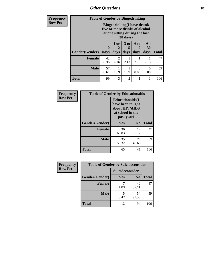*Other Questions* **87**

| <b>Frequency</b> | <b>Table of Gender by Bingedrinking</b> |                             |                                                                                                                   |                              |                   |                   |              |
|------------------|-----------------------------------------|-----------------------------|-------------------------------------------------------------------------------------------------------------------|------------------------------|-------------------|-------------------|--------------|
| <b>Row Pct</b>   |                                         |                             | <b>Bingedrinking(I have drunk</b><br>five or more drinks of alcohol<br>at one sitting during the last<br>30 days) |                              |                   |                   |              |
|                  | <b>Gender</b> (Gender)                  | $\mathbf{0}$<br><b>Days</b> | 1 or<br>2<br>days                                                                                                 | 3 <sub>to</sub><br>5<br>days | 6 to<br>9<br>days | All<br>30<br>days | <b>Total</b> |
|                  | Female                                  | 42<br>89.36                 | 2<br>4.26                                                                                                         | 2.13                         | 2.13              | 2.13              | 47           |
|                  | <b>Male</b>                             | 57<br>96.61                 | 1.69                                                                                                              | 1.69                         | 0.00              | 0<br>0.00         | 59           |
|                  | <b>Total</b>                            | 99                          | 3                                                                                                                 | $\overline{c}$               |                   | 1                 | 106          |

| Frequency      | <b>Table of Gender by Educationaids</b> |                                                                                                 |                |              |
|----------------|-----------------------------------------|-------------------------------------------------------------------------------------------------|----------------|--------------|
| <b>Row Pct</b> |                                         | <b>Educationaids</b> (I<br>have been taught<br>about HIV/AIDS<br>at school in the<br>past year) |                |              |
|                | Gender(Gender)                          | Yes                                                                                             | N <sub>0</sub> | <b>Total</b> |
|                | <b>Female</b>                           | 30<br>63.83                                                                                     | 17<br>36.17    | 47           |
|                | <b>Male</b>                             | 35<br>59.32                                                                                     | 24<br>40.68    | 59           |
|                | <b>Total</b>                            | 65                                                                                              | 41             | 106          |

| <b>Frequency</b> | <b>Table of Gender by Suicideconsider</b> |                 |                |              |
|------------------|-------------------------------------------|-----------------|----------------|--------------|
| <b>Row Pct</b>   |                                           | Suicideconsider |                |              |
|                  | Gender(Gender)                            | <b>Yes</b>      | N <sub>0</sub> | <b>Total</b> |
|                  | <b>Female</b>                             | 14.89           | 40<br>85.11    | 47           |
|                  | <b>Male</b>                               | 8.47            | 54<br>91.53    | 59           |
|                  | <b>Total</b>                              | 12              | 94             | 106          |